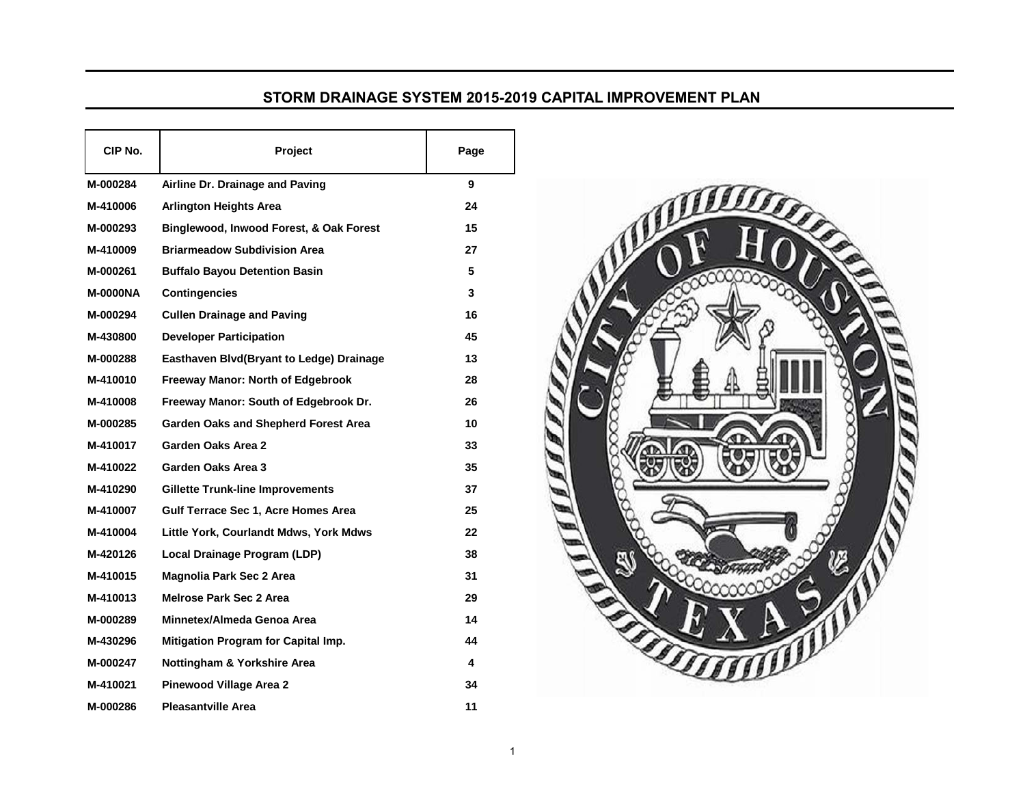## **STORM DRAINAGE SYSTEM 
2015-2019 CAPITAL IMPROVEMENT PLAN**

| CIP No.         | Project                                  | Page |
|-----------------|------------------------------------------|------|
| M-000284        | Airline Dr. Drainage and Paving          | 9    |
| M-410006        | <b>Arlington Heights Area</b>            | 24   |
| M-000293        | Binglewood, Inwood Forest, & Oak Forest  | 15   |
| M-410009        | <b>Briarmeadow Subdivision Area</b>      | 27   |
| M-000261        | <b>Buffalo Bayou Detention Basin</b>     | 5    |
| <b>M-0000NA</b> | <b>Contingencies</b>                     | 3    |
| M-000294        | <b>Cullen Drainage and Paving</b>        | 16   |
| M-430800        | <b>Developer Participation</b>           | 45   |
| M-000288        | Easthaven Blvd(Bryant to Ledge) Drainage | 13   |
| M-410010        | <b>Freeway Manor: North of Edgebrook</b> | 28   |
| M-410008        | Freeway Manor: South of Edgebrook Dr.    | 26   |
| M-000285        | Garden Oaks and Shepherd Forest Area     | 10   |
| M-410017        | Garden Oaks Area 2                       | 33   |
| M-410022        | Garden Oaks Area 3                       | 35   |
| M-410290        | <b>Gillette Trunk-line Improvements</b>  | 37   |
| M-410007        | Gulf Terrace Sec 1, Acre Homes Area      | 25   |
| M-410004        | Little York, Courlandt Mdws, York Mdws   | 22   |
| M-420126        | Local Drainage Program (LDP)             | 38   |
| M-410015        | <b>Magnolia Park Sec 2 Area</b>          | 31   |
| M-410013        | Melrose Park Sec 2 Area                  | 29   |
| M-000289        | Minnetex/Almeda Genoa Area               | 14   |
| M-430296        | Mitigation Program for Capital Imp.      | 44   |
| M-000247        | Nottingham & Yorkshire Area              | 4    |
| M-410021        | <b>Pinewood Village Area 2</b>           | 34   |
| M-000286        | <b>Pleasantville Area</b>                | 11   |

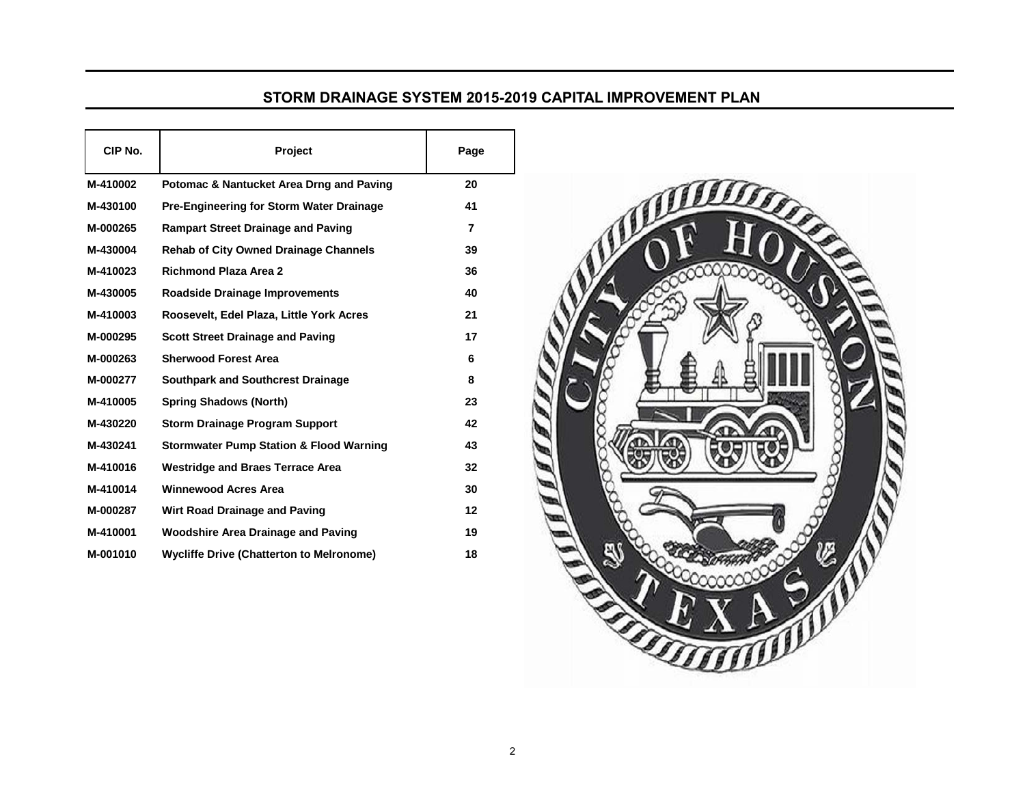## **STORM DRAINAGE SYSTEM 
2015-2019 CAPITAL IMPROVEMENT PLAN**

| CIP No.  | <b>Project</b>                                     | Page |
|----------|----------------------------------------------------|------|
| M-410002 | Potomac & Nantucket Area Drng and Paving           | 20   |
| M-430100 | Pre-Engineering for Storm Water Drainage           | 41   |
| M-000265 | <b>Rampart Street Drainage and Paving</b>          | 7    |
| M-430004 | <b>Rehab of City Owned Drainage Channels</b>       | 39   |
| M-410023 | <b>Richmond Plaza Area 2</b>                       | 36   |
| M-430005 | <b>Roadside Drainage Improvements</b>              | 40   |
| M-410003 | Roosevelt, Edel Plaza, Little York Acres           | 21   |
| M-000295 | <b>Scott Street Drainage and Paving</b>            | 17   |
| M-000263 | <b>Sherwood Forest Area</b>                        | 6    |
| M-000277 | <b>Southpark and Southcrest Drainage</b>           | 8    |
| M-410005 | <b>Spring Shadows (North)</b>                      | 23   |
| M-430220 | <b>Storm Drainage Program Support</b>              | 42   |
| M-430241 | <b>Stormwater Pump Station &amp; Flood Warning</b> | 43   |
| M-410016 | <b>Westridge and Braes Terrace Area</b>            | 32   |
| M-410014 | <b>Winnewood Acres Area</b>                        | 30   |
| M-000287 | <b>Wirt Road Drainage and Paving</b>               | 12   |
| M-410001 | <b>Woodshire Area Drainage and Paving</b>          | 19   |
| M-001010 | <b>Wycliffe Drive (Chatterton to Melronome)</b>    | 18   |
|          |                                                    |      |

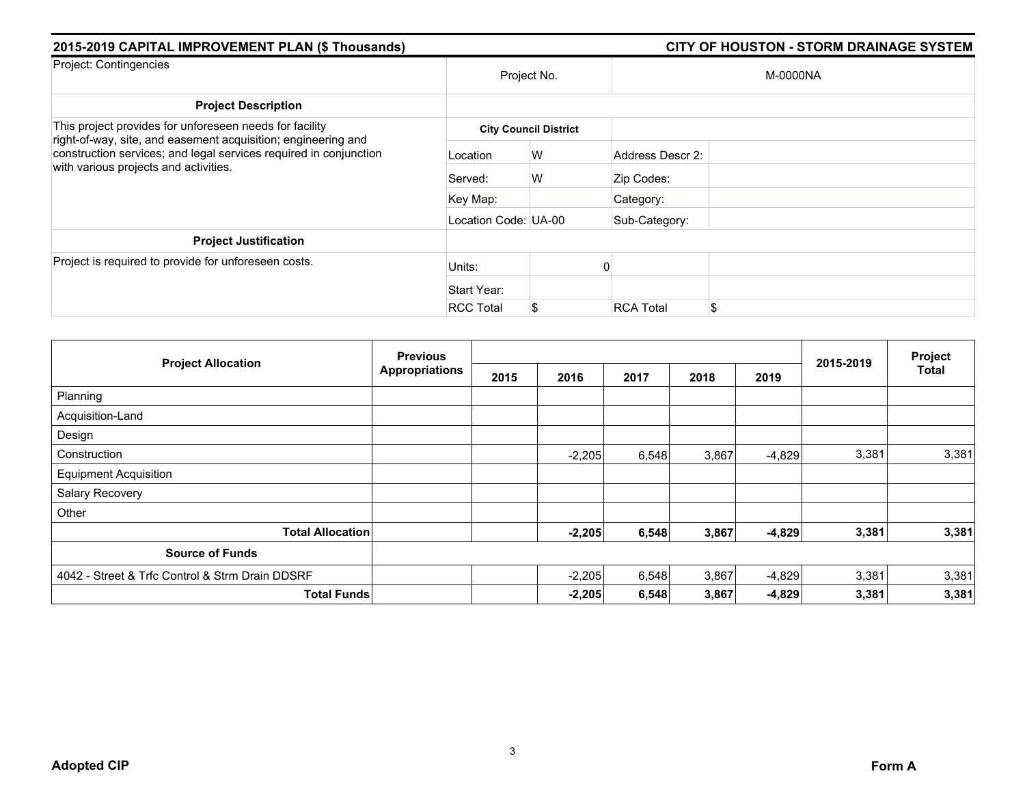| 2015-2019 CAPITAL IMPROVEMENT PLAN (\$ Thousands)                                                                                  |                      |                              |                  | <b>CITY OF HOUSTON - STORM DRAINAGE SYSTEM</b> |
|------------------------------------------------------------------------------------------------------------------------------------|----------------------|------------------------------|------------------|------------------------------------------------|
| Project: Contingencies                                                                                                             |                      | Project No.                  |                  | M-0000NA                                       |
| <b>Project Description</b>                                                                                                         |                      |                              |                  |                                                |
| This project provides for unforeseen needs for facility                                                                            |                      | <b>City Council District</b> |                  |                                                |
| right-of-way, site, and easement acquisition; engineering and<br>construction services; and legal services required in conjunction | Location             | W                            | Address Descr 2: |                                                |
| with various projects and activities.                                                                                              | Served:              | W                            | Zip Codes:       |                                                |
|                                                                                                                                    | Key Map:             |                              | Category:        |                                                |
|                                                                                                                                    | Location Code: UA-00 |                              | Sub-Category:    |                                                |
| <b>Project Justification</b>                                                                                                       |                      |                              |                  |                                                |
| Project is required to provide for unforeseen costs.                                                                               | Units:               |                              |                  |                                                |
|                                                                                                                                    | Start Year:          |                              |                  |                                                |
|                                                                                                                                    | <b>RCC Total</b>     | \$                           | <b>RCA Total</b> | \$                                             |

|                                                 | <b>Previous</b>       |      |          |       |       |          |           | Project      |
|-------------------------------------------------|-----------------------|------|----------|-------|-------|----------|-----------|--------------|
| <b>Project Allocation</b>                       | <b>Appropriations</b> | 2015 | 2016     | 2017  | 2018  | 2019     | 2015-2019 | <b>Total</b> |
| Planning                                        |                       |      |          |       |       |          |           |              |
| Acquisition-Land                                |                       |      |          |       |       |          |           |              |
| Design                                          |                       |      |          |       |       |          |           |              |
| Construction                                    |                       |      | $-2,205$ | 6,548 | 3,867 | $-4,829$ | 3,381     | 3,381        |
| <b>Equipment Acquisition</b>                    |                       |      |          |       |       |          |           |              |
| Salary Recovery                                 |                       |      |          |       |       |          |           |              |
| Other                                           |                       |      |          |       |       |          |           |              |
| <b>Total Allocation</b>                         |                       |      | $-2,205$ | 6,548 | 3,867 | $-4,829$ | 3,381     | 3,381        |
| <b>Source of Funds</b>                          |                       |      |          |       |       |          |           |              |
| 4042 - Street & Trfc Control & Strm Drain DDSRF |                       |      | $-2,205$ | 6,548 | 3,867 | $-4,829$ | 3,381     | 3,381        |
| <b>Total Funds</b>                              |                       |      | $-2,205$ | 6,548 | 3,867 | $-4,829$ | 3,381     | 3,381        |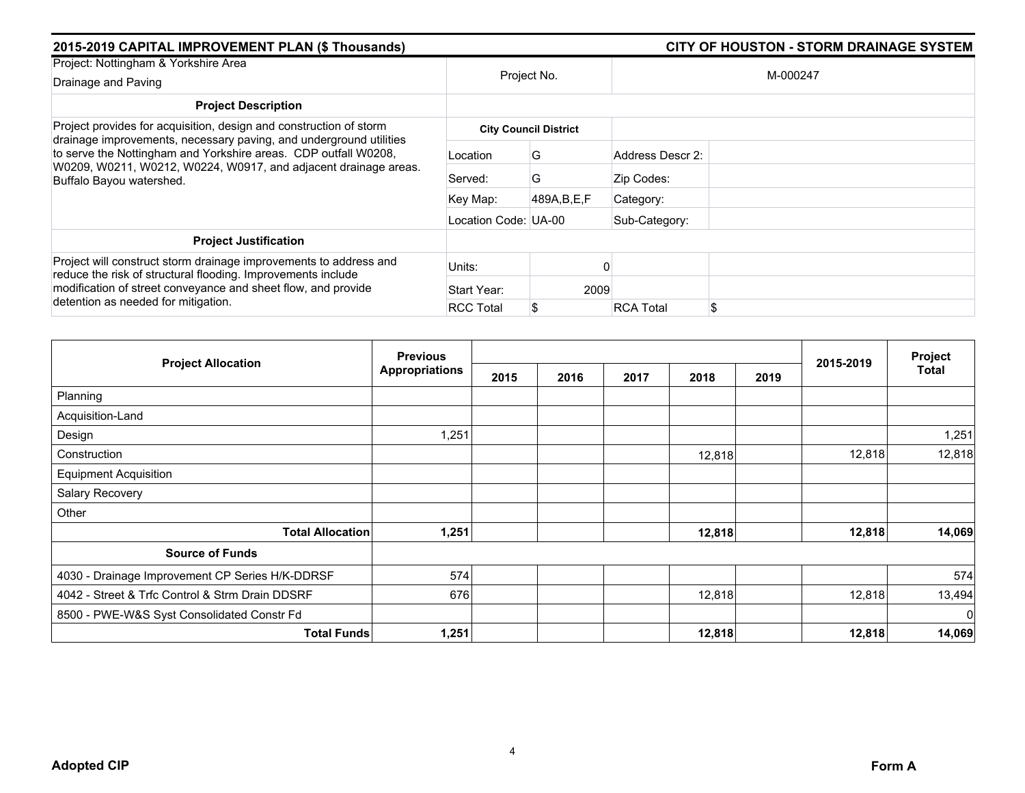| 2015-2019 CAPITAL IMPROVEMENT PLAN (\$ Thousands)                                                                                                                                                  |                      | <b>CITY OF HOUSTON - STORM DRAINAGE SYSTEM</b> |                        |
|----------------------------------------------------------------------------------------------------------------------------------------------------------------------------------------------------|----------------------|------------------------------------------------|------------------------|
| Project: Nottingham & Yorkshire Area                                                                                                                                                               |                      |                                                |                        |
| Drainage and Paving                                                                                                                                                                                |                      | Project No.                                    | M-000247               |
| <b>Project Description</b>                                                                                                                                                                         |                      |                                                |                        |
| Project provides for acquisition, design and construction of storm                                                                                                                                 |                      | <b>City Council District</b>                   |                        |
| drainage improvements, necessary paving, and underground utilities<br>to serve the Nottingham and Yorkshire areas. CDP outfall W0208,                                                              | Location             | G                                              | Address Descr 2:       |
| W0209, W0211, W0212, W0224, W0917, and adjacent drainage areas.<br>Buffalo Bayou watershed.                                                                                                        | Served:              | G                                              | Zip Codes:             |
|                                                                                                                                                                                                    | Key Map:             | 489A, B, E, F                                  | Category:              |
|                                                                                                                                                                                                    | Location Code: UA-00 |                                                | Sub-Category:          |
| <b>Project Justification</b>                                                                                                                                                                       |                      |                                                |                        |
| Project will construct storm drainage improvements to address and<br>reduce the risk of structural flooding. Improvements include<br>modification of street conveyance and sheet flow, and provide | Units:               |                                                |                        |
|                                                                                                                                                                                                    | Start Year:          | 2009                                           |                        |
| detention as needed for mitigation.                                                                                                                                                                | <b>RCC Total</b>     |                                                | \$<br><b>RCA Total</b> |

|                                                 | <b>Previous</b>       |      |      |      |        |      |           | Project        |
|-------------------------------------------------|-----------------------|------|------|------|--------|------|-----------|----------------|
| <b>Project Allocation</b>                       | <b>Appropriations</b> | 2015 | 2016 | 2017 | 2018   | 2019 | 2015-2019 | <b>Total</b>   |
| Planning                                        |                       |      |      |      |        |      |           |                |
| Acquisition-Land                                |                       |      |      |      |        |      |           |                |
| Design                                          | 1,251                 |      |      |      |        |      |           | 1,251          |
| Construction                                    |                       |      |      |      | 12,818 |      | 12,818    | 12,818         |
| <b>Equipment Acquisition</b>                    |                       |      |      |      |        |      |           |                |
| Salary Recovery                                 |                       |      |      |      |        |      |           |                |
| Other                                           |                       |      |      |      |        |      |           |                |
| <b>Total Allocation</b>                         | 1,251                 |      |      |      | 12,818 |      | 12,818    | 14,069         |
| <b>Source of Funds</b>                          |                       |      |      |      |        |      |           |                |
| 4030 - Drainage Improvement CP Series H/K-DDRSF | 574                   |      |      |      |        |      |           | 574            |
| 4042 - Street & Trfc Control & Strm Drain DDSRF | 676                   |      |      |      | 12,818 |      | 12,818    | 13,494         |
| 8500 - PWE-W&S Syst Consolidated Constr Fd      |                       |      |      |      |        |      |           | $\overline{0}$ |
| <b>Total Funds</b>                              | 1,251                 |      |      |      | 12,818 |      | 12,818    | 14,069         |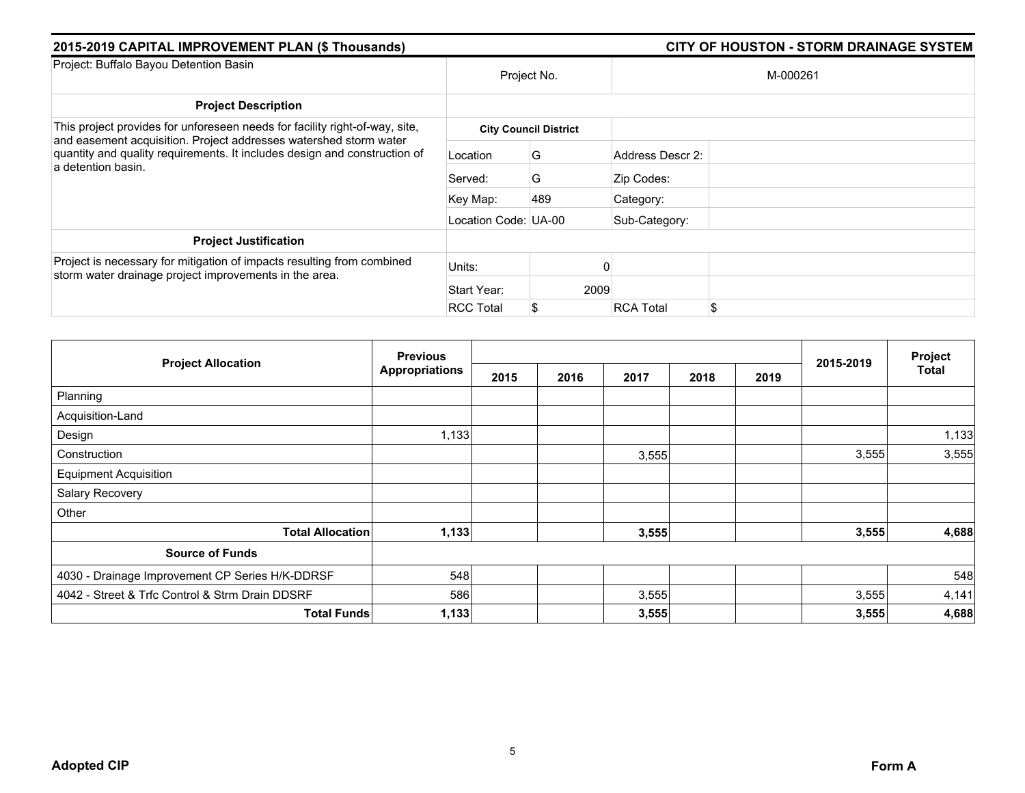| 2015-2019 CAPITAL IMPROVEMENT PLAN (\$ Thousands)                                                                                              |                      |                              |                  | <b>CITY OF HOUSTON - STORM DRAINAGE SYSTEM</b> |
|------------------------------------------------------------------------------------------------------------------------------------------------|----------------------|------------------------------|------------------|------------------------------------------------|
| Project: Buffalo Bayou Detention Basin                                                                                                         |                      | Project No.                  |                  | M-000261                                       |
| <b>Project Description</b>                                                                                                                     |                      |                              |                  |                                                |
| This project provides for unforeseen needs for facility right-of-way, site,                                                                    |                      | <b>City Council District</b> |                  |                                                |
| and easement acquisition. Project addresses watershed storm water<br>quantity and quality requirements. It includes design and construction of | Location             | G                            | Address Descr 2: |                                                |
| a detention basin.                                                                                                                             | Served:              | G                            | Zip Codes:       |                                                |
|                                                                                                                                                | Key Map:             | 489                          | Category:        |                                                |
|                                                                                                                                                | Location Code: UA-00 |                              | Sub-Category:    |                                                |
| <b>Project Justification</b>                                                                                                                   |                      |                              |                  |                                                |
| Project is necessary for mitigation of impacts resulting from combined<br>storm water drainage project improvements in the area.               | Units:               |                              |                  |                                                |
|                                                                                                                                                | Start Year:          |                              | 2009             |                                                |
|                                                                                                                                                | <b>RCC Total</b>     |                              | <b>RCA Total</b> | \$                                             |

|                                                 | <b>Previous</b>       |      |      |       |      |      |           | Project      |
|-------------------------------------------------|-----------------------|------|------|-------|------|------|-----------|--------------|
| <b>Project Allocation</b>                       | <b>Appropriations</b> | 2015 | 2016 | 2017  | 2018 | 2019 | 2015-2019 | <b>Total</b> |
| Planning                                        |                       |      |      |       |      |      |           |              |
| Acquisition-Land                                |                       |      |      |       |      |      |           |              |
| Design                                          | 1,133                 |      |      |       |      |      |           | 1,133        |
| Construction                                    |                       |      |      | 3,555 |      |      | 3,555     | 3,555        |
| <b>Equipment Acquisition</b>                    |                       |      |      |       |      |      |           |              |
| Salary Recovery                                 |                       |      |      |       |      |      |           |              |
| Other                                           |                       |      |      |       |      |      |           |              |
| <b>Total Allocation</b>                         | 1,133                 |      |      | 3,555 |      |      | 3,555     | 4,688        |
| <b>Source of Funds</b>                          |                       |      |      |       |      |      |           |              |
| 4030 - Drainage Improvement CP Series H/K-DDRSF | 548                   |      |      |       |      |      |           | 548          |
| 4042 - Street & Trfc Control & Strm Drain DDSRF | 586                   |      |      | 3,555 |      |      | 3,555     | 4,141        |
| <b>Total Funds</b>                              | 1,133                 |      |      | 3,555 |      |      | 3,555     | 4,688        |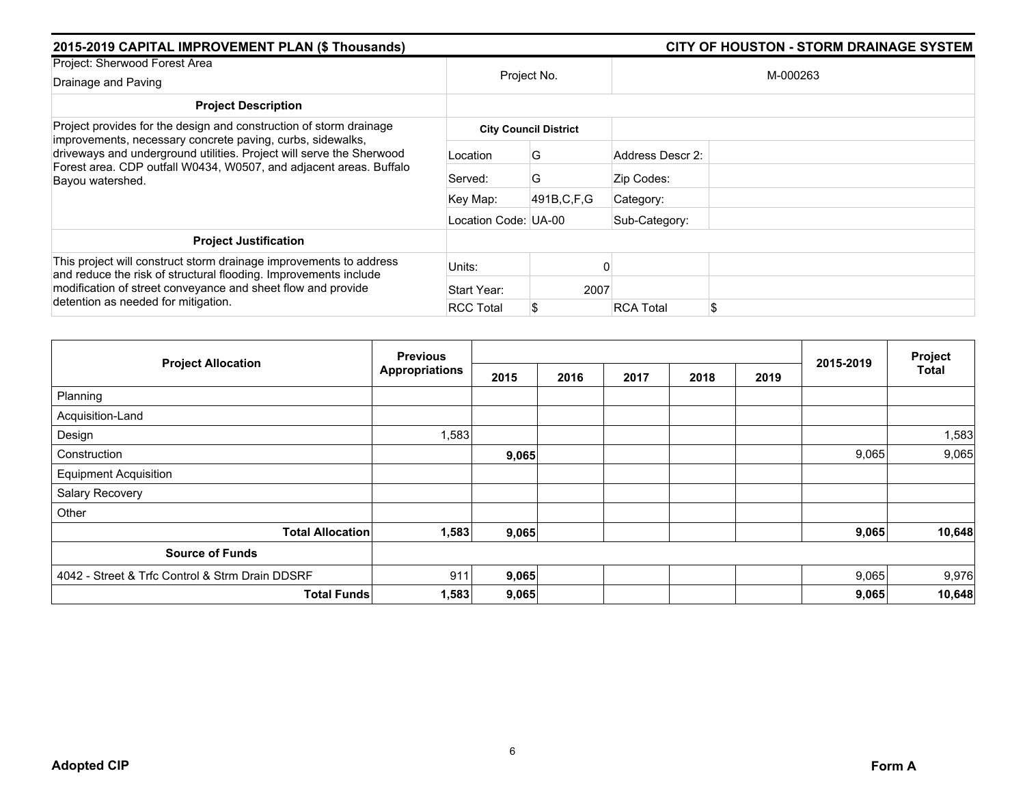| 2015-2019 CAPITAL IMPROVEMENT PLAN (\$ Thousands)                                                                                                                                                      |                      |                              | <b>CITY OF HOUSTON - STORM DRAINAGE SYSTEM</b> |
|--------------------------------------------------------------------------------------------------------------------------------------------------------------------------------------------------------|----------------------|------------------------------|------------------------------------------------|
| Project: Sherwood Forest Area                                                                                                                                                                          |                      |                              |                                                |
| Drainage and Paving                                                                                                                                                                                    |                      | Project No.                  | M-000263                                       |
| <b>Project Description</b>                                                                                                                                                                             |                      |                              |                                                |
| Project provides for the design and construction of storm drainage                                                                                                                                     |                      | <b>City Council District</b> |                                                |
| improvements, necessary concrete paving, curbs, sidewalks,<br>driveways and underground utilities. Project will serve the Sherwood                                                                     | Location             | G                            | Address Descr 2:                               |
| Forest area. CDP outfall W0434, W0507, and adjacent areas. Buffalo<br>Bayou watershed.                                                                                                                 | Served:              | G                            | Zip Codes:                                     |
|                                                                                                                                                                                                        | Key Map:             | 491B, C, F, G                | Category:                                      |
|                                                                                                                                                                                                        | Location Code: UA-00 |                              | Sub-Category:                                  |
| <b>Project Justification</b>                                                                                                                                                                           |                      |                              |                                                |
| This project will construct storm drainage improvements to address<br>and reduce the risk of structural flooding. Improvements include<br>modification of street conveyance and sheet flow and provide | Units:               |                              |                                                |
|                                                                                                                                                                                                        | Start Year:          | 2007                         |                                                |
| detention as needed for mitigation.                                                                                                                                                                    | <b>RCC Total</b>     |                              | \$<br><b>RCA Total</b>                         |

|                                                 | <b>Previous</b>       |       |      |      |      |      |           | Project |
|-------------------------------------------------|-----------------------|-------|------|------|------|------|-----------|---------|
| <b>Project Allocation</b>                       | <b>Appropriations</b> | 2015  | 2016 | 2017 | 2018 | 2019 | 2015-2019 | Total   |
| Planning                                        |                       |       |      |      |      |      |           |         |
| Acquisition-Land                                |                       |       |      |      |      |      |           |         |
| Design                                          | 1,583                 |       |      |      |      |      |           | 1,583   |
| Construction                                    |                       | 9,065 |      |      |      |      | 9,065     | 9,065   |
| <b>Equipment Acquisition</b>                    |                       |       |      |      |      |      |           |         |
| Salary Recovery                                 |                       |       |      |      |      |      |           |         |
| Other                                           |                       |       |      |      |      |      |           |         |
| <b>Total Allocation</b>                         | 1,583                 | 9,065 |      |      |      |      | 9,065     | 10,648  |
| <b>Source of Funds</b>                          |                       |       |      |      |      |      |           |         |
| 4042 - Street & Trfc Control & Strm Drain DDSRF | 911                   | 9,065 |      |      |      |      | 9,065     | 9,976   |
| <b>Total Funds</b>                              | 1,583                 | 9,065 |      |      |      |      | 9,065     | 10,648  |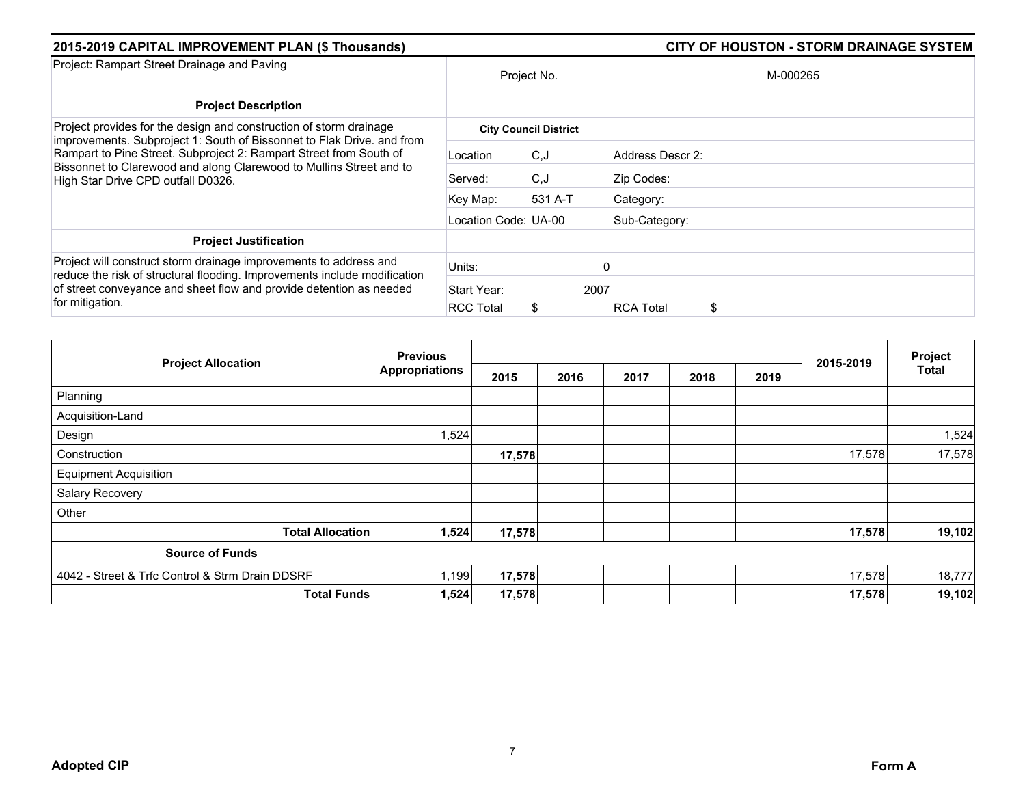| 2015-2019 CAPITAL IMPROVEMENT PLAN (\$ Thousands)                                                                                                |                      | <b>CITY OF HOUSTON - STORM DRAINAGE SYSTEM</b> |                  |          |
|--------------------------------------------------------------------------------------------------------------------------------------------------|----------------------|------------------------------------------------|------------------|----------|
| Project: Rampart Street Drainage and Paving                                                                                                      | Project No.          |                                                |                  | M-000265 |
| <b>Project Description</b>                                                                                                                       |                      |                                                |                  |          |
| Project provides for the design and construction of storm drainage                                                                               |                      | <b>City Council District</b>                   |                  |          |
| improvements. Subproject 1: South of Bissonnet to Flak Drive. and from<br>Rampart to Pine Street. Subproject 2: Rampart Street from South of     | Location             | C.J                                            | Address Descr 2: |          |
| Bissonnet to Clarewood and along Clarewood to Mullins Street and to<br>High Star Drive CPD outfall D0326.                                        | Served:              | C.J                                            | Zip Codes:       |          |
|                                                                                                                                                  | Key Map:             | 531 A-T                                        | Category:        |          |
|                                                                                                                                                  | Location Code: UA-00 |                                                | Sub-Category:    |          |
| <b>Project Justification</b>                                                                                                                     |                      |                                                |                  |          |
| Project will construct storm drainage improvements to address and                                                                                | Units:               |                                                |                  |          |
| reduce the risk of structural flooding. Improvements include modification<br>of street conveyance and sheet flow and provide detention as needed | Start Year:          | 2007                                           |                  |          |
| for mitigation.                                                                                                                                  | <b>RCC Total</b>     | S                                              | <b>RCA Total</b> | \$       |

|                                                 | <b>Previous</b>       |        |      |      |      |      |           | Project |
|-------------------------------------------------|-----------------------|--------|------|------|------|------|-----------|---------|
| <b>Project Allocation</b>                       | <b>Appropriations</b> | 2015   | 2016 | 2017 | 2018 | 2019 | 2015-2019 | Total   |
| Planning                                        |                       |        |      |      |      |      |           |         |
| Acquisition-Land                                |                       |        |      |      |      |      |           |         |
| Design                                          | 1,524                 |        |      |      |      |      |           | 1,524   |
| Construction                                    |                       | 17,578 |      |      |      |      | 17,578    | 17,578  |
| <b>Equipment Acquisition</b>                    |                       |        |      |      |      |      |           |         |
| Salary Recovery                                 |                       |        |      |      |      |      |           |         |
| Other                                           |                       |        |      |      |      |      |           |         |
| <b>Total Allocation</b>                         | 1,524                 | 17,578 |      |      |      |      | 17,578    | 19,102  |
| <b>Source of Funds</b>                          |                       |        |      |      |      |      |           |         |
| 4042 - Street & Trfc Control & Strm Drain DDSRF | 1,199                 | 17,578 |      |      |      |      | 17,578    | 18,777  |
| <b>Total Funds</b>                              | 1,524                 | 17,578 |      |      |      |      | 17,578    | 19,102  |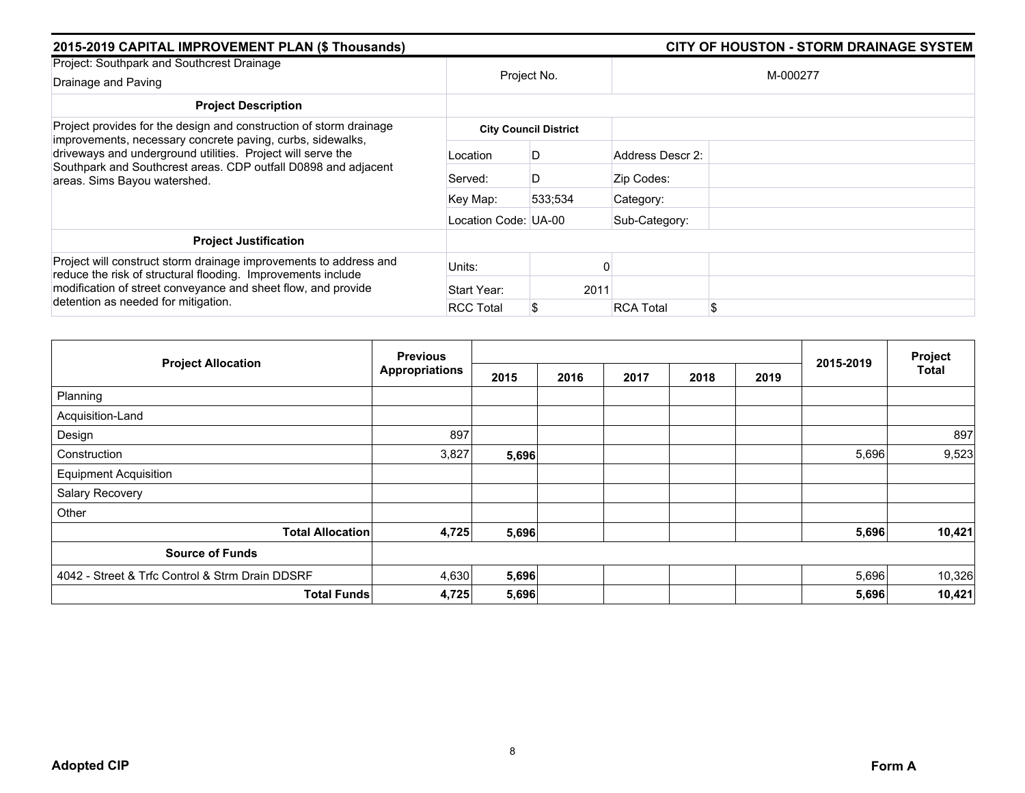| 2015-2019 CAPITAL IMPROVEMENT PLAN (\$ Thousands)                                                                                                                                                                                         |                      |                              | <b>CITY OF HOUSTON - STORM DRAINAGE SYSTEM</b> |
|-------------------------------------------------------------------------------------------------------------------------------------------------------------------------------------------------------------------------------------------|----------------------|------------------------------|------------------------------------------------|
| Project: Southpark and Southcrest Drainage                                                                                                                                                                                                |                      |                              |                                                |
| Drainage and Paving                                                                                                                                                                                                                       |                      | Project No.                  | M-000277                                       |
| <b>Project Description</b>                                                                                                                                                                                                                |                      |                              |                                                |
| Project provides for the design and construction of storm drainage                                                                                                                                                                        |                      | <b>City Council District</b> |                                                |
| improvements, necessary concrete paving, curbs, sidewalks,<br>driveways and underground utilities. Project will serve the<br>Southpark and Southcrest areas. CDP outfall D0898 and adjacent<br>areas. Sims Bayou watershed.               | Location             | D                            | Address Descr 2:                               |
|                                                                                                                                                                                                                                           | Served:              | D                            | Zip Codes:                                     |
|                                                                                                                                                                                                                                           | Key Map:             | 533:534                      | Category:                                      |
|                                                                                                                                                                                                                                           | Location Code: UA-00 |                              | Sub-Category:                                  |
| <b>Project Justification</b>                                                                                                                                                                                                              |                      |                              |                                                |
| Project will construct storm drainage improvements to address and<br>reduce the risk of structural flooding. Improvements include<br>modification of street conveyance and sheet flow, and provide<br>detention as needed for mitigation. | Units:               |                              |                                                |
|                                                                                                                                                                                                                                           | Start Year:          | 2011                         |                                                |
|                                                                                                                                                                                                                                           | <b>RCC Total</b>     |                              | \$<br><b>RCA Total</b>                         |

|                                                 | <b>Previous</b>       |       |      |      |      |      | 2015-2019 | Project |
|-------------------------------------------------|-----------------------|-------|------|------|------|------|-----------|---------|
| <b>Project Allocation</b>                       | <b>Appropriations</b> | 2015  | 2016 | 2017 | 2018 | 2019 |           | Total   |
| Planning                                        |                       |       |      |      |      |      |           |         |
| Acquisition-Land                                |                       |       |      |      |      |      |           |         |
| Design                                          | 897                   |       |      |      |      |      |           | 897     |
| Construction                                    | 3,827                 | 5,696 |      |      |      |      | 5,696     | 9,523   |
| <b>Equipment Acquisition</b>                    |                       |       |      |      |      |      |           |         |
| Salary Recovery                                 |                       |       |      |      |      |      |           |         |
| Other                                           |                       |       |      |      |      |      |           |         |
| <b>Total Allocation</b>                         | 4,725                 | 5,696 |      |      |      |      | 5,696     | 10,421  |
| <b>Source of Funds</b>                          |                       |       |      |      |      |      |           |         |
| 4042 - Street & Trfc Control & Strm Drain DDSRF | 4,630                 | 5,696 |      |      |      |      | 5,696     | 10,326  |
| <b>Total Funds</b>                              | 4,725                 | 5,696 |      |      |      |      | 5,696     | 10,421  |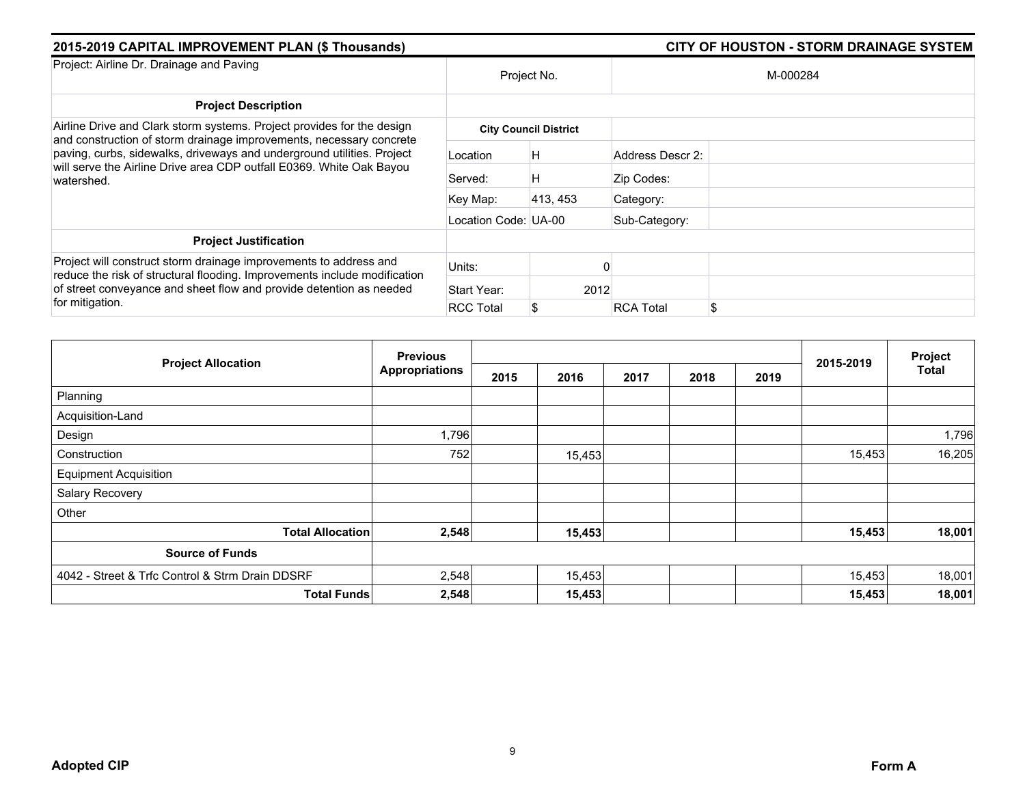| 2015-2019 CAPITAL IMPROVEMENT PLAN (\$ Thousands)                                                                                                                                                                                        |                              |          |                  |    |  |  |
|------------------------------------------------------------------------------------------------------------------------------------------------------------------------------------------------------------------------------------------|------------------------------|----------|------------------|----|--|--|
| Project: Airline Dr. Drainage and Paving                                                                                                                                                                                                 | Project No.                  |          | M-000284         |    |  |  |
| <b>Project Description</b>                                                                                                                                                                                                               |                              |          |                  |    |  |  |
| Airline Drive and Clark storm systems. Project provides for the design                                                                                                                                                                   | <b>City Council District</b> |          |                  |    |  |  |
| and construction of storm drainage improvements, necessary concrete<br>paving, curbs, sidewalks, driveways and underground utilities. Project<br>will serve the Airline Drive area CDP outfall E0369. White Oak Bayou<br>watershed.      | Location                     | Η        | Address Descr 2: |    |  |  |
|                                                                                                                                                                                                                                          | Served:                      | Η        | Zip Codes:       |    |  |  |
|                                                                                                                                                                                                                                          | Key Map:                     | 413, 453 | Category:        |    |  |  |
|                                                                                                                                                                                                                                          | Location Code: UA-00         |          | Sub-Category:    |    |  |  |
| <b>Project Justification</b>                                                                                                                                                                                                             |                              |          |                  |    |  |  |
| Project will construct storm drainage improvements to address and<br>reduce the risk of structural flooding. Improvements include modification<br>of street conveyance and sheet flow and provide detention as needed<br>for mitigation. | Units:                       |          |                  |    |  |  |
|                                                                                                                                                                                                                                          | Start Year:                  | 2012     |                  |    |  |  |
|                                                                                                                                                                                                                                          | <b>RCC Total</b>             | S        | <b>RCA Total</b> | \$ |  |  |

|                                                 | <b>Previous</b>       |      |        |      |      |      |           | Project |
|-------------------------------------------------|-----------------------|------|--------|------|------|------|-----------|---------|
| <b>Project Allocation</b>                       | <b>Appropriations</b> | 2015 | 2016   | 2017 | 2018 | 2019 | 2015-2019 | Total   |
| Planning                                        |                       |      |        |      |      |      |           |         |
| Acquisition-Land                                |                       |      |        |      |      |      |           |         |
| Design                                          | 1,796                 |      |        |      |      |      |           | 1,796   |
| Construction                                    | 752                   |      | 15,453 |      |      |      | 15,453    | 16,205  |
| <b>Equipment Acquisition</b>                    |                       |      |        |      |      |      |           |         |
| Salary Recovery                                 |                       |      |        |      |      |      |           |         |
| Other                                           |                       |      |        |      |      |      |           |         |
| <b>Total Allocation</b>                         | 2,548                 |      | 15,453 |      |      |      | 15,453    | 18,001  |
| <b>Source of Funds</b>                          |                       |      |        |      |      |      |           |         |
| 4042 - Street & Trfc Control & Strm Drain DDSRF | 2,548                 |      | 15,453 |      |      |      | 15,453    | 18,001  |
| <b>Total Funds</b>                              | 2,548                 |      | 15,453 |      |      |      | 15,453    | 18,001  |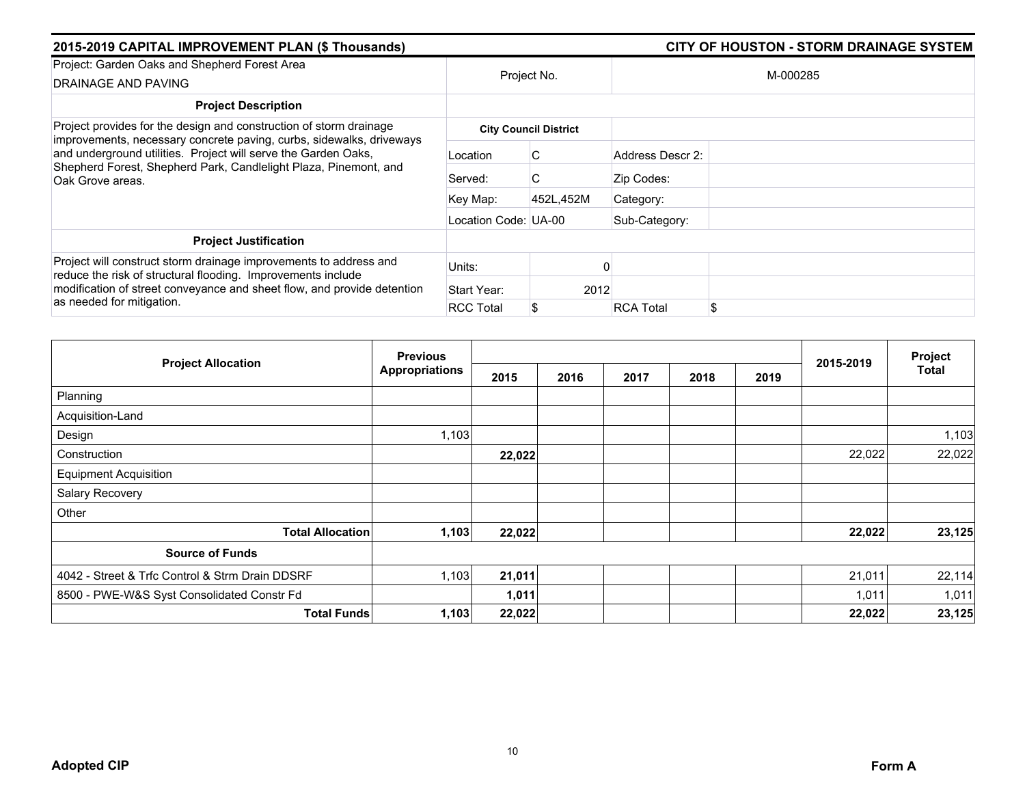| 2015-2019 CAPITAL IMPROVEMENT PLAN (\$ Thousands)                                                                                                                                                                                         |                      |                              |                        |  |  |
|-------------------------------------------------------------------------------------------------------------------------------------------------------------------------------------------------------------------------------------------|----------------------|------------------------------|------------------------|--|--|
| Project: Garden Oaks and Shepherd Forest Area<br>DRAINAGE AND PAVING                                                                                                                                                                      | Project No.          |                              | M-000285               |  |  |
| <b>Project Description</b>                                                                                                                                                                                                                |                      |                              |                        |  |  |
| Project provides for the design and construction of storm drainage                                                                                                                                                                        |                      | <b>City Council District</b> |                        |  |  |
| improvements, necessary concrete paving, curbs, sidewalks, driveways<br>and underground utilities. Project will serve the Garden Oaks,<br>Shepherd Forest, Shepherd Park, Candlelight Plaza, Pinemont, and<br>Oak Grove areas.            | Location             | C                            | Address Descr 2:       |  |  |
|                                                                                                                                                                                                                                           | Served:              | C.                           | Zip Codes:             |  |  |
|                                                                                                                                                                                                                                           | Key Map:             | 452L.452M                    | Category:              |  |  |
|                                                                                                                                                                                                                                           | Location Code: UA-00 |                              | Sub-Category:          |  |  |
| <b>Project Justification</b>                                                                                                                                                                                                              |                      |                              |                        |  |  |
| Project will construct storm drainage improvements to address and<br>reduce the risk of structural flooding. Improvements include<br>modification of street conveyance and sheet flow, and provide detention<br>as needed for mitigation. | Units:               |                              |                        |  |  |
|                                                                                                                                                                                                                                           | Start Year:          | 2012                         |                        |  |  |
|                                                                                                                                                                                                                                           | <b>RCC Total</b>     |                              | \$<br><b>RCA Total</b> |  |  |

|                                                 | <b>Previous</b>       |        |      |      |      |      |           | Project |
|-------------------------------------------------|-----------------------|--------|------|------|------|------|-----------|---------|
| <b>Project Allocation</b>                       | <b>Appropriations</b> | 2015   | 2016 | 2017 | 2018 | 2019 | 2015-2019 | Total   |
| Planning                                        |                       |        |      |      |      |      |           |         |
| Acquisition-Land                                |                       |        |      |      |      |      |           |         |
| Design                                          | 1,103                 |        |      |      |      |      |           | 1,103   |
| Construction                                    |                       | 22,022 |      |      |      |      | 22,022    | 22,022  |
| <b>Equipment Acquisition</b>                    |                       |        |      |      |      |      |           |         |
| Salary Recovery                                 |                       |        |      |      |      |      |           |         |
| Other                                           |                       |        |      |      |      |      |           |         |
| <b>Total Allocation</b>                         | 1,103                 | 22,022 |      |      |      |      | 22,022    | 23,125  |
| <b>Source of Funds</b>                          |                       |        |      |      |      |      |           |         |
| 4042 - Street & Trfc Control & Strm Drain DDSRF | 1,103                 | 21,011 |      |      |      |      | 21,011    | 22,114  |
| 8500 - PWE-W&S Syst Consolidated Constr Fd      |                       | 1,011  |      |      |      |      | 1,011     | 1,011   |
| <b>Total Funds</b>                              | 1,103                 | 22,022 |      |      |      |      | 22,022    | 23,125  |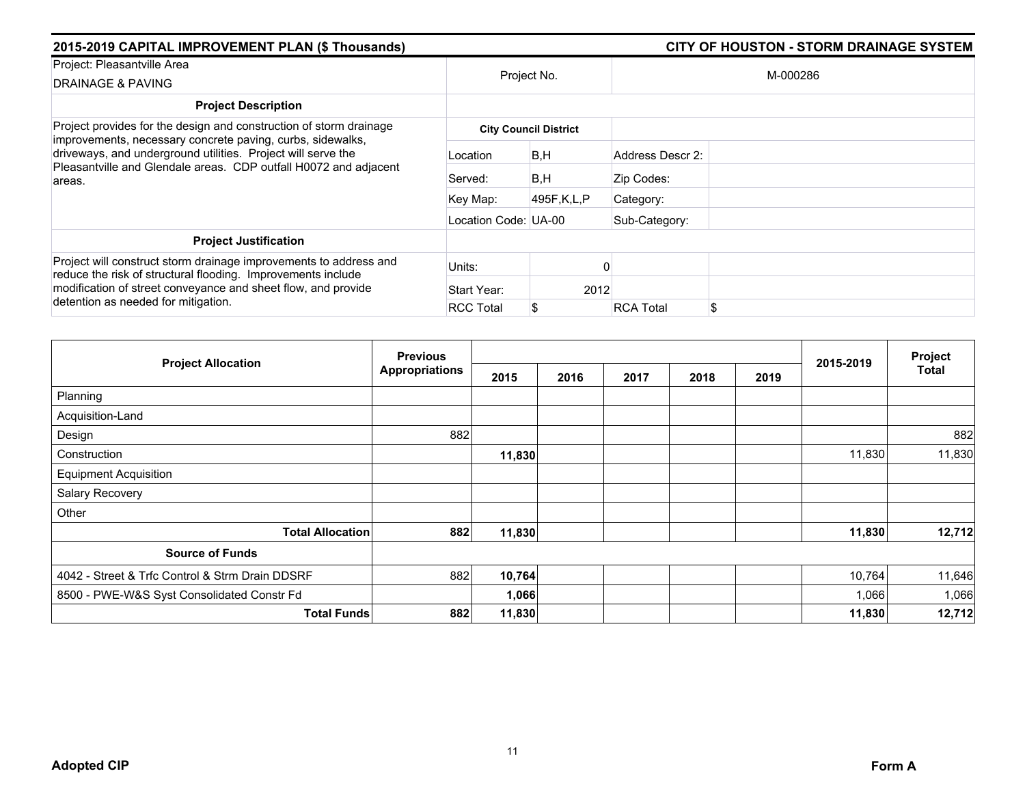| 2015-2019 CAPITAL IMPROVEMENT PLAN (\$ Thousands)                                                                                                                                                                                         | <b>CITY OF HOUSTON - STORM DRAINAGE SYSTEM</b> |                              |                        |  |
|-------------------------------------------------------------------------------------------------------------------------------------------------------------------------------------------------------------------------------------------|------------------------------------------------|------------------------------|------------------------|--|
| Project: Pleasantville Area                                                                                                                                                                                                               |                                                |                              | M-000286               |  |
| DRAINAGE & PAVING                                                                                                                                                                                                                         | Project No.                                    |                              |                        |  |
| <b>Project Description</b>                                                                                                                                                                                                                |                                                |                              |                        |  |
| Project provides for the design and construction of storm drainage<br>improvements, necessary concrete paving, curbs, sidewalks,                                                                                                          |                                                | <b>City Council District</b> |                        |  |
| driveways, and underground utilities. Project will serve the<br>Pleasantville and Glendale areas. CDP outfall H0072 and adjacent<br>areas.                                                                                                | Location                                       | B,H                          | Address Descr 2:       |  |
|                                                                                                                                                                                                                                           | Served:                                        | B,H                          | Zip Codes:             |  |
|                                                                                                                                                                                                                                           | Key Map:                                       | 495F,K,L,P                   | Category:              |  |
|                                                                                                                                                                                                                                           | Location Code: UA-00                           |                              | Sub-Category:          |  |
| <b>Project Justification</b>                                                                                                                                                                                                              |                                                |                              |                        |  |
| Project will construct storm drainage improvements to address and<br>reduce the risk of structural flooding. Improvements include<br>modification of street conveyance and sheet flow, and provide<br>detention as needed for mitigation. | Units:                                         |                              |                        |  |
|                                                                                                                                                                                                                                           | Start Year:                                    | 2012                         |                        |  |
|                                                                                                                                                                                                                                           | <b>RCC Total</b>                               |                              | \$<br><b>RCA Total</b> |  |

|                                                 | <b>Previous</b>       |        |      |      |      |      | Project   |        |
|-------------------------------------------------|-----------------------|--------|------|------|------|------|-----------|--------|
| <b>Project Allocation</b>                       | <b>Appropriations</b> | 2015   | 2016 | 2017 | 2018 | 2019 | 2015-2019 | Total  |
| Planning                                        |                       |        |      |      |      |      |           |        |
| Acquisition-Land                                |                       |        |      |      |      |      |           |        |
| Design                                          | 882                   |        |      |      |      |      |           | 882    |
| Construction                                    |                       | 11,830 |      |      |      |      | 11,830    | 11,830 |
| <b>Equipment Acquisition</b>                    |                       |        |      |      |      |      |           |        |
| Salary Recovery                                 |                       |        |      |      |      |      |           |        |
| Other                                           |                       |        |      |      |      |      |           |        |
| <b>Total Allocation</b>                         | 882                   | 11,830 |      |      |      |      | 11,830    | 12,712 |
| <b>Source of Funds</b>                          |                       |        |      |      |      |      |           |        |
| 4042 - Street & Trfc Control & Strm Drain DDSRF | 882                   | 10,764 |      |      |      |      | 10,764    | 11,646 |
| 8500 - PWE-W&S Syst Consolidated Constr Fd      |                       | 1,066  |      |      |      |      | 1,066     | 1,066  |
| <b>Total Funds</b>                              | 882                   | 11,830 |      |      |      |      | 11,830    | 12,712 |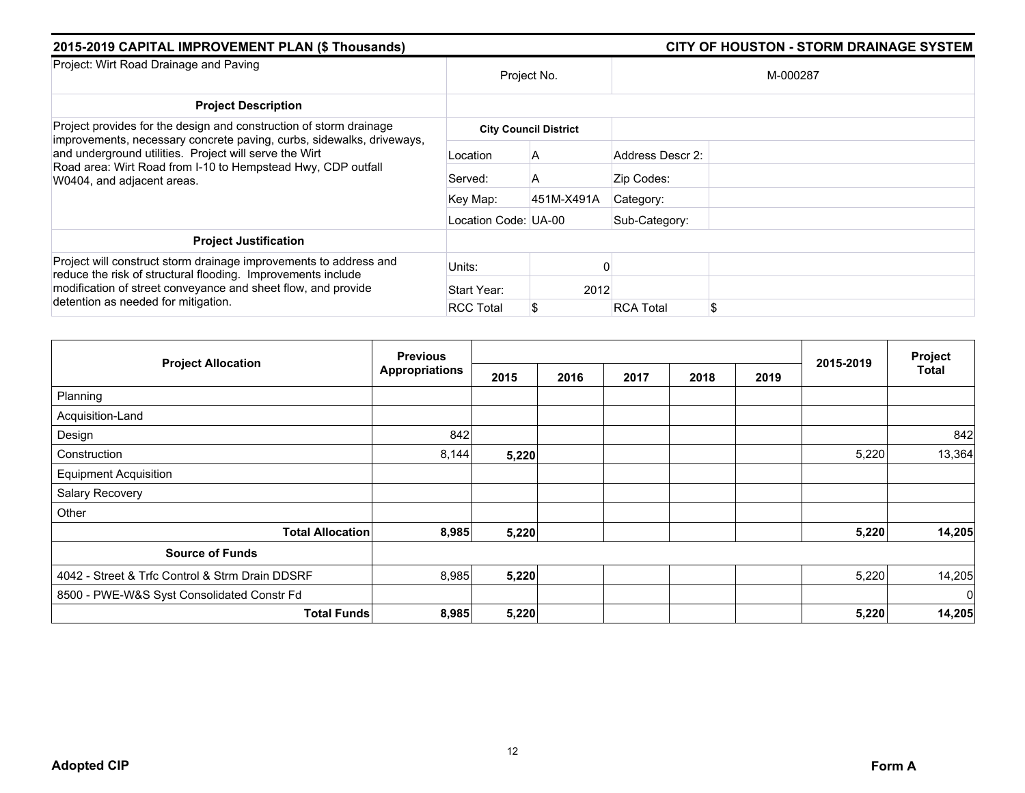| 2015-2019 CAPITAL IMPROVEMENT PLAN (\$ Thousands)                                                                                                                                                                                         |                      |                              | <b>CITY OF HOUSTON - STORM DRAINAGE SYSTEM</b> |
|-------------------------------------------------------------------------------------------------------------------------------------------------------------------------------------------------------------------------------------------|----------------------|------------------------------|------------------------------------------------|
| Project: Wirt Road Drainage and Paving                                                                                                                                                                                                    |                      | Project No.                  | M-000287                                       |
| <b>Project Description</b>                                                                                                                                                                                                                |                      |                              |                                                |
| Project provides for the design and construction of storm drainage                                                                                                                                                                        |                      | <b>City Council District</b> |                                                |
| improvements, necessary concrete paving, curbs, sidewalks, driveways,<br>and underground utilities. Project will serve the Wirt<br>Road area: Wirt Road from I-10 to Hempstead Hwy, CDP outfall<br>W0404, and adjacent areas.             | Location             | A                            | Address Descr 2:                               |
|                                                                                                                                                                                                                                           | Served:              | A                            | Zip Codes:                                     |
|                                                                                                                                                                                                                                           | Key Map:             | 451M-X491A                   | Category:                                      |
|                                                                                                                                                                                                                                           | Location Code: UA-00 |                              | Sub-Category:                                  |
| <b>Project Justification</b>                                                                                                                                                                                                              |                      |                              |                                                |
| Project will construct storm drainage improvements to address and<br>reduce the risk of structural flooding. Improvements include<br>modification of street conveyance and sheet flow, and provide<br>detention as needed for mitigation. | Units:               |                              |                                                |
|                                                                                                                                                                                                                                           | Start Year:          | 2012                         |                                                |
|                                                                                                                                                                                                                                           | <b>RCC Total</b>     |                              | \$<br><b>RCA Total</b>                         |

|                                                 | <b>Previous</b>       |       |      |      |      |      |           | Project        |
|-------------------------------------------------|-----------------------|-------|------|------|------|------|-----------|----------------|
| <b>Project Allocation</b>                       | <b>Appropriations</b> | 2015  | 2016 | 2017 | 2018 | 2019 | 2015-2019 | Total          |
| Planning                                        |                       |       |      |      |      |      |           |                |
| Acquisition-Land                                |                       |       |      |      |      |      |           |                |
| Design                                          | 842                   |       |      |      |      |      |           | 842            |
| Construction                                    | 8,144                 | 5,220 |      |      |      |      | 5,220     | 13,364         |
| <b>Equipment Acquisition</b>                    |                       |       |      |      |      |      |           |                |
| Salary Recovery                                 |                       |       |      |      |      |      |           |                |
| Other                                           |                       |       |      |      |      |      |           |                |
| <b>Total Allocation</b>                         | 8,985                 | 5,220 |      |      |      |      | 5,220     | 14,205         |
| <b>Source of Funds</b>                          |                       |       |      |      |      |      |           |                |
| 4042 - Street & Trfc Control & Strm Drain DDSRF | 8,985                 | 5,220 |      |      |      |      | 5,220     | 14,205         |
| 8500 - PWE-W&S Syst Consolidated Constr Fd      |                       |       |      |      |      |      |           | $\overline{0}$ |
| <b>Total Funds</b>                              | 8,985                 | 5,220 |      |      |      |      | 5,220     | 14,205         |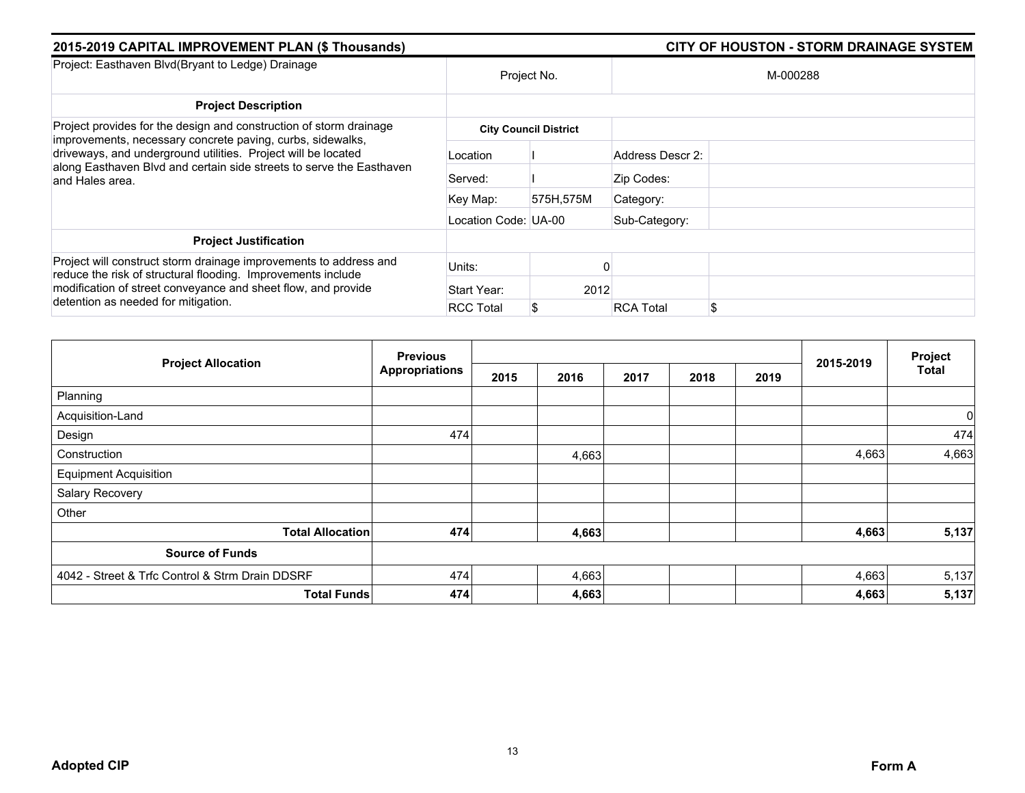| 2015-2019 CAPITAL IMPROVEMENT PLAN (\$ Thousands)                                                                                                                                                                                         |                      |                              | <b>CITY OF HOUSTON - STORM DRAINAGE SYSTEM</b> |
|-------------------------------------------------------------------------------------------------------------------------------------------------------------------------------------------------------------------------------------------|----------------------|------------------------------|------------------------------------------------|
| Project: Easthaven Blvd(Bryant to Ledge) Drainage                                                                                                                                                                                         |                      | Project No.                  | M-000288                                       |
| <b>Project Description</b>                                                                                                                                                                                                                |                      |                              |                                                |
| Project provides for the design and construction of storm drainage                                                                                                                                                                        |                      | <b>City Council District</b> |                                                |
| improvements, necessary concrete paving, curbs, sidewalks,<br>driveways, and underground utilities. Project will be located<br>along Easthaven Blvd and certain side streets to serve the Easthaven<br>and Hales area.                    | Location             |                              | Address Descr 2:                               |
|                                                                                                                                                                                                                                           | Served:              |                              | Zip Codes:                                     |
|                                                                                                                                                                                                                                           | Key Map:             | 575H,575M                    | Category:                                      |
|                                                                                                                                                                                                                                           | Location Code: UA-00 |                              | Sub-Category:                                  |
| <b>Project Justification</b>                                                                                                                                                                                                              |                      |                              |                                                |
| Project will construct storm drainage improvements to address and<br>reduce the risk of structural flooding. Improvements include<br>modification of street conveyance and sheet flow, and provide<br>detention as needed for mitigation. | Units:               |                              |                                                |
|                                                                                                                                                                                                                                           | Start Year:          | 2012                         |                                                |
|                                                                                                                                                                                                                                           | <b>RCC Total</b>     |                              | \$<br><b>RCA Total</b>                         |

|                                                 | <b>Previous</b>       |      |       |      | Project |      |           |       |
|-------------------------------------------------|-----------------------|------|-------|------|---------|------|-----------|-------|
| <b>Project Allocation</b>                       | <b>Appropriations</b> | 2015 | 2016  | 2017 | 2018    | 2019 | 2015-2019 | Total |
| Planning                                        |                       |      |       |      |         |      |           |       |
| Acquisition-Land                                |                       |      |       |      |         |      |           | 0     |
| Design                                          | 474                   |      |       |      |         |      |           | 474   |
| Construction                                    |                       |      | 4,663 |      |         |      | 4,663     | 4,663 |
| <b>Equipment Acquisition</b>                    |                       |      |       |      |         |      |           |       |
| Salary Recovery                                 |                       |      |       |      |         |      |           |       |
| Other                                           |                       |      |       |      |         |      |           |       |
| <b>Total Allocation</b>                         | 474                   |      | 4,663 |      |         |      | 4,663     | 5,137 |
| <b>Source of Funds</b>                          |                       |      |       |      |         |      |           |       |
| 4042 - Street & Trfc Control & Strm Drain DDSRF | 474                   |      | 4,663 |      |         |      | 4,663     | 5,137 |
| <b>Total Funds</b>                              | 474                   |      | 4,663 |      |         |      | 4,663     | 5,137 |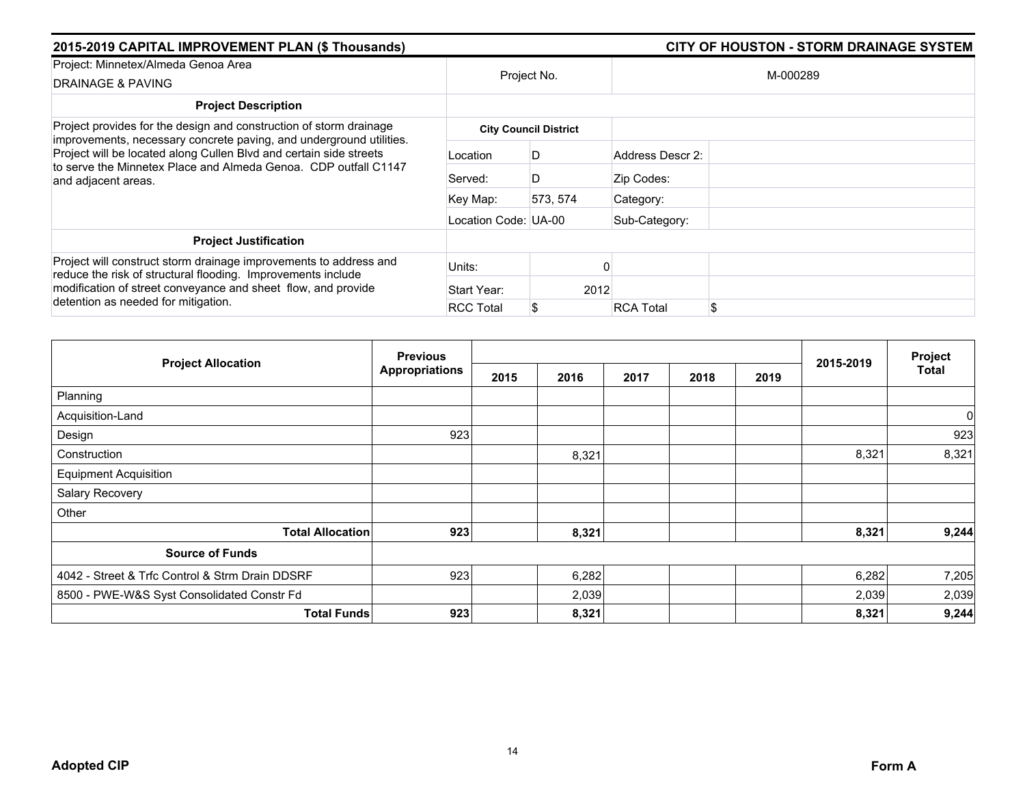| 2015-2019 CAPITAL IMPROVEMENT PLAN (\$ Thousands)                                                                                                                                                                                         |                      |                              |                        |  |  |
|-------------------------------------------------------------------------------------------------------------------------------------------------------------------------------------------------------------------------------------------|----------------------|------------------------------|------------------------|--|--|
| Project: Minnetex/Almeda Genoa Area<br><b>DRAINAGE &amp; PAVING</b>                                                                                                                                                                       |                      | Project No.                  | M-000289               |  |  |
| <b>Project Description</b>                                                                                                                                                                                                                |                      |                              |                        |  |  |
| Project provides for the design and construction of storm drainage                                                                                                                                                                        |                      | <b>City Council District</b> |                        |  |  |
| improvements, necessary concrete paving, and underground utilities.<br>Project will be located along Cullen Blvd and certain side streets<br>to serve the Minnetex Place and Almeda Genoa. CDP outfall C1147<br>and adjacent areas.       | Location             | D                            | Address Descr 2:       |  |  |
|                                                                                                                                                                                                                                           | Served:              | D                            | Zip Codes:             |  |  |
|                                                                                                                                                                                                                                           | Key Map:             | 573, 574                     | Category:              |  |  |
|                                                                                                                                                                                                                                           | Location Code: UA-00 |                              | Sub-Category:          |  |  |
| <b>Project Justification</b>                                                                                                                                                                                                              |                      |                              |                        |  |  |
| Project will construct storm drainage improvements to address and<br>reduce the risk of structural flooding. Improvements include<br>modification of street conveyance and sheet flow, and provide<br>detention as needed for mitigation. | Units:               |                              |                        |  |  |
|                                                                                                                                                                                                                                           | Start Year:          | 2012                         |                        |  |  |
|                                                                                                                                                                                                                                           | <b>RCC Total</b>     |                              | \$<br><b>RCA Total</b> |  |  |

|                                                 | <b>Previous</b>       |      |       |      |      | Project |           |                |
|-------------------------------------------------|-----------------------|------|-------|------|------|---------|-----------|----------------|
| <b>Project Allocation</b>                       | <b>Appropriations</b> | 2015 | 2016  | 2017 | 2018 | 2019    | 2015-2019 | Total          |
| Planning                                        |                       |      |       |      |      |         |           |                |
| Acquisition-Land                                |                       |      |       |      |      |         |           | $\overline{0}$ |
| Design                                          | 923                   |      |       |      |      |         |           | 923            |
| Construction                                    |                       |      | 8,321 |      |      |         | 8,321     | 8,321          |
| <b>Equipment Acquisition</b>                    |                       |      |       |      |      |         |           |                |
| Salary Recovery                                 |                       |      |       |      |      |         |           |                |
| Other                                           |                       |      |       |      |      |         |           |                |
| <b>Total Allocation</b>                         | 923                   |      | 8,321 |      |      |         | 8,321     | 9,244          |
| <b>Source of Funds</b>                          |                       |      |       |      |      |         |           |                |
| 4042 - Street & Trfc Control & Strm Drain DDSRF | 923                   |      | 6,282 |      |      |         | 6,282     | 7,205          |
| 8500 - PWE-W&S Syst Consolidated Constr Fd      |                       |      | 2,039 |      |      |         | 2,039     | 2,039          |
| <b>Total Funds</b>                              | 923                   |      | 8,321 |      |      |         | 8,321     | 9,244          |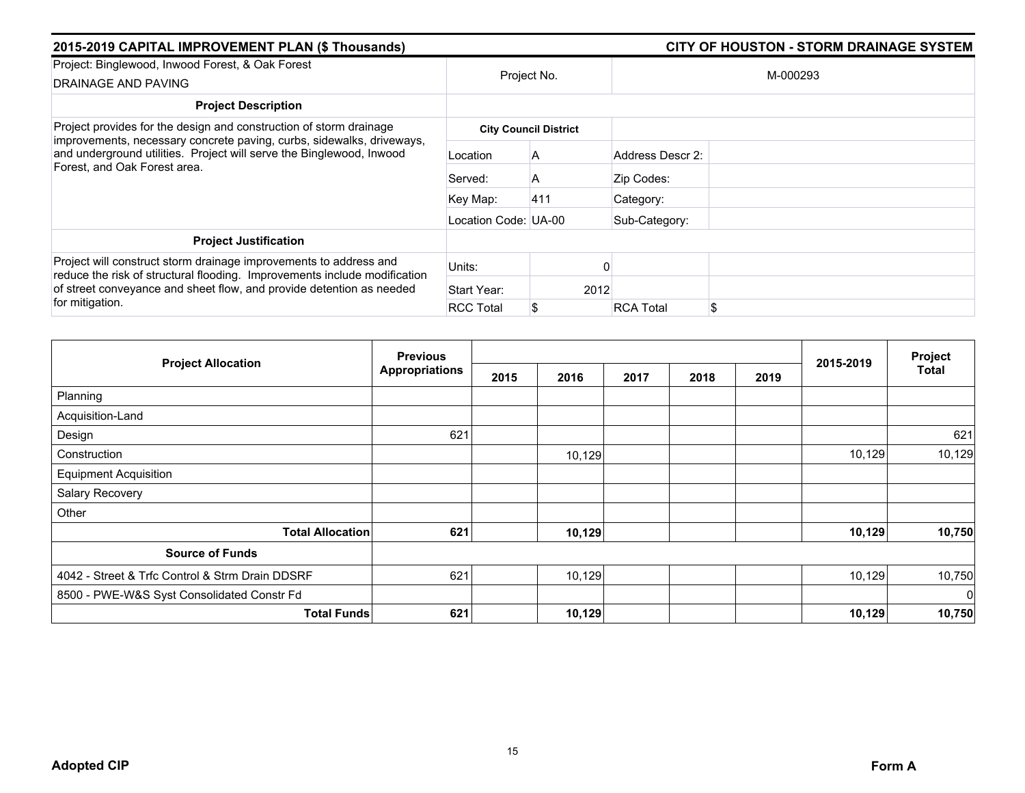| 2015-2019 CAPITAL IMPROVEMENT PLAN (\$ Thousands)                                                                                                                                                                                         |                      |                              |                        |  |
|-------------------------------------------------------------------------------------------------------------------------------------------------------------------------------------------------------------------------------------------|----------------------|------------------------------|------------------------|--|
| Project: Binglewood, Inwood Forest, & Oak Forest<br>DRAINAGE AND PAVING                                                                                                                                                                   | Project No.          |                              | M-000293               |  |
| <b>Project Description</b>                                                                                                                                                                                                                |                      |                              |                        |  |
| Project provides for the design and construction of storm drainage                                                                                                                                                                        |                      | <b>City Council District</b> |                        |  |
| improvements, necessary concrete paving, curbs, sidewalks, driveways,<br>and underground utilities. Project will serve the Binglewood, Inwood<br>Forest, and Oak Forest area.                                                             | Location             | A                            | Address Descr 2:       |  |
|                                                                                                                                                                                                                                           | Served:              | A                            | Zip Codes:             |  |
|                                                                                                                                                                                                                                           | Key Map:             | 411                          | Category:              |  |
|                                                                                                                                                                                                                                           | Location Code: UA-00 |                              | Sub-Category:          |  |
| <b>Project Justification</b>                                                                                                                                                                                                              |                      |                              |                        |  |
| Project will construct storm drainage improvements to address and<br>reduce the risk of structural flooding. Improvements include modification<br>of street conveyance and sheet flow, and provide detention as needed<br>for mitigation. | Units:               |                              |                        |  |
|                                                                                                                                                                                                                                           | Start Year:          | 2012                         |                        |  |
|                                                                                                                                                                                                                                           | <b>RCC Total</b>     |                              | \$<br><b>RCA Total</b> |  |

|                                                 | <b>Previous</b>       |      |        |      | Project |      |           |              |
|-------------------------------------------------|-----------------------|------|--------|------|---------|------|-----------|--------------|
| <b>Project Allocation</b>                       | <b>Appropriations</b> | 2015 | 2016   | 2017 | 2018    | 2019 | 2015-2019 | <b>Total</b> |
| Planning                                        |                       |      |        |      |         |      |           |              |
| Acquisition-Land                                |                       |      |        |      |         |      |           |              |
| Design                                          | 621                   |      |        |      |         |      |           | 621          |
| Construction                                    |                       |      | 10,129 |      |         |      | 10,129    | 10,129       |
| <b>Equipment Acquisition</b>                    |                       |      |        |      |         |      |           |              |
| Salary Recovery                                 |                       |      |        |      |         |      |           |              |
| Other                                           |                       |      |        |      |         |      |           |              |
| <b>Total Allocation</b>                         | 621                   |      | 10,129 |      |         |      | 10,129    | 10,750       |
| <b>Source of Funds</b>                          |                       |      |        |      |         |      |           |              |
| 4042 - Street & Trfc Control & Strm Drain DDSRF | 621                   |      | 10,129 |      |         |      | 10,129    | 10,750       |
| 8500 - PWE-W&S Syst Consolidated Constr Fd      |                       |      |        |      |         |      |           | $\mathbf 0$  |
| <b>Total Funds</b>                              | 621                   |      | 10,129 |      |         |      | 10,129    | 10,750       |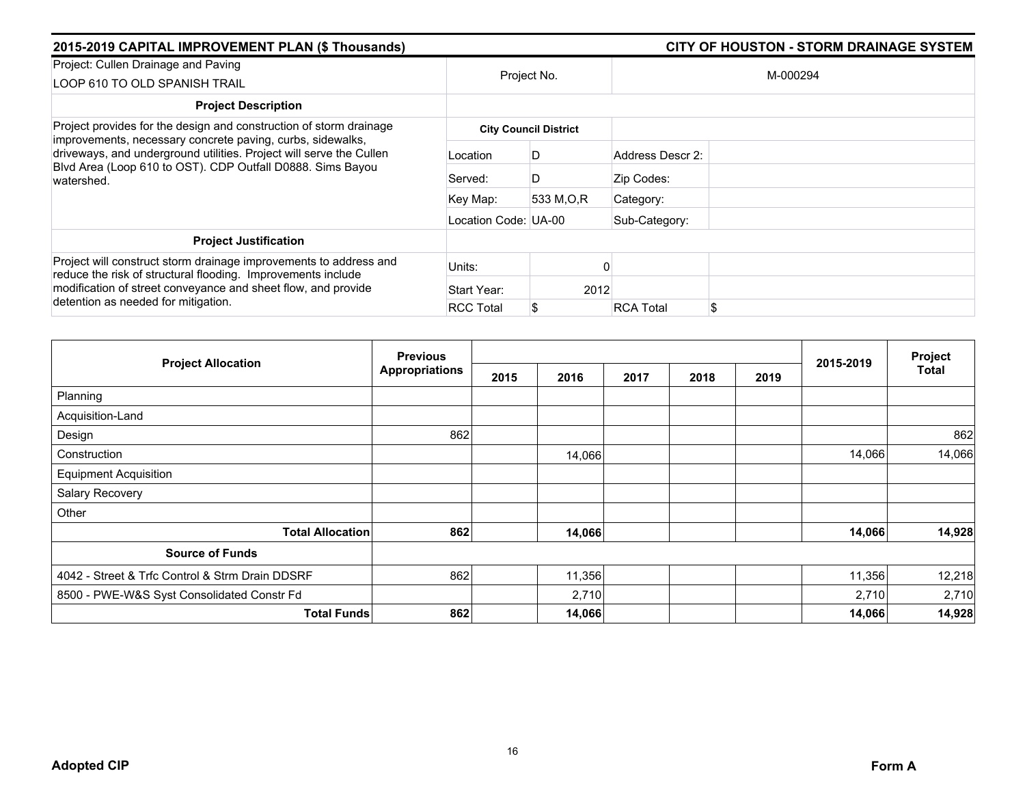| 2015-2019 CAPITAL IMPROVEMENT PLAN (\$ Thousands)                                                                                                                                                                                         |                      |                              |                  | <b>CITY OF HOUSTON - STORM DRAINAGE SYSTEM</b> |
|-------------------------------------------------------------------------------------------------------------------------------------------------------------------------------------------------------------------------------------------|----------------------|------------------------------|------------------|------------------------------------------------|
| Project: Cullen Drainage and Paving<br>LOOP 610 TO OLD SPANISH TRAIL                                                                                                                                                                      | Project No.          |                              |                  | M-000294                                       |
| <b>Project Description</b>                                                                                                                                                                                                                |                      |                              |                  |                                                |
| Project provides for the design and construction of storm drainage                                                                                                                                                                        |                      | <b>City Council District</b> |                  |                                                |
| improvements, necessary concrete paving, curbs, sidewalks,<br>driveways, and underground utilities. Project will serve the Cullen<br>Blvd Area (Loop 610 to OST). CDP Outfall D0888. Sims Bayou<br>watershed.                             | Location             | D                            | Address Descr 2: |                                                |
|                                                                                                                                                                                                                                           | Served:              | D                            | Zip Codes:       |                                                |
|                                                                                                                                                                                                                                           | Key Map:             | 533 M.O.R                    | Category:        |                                                |
|                                                                                                                                                                                                                                           | Location Code: UA-00 |                              | Sub-Category:    |                                                |
| <b>Project Justification</b>                                                                                                                                                                                                              |                      |                              |                  |                                                |
| Project will construct storm drainage improvements to address and<br>reduce the risk of structural flooding. Improvements include<br>modification of street conveyance and sheet flow, and provide<br>detention as needed for mitigation. | Units:               |                              |                  |                                                |
|                                                                                                                                                                                                                                           | Start Year:          | 2012                         |                  |                                                |
|                                                                                                                                                                                                                                           | <b>RCC Total</b>     | 8                            | <b>RCA Total</b> | \$                                             |

|                                                 | <b>Previous</b>       |      |        |      |      |      | 2015-2019 | Project<br><b>Total</b> |
|-------------------------------------------------|-----------------------|------|--------|------|------|------|-----------|-------------------------|
| <b>Project Allocation</b>                       | <b>Appropriations</b> | 2015 | 2016   | 2017 | 2018 | 2019 |           |                         |
| Planning                                        |                       |      |        |      |      |      |           |                         |
| Acquisition-Land                                |                       |      |        |      |      |      |           |                         |
| Design                                          | 862                   |      |        |      |      |      |           | 862                     |
| Construction                                    |                       |      | 14,066 |      |      |      | 14,066    | 14,066                  |
| <b>Equipment Acquisition</b>                    |                       |      |        |      |      |      |           |                         |
| Salary Recovery                                 |                       |      |        |      |      |      |           |                         |
| Other                                           |                       |      |        |      |      |      |           |                         |
| <b>Total Allocation</b>                         | 862                   |      | 14,066 |      |      |      | 14,066    | 14,928                  |
| <b>Source of Funds</b>                          |                       |      |        |      |      |      |           |                         |
| 4042 - Street & Trfc Control & Strm Drain DDSRF | 862                   |      | 11,356 |      |      |      | 11,356    | 12,218                  |
| 8500 - PWE-W&S Syst Consolidated Constr Fd      |                       |      | 2,710  |      |      |      | 2,710     | 2,710                   |
| <b>Total Funds</b>                              | 862                   |      | 14,066 |      |      |      | 14,066    | 14,928                  |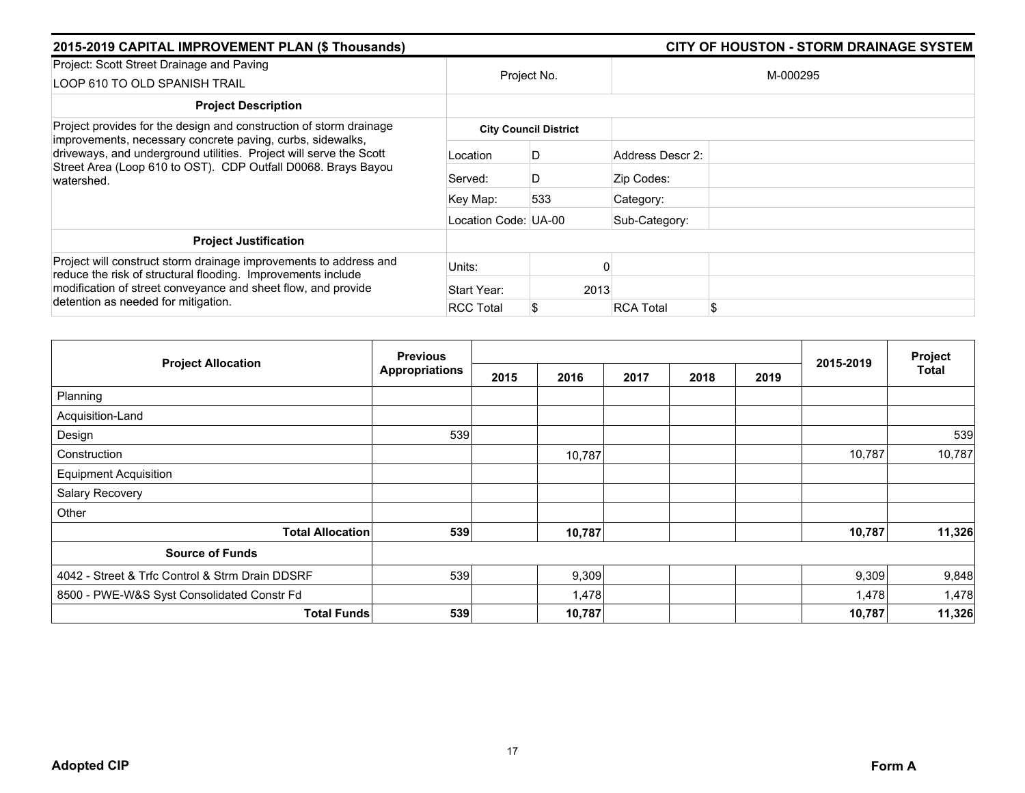| 2015-2019 CAPITAL IMPROVEMENT PLAN (\$ Thousands)                                                                                                                                                                                         |                      | <b>CITY OF HOUSTON - STORM DRAINAGE SYSTEM</b> |                        |  |  |  |
|-------------------------------------------------------------------------------------------------------------------------------------------------------------------------------------------------------------------------------------------|----------------------|------------------------------------------------|------------------------|--|--|--|
| Project: Scott Street Drainage and Paving<br>LOOP 610 TO OLD SPANISH TRAIL                                                                                                                                                                | Project No.          |                                                | M-000295               |  |  |  |
| <b>Project Description</b>                                                                                                                                                                                                                |                      |                                                |                        |  |  |  |
| Project provides for the design and construction of storm drainage                                                                                                                                                                        |                      | <b>City Council District</b>                   |                        |  |  |  |
| improvements, necessary concrete paving, curbs, sidewalks,<br>driveways, and underground utilities. Project will serve the Scott<br>Street Area (Loop 610 to OST). CDP Outfall D0068. Brays Bayou<br>watershed.                           | Location             | D                                              | Address Descr 2:       |  |  |  |
|                                                                                                                                                                                                                                           | Served:              | D                                              | Zip Codes:             |  |  |  |
|                                                                                                                                                                                                                                           | Key Map:             | 533                                            | Category:              |  |  |  |
|                                                                                                                                                                                                                                           | Location Code: UA-00 |                                                | Sub-Category:          |  |  |  |
| <b>Project Justification</b>                                                                                                                                                                                                              |                      |                                                |                        |  |  |  |
| Project will construct storm drainage improvements to address and<br>reduce the risk of structural flooding. Improvements include<br>modification of street conveyance and sheet flow, and provide<br>detention as needed for mitigation. | Units:               |                                                |                        |  |  |  |
|                                                                                                                                                                                                                                           | Start Year:          | 2013                                           |                        |  |  |  |
|                                                                                                                                                                                                                                           | <b>RCC Total</b>     |                                                | \$<br><b>RCA Total</b> |  |  |  |

|                                                 | <b>Previous</b>       |      |        | Project |      |      |           |        |
|-------------------------------------------------|-----------------------|------|--------|---------|------|------|-----------|--------|
| <b>Project Allocation</b>                       | <b>Appropriations</b> | 2015 | 2016   | 2017    | 2018 | 2019 | 2015-2019 | Total  |
| Planning                                        |                       |      |        |         |      |      |           |        |
| Acquisition-Land                                |                       |      |        |         |      |      |           |        |
| Design                                          | 539                   |      |        |         |      |      |           | 539    |
| Construction                                    |                       |      | 10,787 |         |      |      | 10,787    | 10,787 |
| <b>Equipment Acquisition</b>                    |                       |      |        |         |      |      |           |        |
| Salary Recovery                                 |                       |      |        |         |      |      |           |        |
| Other                                           |                       |      |        |         |      |      |           |        |
| <b>Total Allocation</b>                         | 539                   |      | 10,787 |         |      |      | 10,787    | 11,326 |
| <b>Source of Funds</b>                          |                       |      |        |         |      |      |           |        |
| 4042 - Street & Trfc Control & Strm Drain DDSRF | 539                   |      | 9,309  |         |      |      | 9,309     | 9,848  |
| 8500 - PWE-W&S Syst Consolidated Constr Fd      |                       |      | 1,478  |         |      |      | 1,478     | 1,478  |
| <b>Total Funds</b>                              | 539                   |      | 10,787 |         |      |      | 10,787    | 11,326 |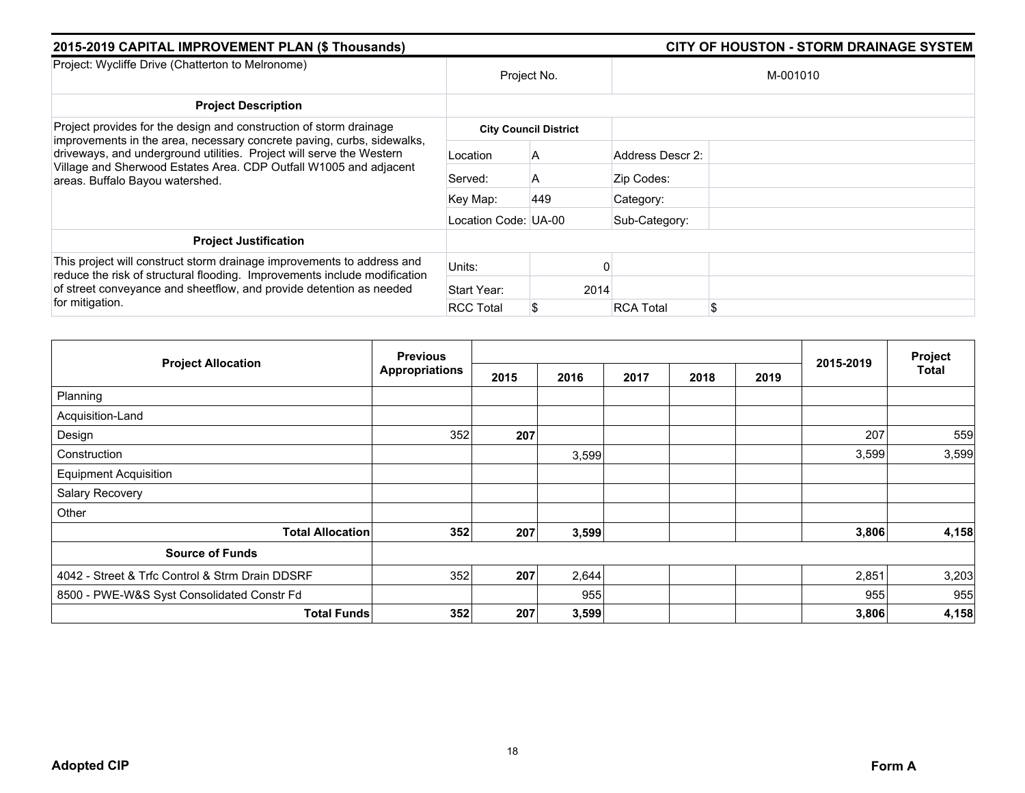| 2015-2019 CAPITAL IMPROVEMENT PLAN (\$ Thousands)                                                                                                                                                                                                      |                      | <b>CITY OF HOUSTON - STORM DRAINAGE SYSTEM</b> |                  |    |  |  |
|--------------------------------------------------------------------------------------------------------------------------------------------------------------------------------------------------------------------------------------------------------|----------------------|------------------------------------------------|------------------|----|--|--|
| Project: Wycliffe Drive (Chatterton to Melronome)                                                                                                                                                                                                      | Project No.          |                                                | M-001010         |    |  |  |
| <b>Project Description</b>                                                                                                                                                                                                                             |                      |                                                |                  |    |  |  |
| Project provides for the design and construction of storm drainage                                                                                                                                                                                     |                      | <b>City Council District</b>                   |                  |    |  |  |
| improvements in the area, necessary concrete paving, curbs, sidewalks,<br>driveways, and underground utilities. Project will serve the Western<br>Village and Sherwood Estates Area. CDP Outfall W1005 and adjacent<br>areas. Buffalo Bayou watershed. | Location             | A                                              | Address Descr 2: |    |  |  |
|                                                                                                                                                                                                                                                        | Served:              | A                                              | Zip Codes:       |    |  |  |
|                                                                                                                                                                                                                                                        | Key Map:             | 449                                            | Category:        |    |  |  |
|                                                                                                                                                                                                                                                        | Location Code: UA-00 |                                                | Sub-Category:    |    |  |  |
| <b>Project Justification</b>                                                                                                                                                                                                                           |                      |                                                |                  |    |  |  |
| This project will construct storm drainage improvements to address and<br>reduce the risk of structural flooding. Improvements include modification<br>of street conveyance and sheetflow, and provide detention as needed<br>for mitigation.          | Units:               |                                                |                  |    |  |  |
|                                                                                                                                                                                                                                                        | Start Year:          | 2014                                           |                  |    |  |  |
|                                                                                                                                                                                                                                                        | <b>RCC Total</b>     | S                                              | <b>RCA Total</b> | \$ |  |  |

|                                                 | <b>Previous</b>       |      |       |      |      | Project |           |       |
|-------------------------------------------------|-----------------------|------|-------|------|------|---------|-----------|-------|
| <b>Project Allocation</b>                       | <b>Appropriations</b> | 2015 | 2016  | 2017 | 2018 | 2019    | 2015-2019 | Total |
| Planning                                        |                       |      |       |      |      |         |           |       |
| Acquisition-Land                                |                       |      |       |      |      |         |           |       |
| Design                                          | 352                   | 207  |       |      |      |         | 207       | 559   |
| Construction                                    |                       |      | 3,599 |      |      |         | 3,599     | 3,599 |
| <b>Equipment Acquisition</b>                    |                       |      |       |      |      |         |           |       |
| Salary Recovery                                 |                       |      |       |      |      |         |           |       |
| Other                                           |                       |      |       |      |      |         |           |       |
| <b>Total Allocation</b>                         | 352                   | 207  | 3,599 |      |      |         | 3,806     | 4,158 |
| <b>Source of Funds</b>                          |                       |      |       |      |      |         |           |       |
| 4042 - Street & Trfc Control & Strm Drain DDSRF | 352                   | 207  | 2,644 |      |      |         | 2,851     | 3,203 |
| 8500 - PWE-W&S Syst Consolidated Constr Fd      |                       |      | 955   |      |      |         | 955       | 955   |
| <b>Total Funds</b>                              | 352                   | 207  | 3,599 |      |      |         | 3,806     | 4,158 |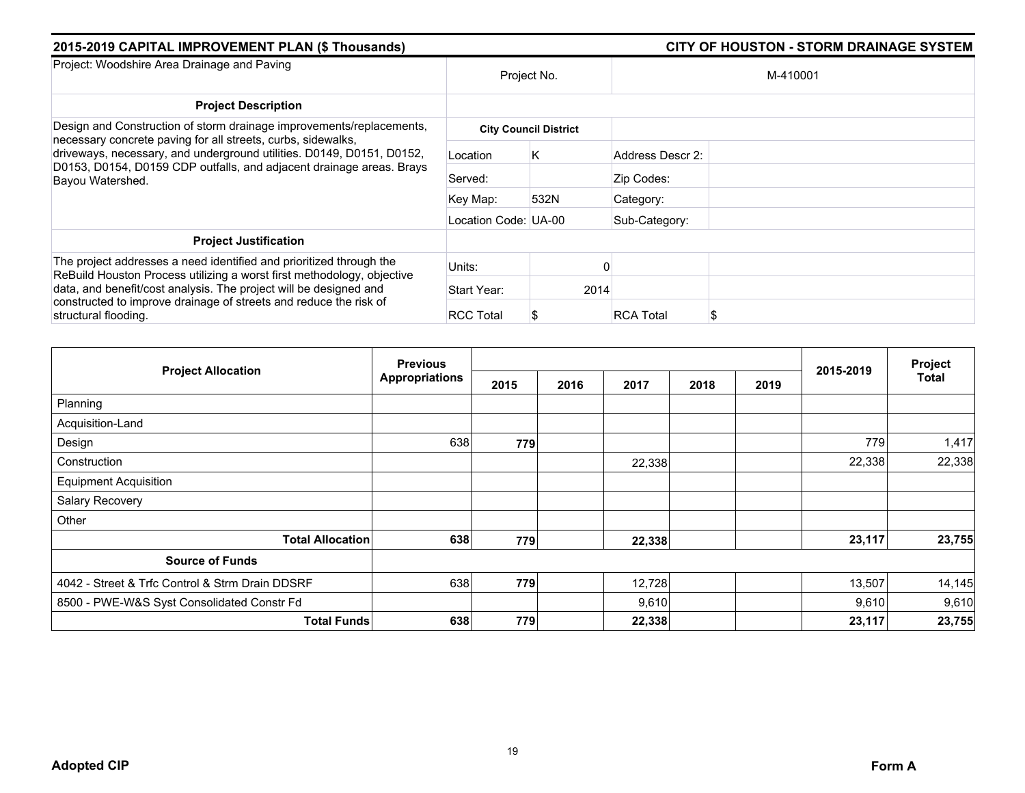| 2015-2019 CAPITAL IMPROVEMENT PLAN (\$ Thousands)                                                                                                                 |                      | <b>CITY OF HOUSTON - STORM DRAINAGE SYSTEM</b> |                  |          |  |  |
|-------------------------------------------------------------------------------------------------------------------------------------------------------------------|----------------------|------------------------------------------------|------------------|----------|--|--|
| Project: Woodshire Area Drainage and Paving                                                                                                                       | Project No.          |                                                |                  | M-410001 |  |  |
| <b>Project Description</b>                                                                                                                                        |                      |                                                |                  |          |  |  |
| Design and Construction of storm drainage improvements/replacements,<br>necessary concrete paving for all streets, curbs, sidewalks,                              |                      | <b>City Council District</b>                   |                  |          |  |  |
| driveways, necessary, and underground utilities. D0149, D0151, D0152,<br>D0153, D0154, D0159 CDP outfalls, and adjacent drainage areas. Brays<br>Bayou Watershed. | Location             | K                                              | Address Descr 2: |          |  |  |
|                                                                                                                                                                   | Served:              |                                                | Zip Codes:       |          |  |  |
|                                                                                                                                                                   | Key Map:             | 532N                                           | Category:        |          |  |  |
|                                                                                                                                                                   | Location Code: UA-00 |                                                | Sub-Category:    |          |  |  |
| <b>Project Justification</b>                                                                                                                                      |                      |                                                |                  |          |  |  |
| The project addresses a need identified and prioritized through the<br>ReBuild Houston Process utilizing a worst first methodology, objective                     | Units:               |                                                |                  |          |  |  |
| data, and benefit/cost analysis. The project will be designed and<br>constructed to improve drainage of streets and reduce the risk of<br>structural flooding.    | Start Year:          | 2014                                           |                  |          |  |  |
|                                                                                                                                                                   | <b>RCC Total</b>     |                                                | <b>RCA Total</b> | S        |  |  |

|                                                 | <b>Previous</b>       |      |              |      |      |           | Project |
|-------------------------------------------------|-----------------------|------|--------------|------|------|-----------|---------|
| <b>Project Allocation</b>                       | <b>Appropriations</b> | 2015 | 2016<br>2017 | 2018 | 2019 | 2015-2019 | Total   |
| Planning                                        |                       |      |              |      |      |           |         |
| Acquisition-Land                                |                       |      |              |      |      |           |         |
| Design                                          | 638                   | 779  |              |      |      | 779       | 1,417   |
| Construction                                    |                       |      | 22,338       |      |      | 22,338    | 22,338  |
| <b>Equipment Acquisition</b>                    |                       |      |              |      |      |           |         |
| Salary Recovery                                 |                       |      |              |      |      |           |         |
| Other                                           |                       |      |              |      |      |           |         |
| <b>Total Allocation</b>                         | 638                   | 779  | 22,338       |      |      | 23,117    | 23,755  |
| <b>Source of Funds</b>                          |                       |      |              |      |      |           |         |
| 4042 - Street & Trfc Control & Strm Drain DDSRF | 638                   | 779  | 12,728       |      |      | 13,507    | 14,145  |
| 8500 - PWE-W&S Syst Consolidated Constr Fd      |                       |      | 9,610        |      |      | 9,610     | 9,610   |
| <b>Total Funds</b>                              | 638                   | 779  | 22,338       |      |      | 23,117    | 23,755  |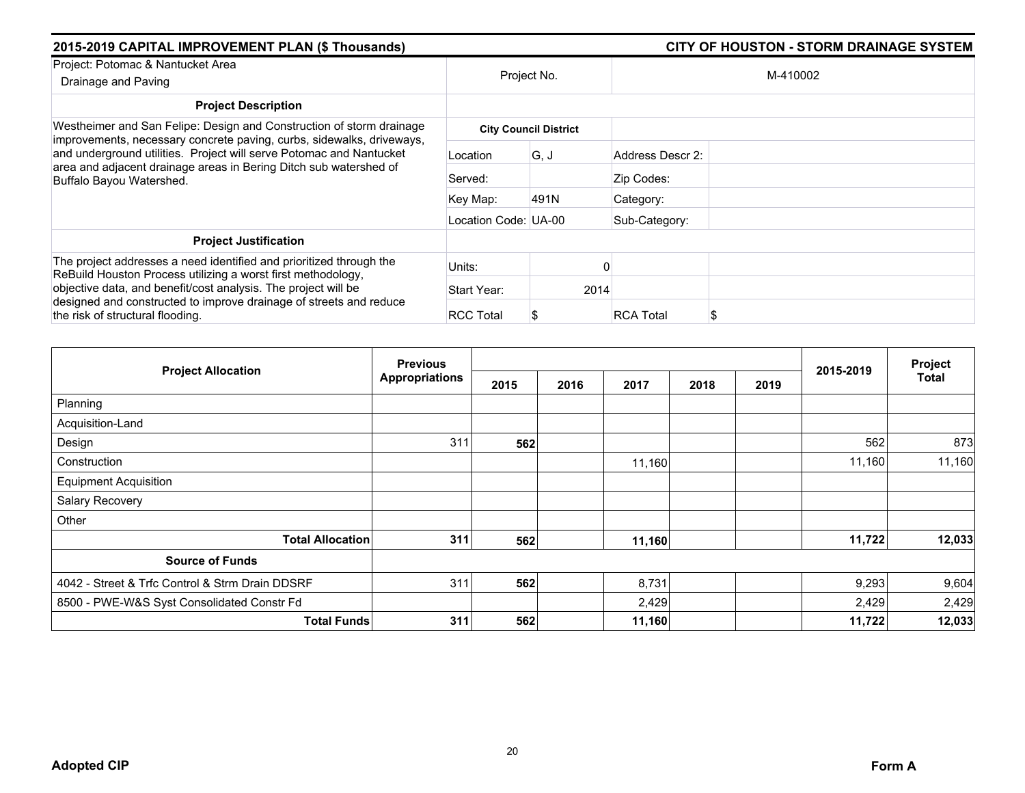| 2015-2019 CAPITAL IMPROVEMENT PLAN (\$ Thousands)                                                                                                                        |                      | <b>CITY OF HOUSTON - STORM DRAINAGE SYSTEM</b> |                       |  |  |
|--------------------------------------------------------------------------------------------------------------------------------------------------------------------------|----------------------|------------------------------------------------|-----------------------|--|--|
| Project: Potomac & Nantucket Area<br>Drainage and Paving                                                                                                                 | Project No.          |                                                | M-410002              |  |  |
| <b>Project Description</b>                                                                                                                                               |                      |                                                |                       |  |  |
| Westheimer and San Felipe: Design and Construction of storm drainage<br>improvements, necessary concrete paving, curbs, sidewalks, driveways,                            |                      | <b>City Council District</b>                   |                       |  |  |
| and underground utilities. Project will serve Potomac and Nantucket<br>area and adjacent drainage areas in Bering Ditch sub watershed of<br>Buffalo Bayou Watershed.     | Location             | G, J                                           | Address Descr 2:      |  |  |
|                                                                                                                                                                          | Served:              |                                                | Zip Codes:            |  |  |
|                                                                                                                                                                          | Key Map:             | 491N                                           | Category:             |  |  |
|                                                                                                                                                                          | Location Code: UA-00 |                                                | Sub-Category:         |  |  |
| <b>Project Justification</b>                                                                                                                                             |                      |                                                |                       |  |  |
| The project addresses a need identified and prioritized through the<br>ReBuild Houston Process utilizing a worst first methodology,                                      | Units:               |                                                |                       |  |  |
| objective data, and benefit/cost analysis. The project will be<br>designed and constructed to improve drainage of streets and reduce<br>the risk of structural flooding. | Start Year:          | 2014                                           |                       |  |  |
|                                                                                                                                                                          | <b>RCC Total</b>     |                                                | <b>RCA Total</b><br>S |  |  |

| <b>Project Allocation</b>                       | <b>Previous</b>       |      |      |        |      |      | 2015-2019 | Project      |
|-------------------------------------------------|-----------------------|------|------|--------|------|------|-----------|--------------|
|                                                 | <b>Appropriations</b> | 2015 | 2016 | 2017   | 2018 | 2019 |           | <b>Total</b> |
| Planning                                        |                       |      |      |        |      |      |           |              |
| Acquisition-Land                                |                       |      |      |        |      |      |           |              |
| Design                                          | 311                   | 562  |      |        |      |      | 562       | 873          |
| Construction                                    |                       |      |      | 11,160 |      |      | 11,160    | 11,160       |
| <b>Equipment Acquisition</b>                    |                       |      |      |        |      |      |           |              |
| Salary Recovery                                 |                       |      |      |        |      |      |           |              |
| Other                                           |                       |      |      |        |      |      |           |              |
| <b>Total Allocation</b>                         | 311                   | 562  |      | 11,160 |      |      | 11,722    | 12,033       |
| <b>Source of Funds</b>                          |                       |      |      |        |      |      |           |              |
| 4042 - Street & Trfc Control & Strm Drain DDSRF | 311                   | 562  |      | 8,731  |      |      | 9,293     | 9,604        |
| 8500 - PWE-W&S Syst Consolidated Constr Fd      |                       |      |      | 2,429  |      |      | 2,429     | 2,429        |
| <b>Total Funds</b>                              | 311                   | 562  |      | 11,160 |      |      | 11,722    | 12,033       |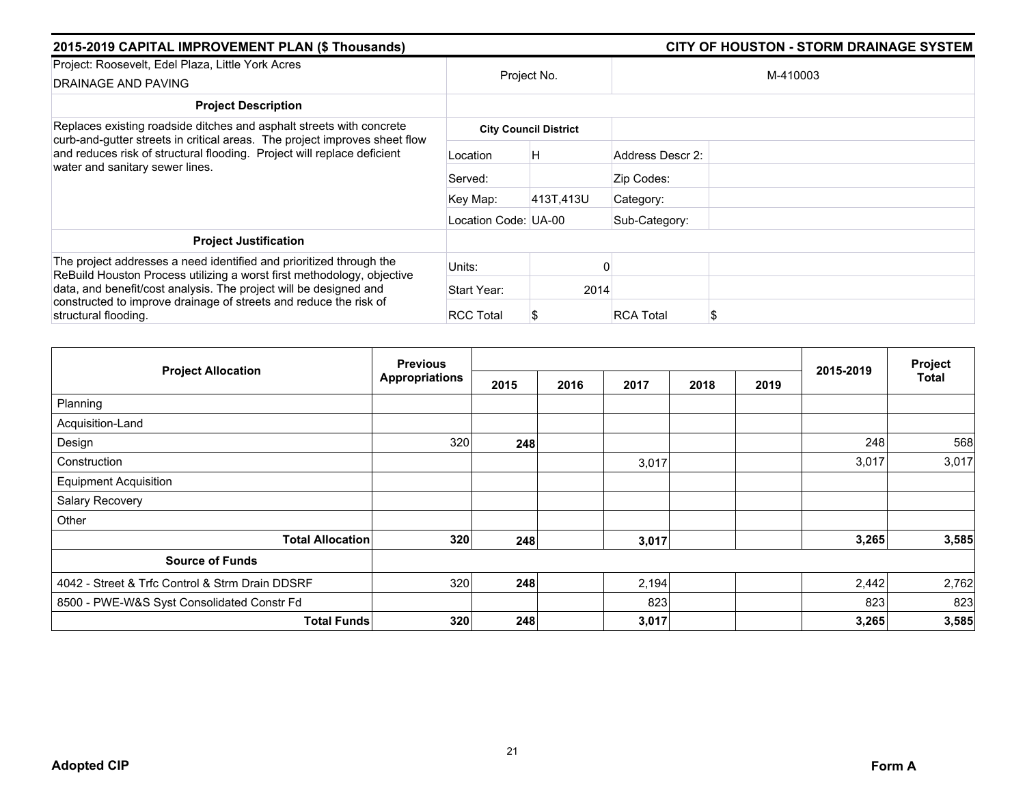| 2015-2019 CAPITAL IMPROVEMENT PLAN (\$ Thousands)                                                                                                              |                      | <b>CITY OF HOUSTON - STORM DRAINAGE SYSTEM</b> |                  |   |  |  |
|----------------------------------------------------------------------------------------------------------------------------------------------------------------|----------------------|------------------------------------------------|------------------|---|--|--|
| Project: Roosevelt, Edel Plaza, Little York Acres<br>DRAINAGE AND PAVING                                                                                       |                      | Project No.                                    | M-410003         |   |  |  |
| <b>Project Description</b>                                                                                                                                     |                      |                                                |                  |   |  |  |
| Replaces existing roadside ditches and asphalt streets with concrete<br>curb-and-gutter streets in critical areas. The project improves sheet flow             |                      | <b>City Council District</b>                   |                  |   |  |  |
| and reduces risk of structural flooding. Project will replace deficient<br>water and sanitary sewer lines.                                                     | Location             | H                                              | Address Descr 2: |   |  |  |
|                                                                                                                                                                | Served:              |                                                | Zip Codes:       |   |  |  |
|                                                                                                                                                                | Key Map:             | 413T,413U                                      | Category:        |   |  |  |
|                                                                                                                                                                | Location Code: UA-00 |                                                | Sub-Category:    |   |  |  |
| <b>Project Justification</b>                                                                                                                                   |                      |                                                |                  |   |  |  |
| The project addresses a need identified and prioritized through the<br>ReBuild Houston Process utilizing a worst first methodology, objective                  | Units:               |                                                |                  |   |  |  |
| data, and benefit/cost analysis. The project will be designed and<br>constructed to improve drainage of streets and reduce the risk of<br>structural flooding. | Start Year:          | 2014                                           |                  |   |  |  |
|                                                                                                                                                                | <b>RCC Total</b>     |                                                | <b>RCA Total</b> | S |  |  |

|                                                 | <b>Previous</b>       |      |      |       |      | Project |           |       |
|-------------------------------------------------|-----------------------|------|------|-------|------|---------|-----------|-------|
| <b>Project Allocation</b>                       | <b>Appropriations</b> | 2015 | 2016 | 2017  | 2018 | 2019    | 2015-2019 | Total |
| Planning                                        |                       |      |      |       |      |         |           |       |
| Acquisition-Land                                |                       |      |      |       |      |         |           |       |
| Design                                          | 320                   | 248  |      |       |      |         | 248       | 568   |
| Construction                                    |                       |      |      | 3,017 |      |         | 3,017     | 3,017 |
| <b>Equipment Acquisition</b>                    |                       |      |      |       |      |         |           |       |
| Salary Recovery                                 |                       |      |      |       |      |         |           |       |
| Other                                           |                       |      |      |       |      |         |           |       |
| <b>Total Allocation</b>                         | 320                   | 248  |      | 3,017 |      |         | 3,265     | 3,585 |
| <b>Source of Funds</b>                          |                       |      |      |       |      |         |           |       |
| 4042 - Street & Trfc Control & Strm Drain DDSRF | 320                   | 248  |      | 2,194 |      |         | 2,442     | 2,762 |
| 8500 - PWE-W&S Syst Consolidated Constr Fd      |                       |      |      | 823   |      |         | 823       | 823   |
| <b>Total Funds</b>                              | 320                   | 248  |      | 3,017 |      |         | 3,265     | 3,585 |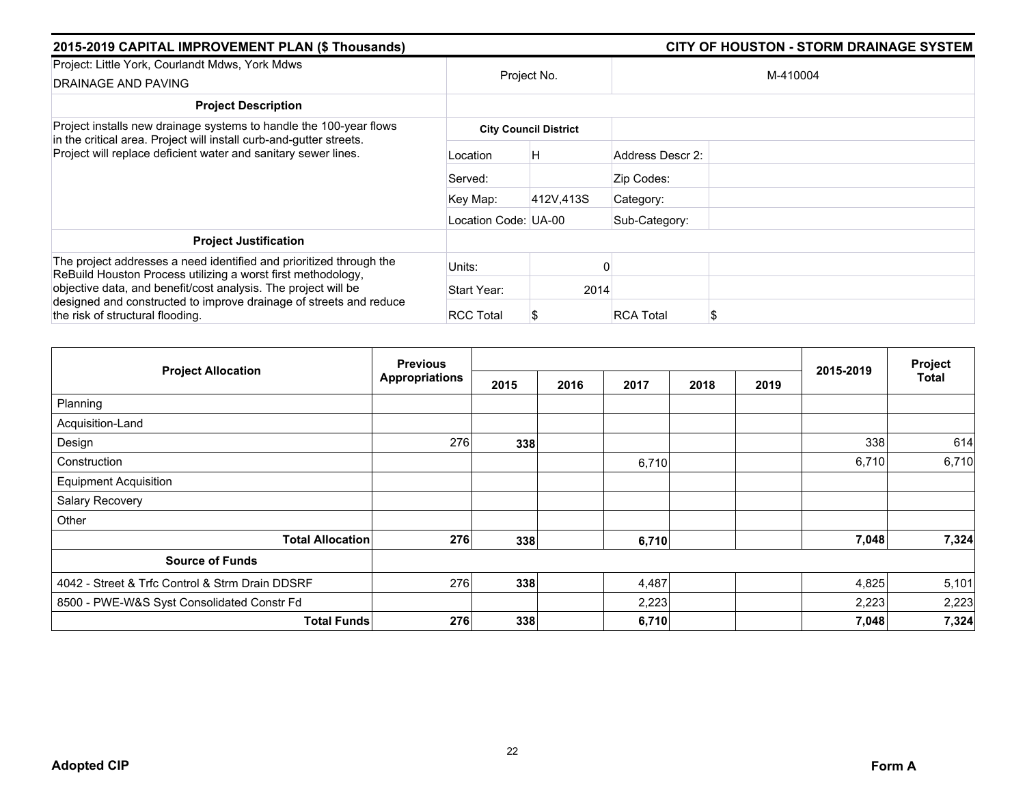| 2015-2019 CAPITAL IMPROVEMENT PLAN (\$ Thousands)                                                                                                                        |                      |                              | <b>CITY OF HOUSTON - STORM DRAINAGE SYSTEM</b> |          |
|--------------------------------------------------------------------------------------------------------------------------------------------------------------------------|----------------------|------------------------------|------------------------------------------------|----------|
| Project: Little York, Courlandt Mdws, York Mdws<br>DRAINAGE AND PAVING                                                                                                   | Project No.          |                              |                                                | M-410004 |
| <b>Project Description</b>                                                                                                                                               |                      |                              |                                                |          |
| Project installs new drainage systems to handle the 100-year flows<br>in the critical area. Project will install curb-and-gutter streets.                                |                      | <b>City Council District</b> |                                                |          |
| Project will replace deficient water and sanitary sewer lines.                                                                                                           | Location             | H                            | Address Descr 2:                               |          |
|                                                                                                                                                                          | Served:              |                              | Zip Codes:                                     |          |
|                                                                                                                                                                          | Key Map:             | 412V,413S                    | Category:                                      |          |
|                                                                                                                                                                          | Location Code: UA-00 |                              | Sub-Category:                                  |          |
| <b>Project Justification</b>                                                                                                                                             |                      |                              |                                                |          |
| The project addresses a need identified and prioritized through the<br>ReBuild Houston Process utilizing a worst first methodology,                                      | Units:               |                              |                                                |          |
| objective data, and benefit/cost analysis. The project will be<br>designed and constructed to improve drainage of streets and reduce<br>the risk of structural flooding. | Start Year:          | 2014                         |                                                |          |
|                                                                                                                                                                          | <b>RCC Total</b>     |                              | <b>RCA Total</b>                               | S        |

|                                                 | <b>Previous</b>       |      |              |      |      | 2015-2019 | Project |
|-------------------------------------------------|-----------------------|------|--------------|------|------|-----------|---------|
| <b>Project Allocation</b>                       | <b>Appropriations</b> | 2015 | 2016<br>2017 | 2018 | 2019 |           | Total   |
| Planning                                        |                       |      |              |      |      |           |         |
| Acquisition-Land                                |                       |      |              |      |      |           |         |
| Design                                          | 276                   | 338  |              |      |      | 338       | 614     |
| Construction                                    |                       |      | 6,710        |      |      | 6,710     | 6,710   |
| <b>Equipment Acquisition</b>                    |                       |      |              |      |      |           |         |
| Salary Recovery                                 |                       |      |              |      |      |           |         |
| Other                                           |                       |      |              |      |      |           |         |
| <b>Total Allocation</b>                         | 276                   | 338  | 6,710        |      |      | 7,048     | 7,324   |
| <b>Source of Funds</b>                          |                       |      |              |      |      |           |         |
| 4042 - Street & Trfc Control & Strm Drain DDSRF | 276                   | 338  | 4,487        |      |      | 4,825     | 5,101   |
| 8500 - PWE-W&S Syst Consolidated Constr Fd      |                       |      | 2,223        |      |      | 2,223     | 2,223   |
| <b>Total Funds</b>                              | 276                   | 338  | 6,710        |      |      | 7,048     | 7,324   |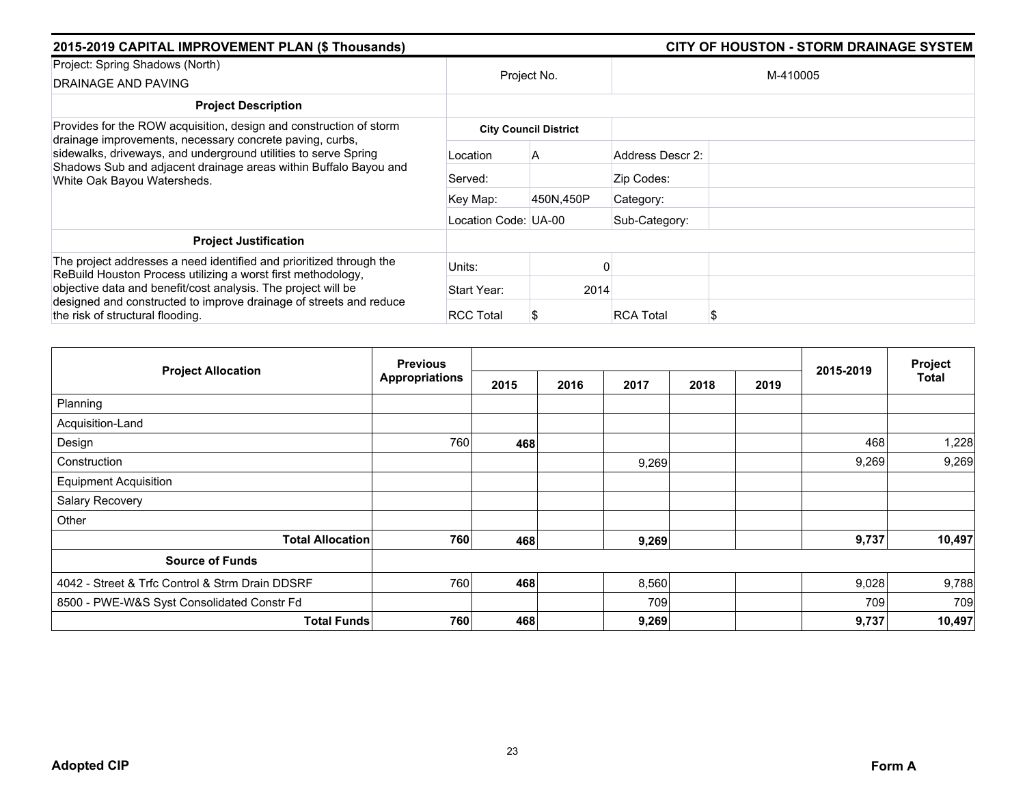| 2015-2019 CAPITAL IMPROVEMENT PLAN (\$ Thousands)                                                                                                                       | <b>CITY OF HOUSTON - STORM DRAINAGE SYSTEM</b> |                              |                        |  |
|-------------------------------------------------------------------------------------------------------------------------------------------------------------------------|------------------------------------------------|------------------------------|------------------------|--|
| Project: Spring Shadows (North)<br>DRAINAGE AND PAVING                                                                                                                  | Project No.                                    |                              | M-410005               |  |
| <b>Project Description</b>                                                                                                                                              |                                                |                              |                        |  |
| Provides for the ROW acquisition, design and construction of storm<br>drainage improvements, necessary concrete paving, curbs,                                          |                                                | <b>City Council District</b> |                        |  |
| sidewalks, driveways, and underground utilities to serve Spring<br>Shadows Sub and adjacent drainage areas within Buffalo Bayou and<br>White Oak Bayou Watersheds.      | Location                                       | A                            | Address Descr 2:       |  |
|                                                                                                                                                                         | Served:                                        |                              | Zip Codes:             |  |
|                                                                                                                                                                         | Key Map:                                       | 450N,450P                    | Category:              |  |
|                                                                                                                                                                         | Location Code: UA-00                           |                              | Sub-Category:          |  |
| <b>Project Justification</b>                                                                                                                                            |                                                |                              |                        |  |
| The project addresses a need identified and prioritized through the<br>ReBuild Houston Process utilizing a worst first methodology,                                     | Units:                                         |                              |                        |  |
| objective data and benefit/cost analysis. The project will be<br>designed and constructed to improve drainage of streets and reduce<br>the risk of structural flooding. | Start Year:                                    | 2014                         |                        |  |
|                                                                                                                                                                         | <b>RCC Total</b>                               |                              | <b>RCA Total</b><br>\$ |  |

| <b>Project Allocation</b>                       | <b>Previous</b>       |      |              |       |      | 2015-2019 | Project |
|-------------------------------------------------|-----------------------|------|--------------|-------|------|-----------|---------|
|                                                 | <b>Appropriations</b> | 2015 | 2016<br>2017 | 2018  | 2019 |           | Total   |
| Planning                                        |                       |      |              |       |      |           |         |
| Acquisition-Land                                |                       |      |              |       |      |           |         |
| Design                                          | 760                   | 468  |              |       |      | 468       | 1,228   |
| Construction                                    |                       |      |              | 9,269 |      | 9,269     | 9,269   |
| <b>Equipment Acquisition</b>                    |                       |      |              |       |      |           |         |
| Salary Recovery                                 |                       |      |              |       |      |           |         |
| Other                                           |                       |      |              |       |      |           |         |
| <b>Total Allocation</b>                         | 760                   | 468  |              | 9,269 |      | 9,737     | 10,497  |
| <b>Source of Funds</b>                          |                       |      |              |       |      |           |         |
| 4042 - Street & Trfc Control & Strm Drain DDSRF | 760                   | 468  |              | 8,560 |      | 9,028     | 9,788   |
| 8500 - PWE-W&S Syst Consolidated Constr Fd      |                       |      |              | 709   |      | 709       | 709     |
| <b>Total Funds</b>                              | 760                   | 468  |              | 9,269 |      | 9,737     | 10,497  |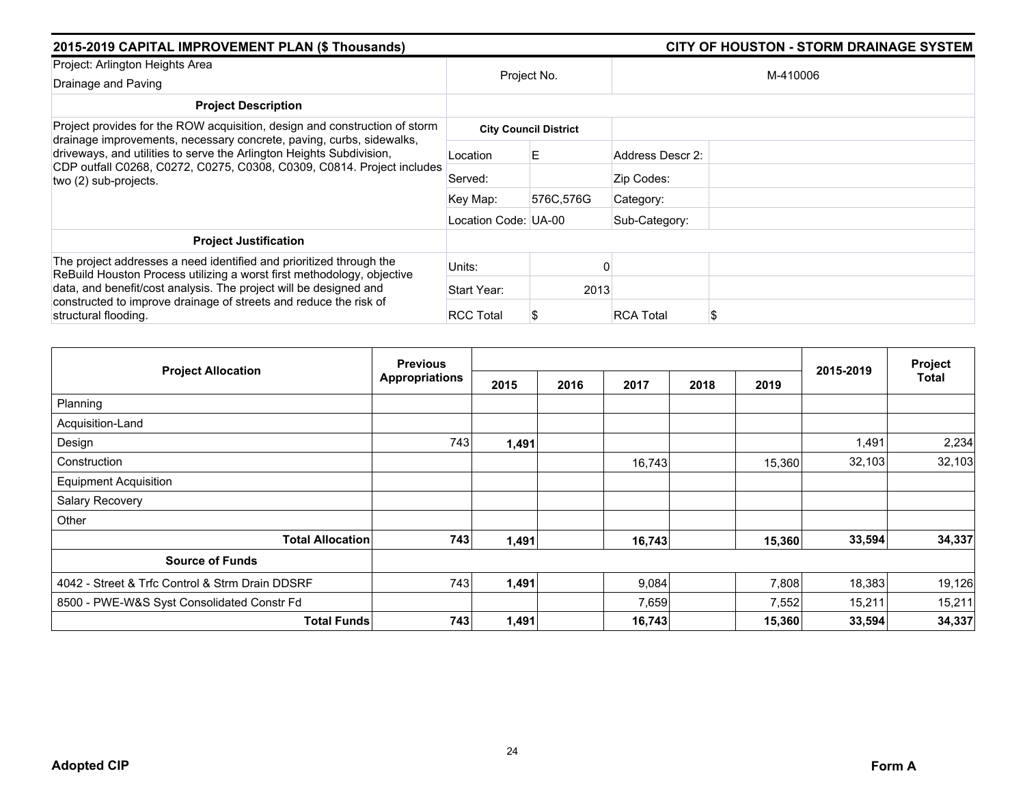| 2015-2019 CAPITAL IMPROVEMENT PLAN (\$ Thousands)                                                                                                                       |                      |                              |                       | <b>CITY OF HOUSTON - STORM DRAINAGE SYSTEM</b> |
|-------------------------------------------------------------------------------------------------------------------------------------------------------------------------|----------------------|------------------------------|-----------------------|------------------------------------------------|
| Project: Arlington Heights Area                                                                                                                                         |                      |                              |                       |                                                |
| Drainage and Paving                                                                                                                                                     | Project No.          |                              |                       | M-410006                                       |
| <b>Project Description</b>                                                                                                                                              |                      |                              |                       |                                                |
| Project provides for the ROW acquisition, design and construction of storm<br>drainage improvements, necessary concrete, paving, curbs, sidewalks,                      |                      | <b>City Council District</b> |                       |                                                |
| driveways, and utilities to serve the Arlington Heights Subdivision,<br>CDP outfall C0268, C0272, C0275, C0308, C0309, C0814. Project includes<br>two (2) sub-projects. | Location             | E.                           | Address Descr 2:      |                                                |
|                                                                                                                                                                         | Served:              |                              | Zip Codes:            |                                                |
|                                                                                                                                                                         | Key Map:             | 576C,576G                    | Category:             |                                                |
|                                                                                                                                                                         | Location Code: UA-00 |                              | Sub-Category:         |                                                |
| <b>Project Justification</b>                                                                                                                                            |                      |                              |                       |                                                |
| The project addresses a need identified and prioritized through the<br>ReBuild Houston Process utilizing a worst first methodology, objective                           | Units:               |                              |                       |                                                |
| data, and benefit/cost analysis. The project will be designed and<br>constructed to improve drainage of streets and reduce the risk of<br>structural flooding.          | Start Year:          | 2013                         |                       |                                                |
|                                                                                                                                                                         | <b>RCC Total</b>     |                              | <b>RCA Total</b><br>S |                                                |

| <b>Project Allocation</b>                       | <b>Previous</b>       |       |      |        |      |        | 2015-2019 | Project      |
|-------------------------------------------------|-----------------------|-------|------|--------|------|--------|-----------|--------------|
|                                                 | <b>Appropriations</b> | 2015  | 2016 | 2017   | 2018 | 2019   |           | <b>Total</b> |
| Planning                                        |                       |       |      |        |      |        |           |              |
| Acquisition-Land                                |                       |       |      |        |      |        |           |              |
| Design                                          | 743                   | 1,491 |      |        |      |        | 1,491     | 2,234        |
| Construction                                    |                       |       |      | 16,743 |      | 15,360 | 32,103    | 32,103       |
| <b>Equipment Acquisition</b>                    |                       |       |      |        |      |        |           |              |
| Salary Recovery                                 |                       |       |      |        |      |        |           |              |
| Other                                           |                       |       |      |        |      |        |           |              |
| <b>Total Allocation</b>                         | 743                   | 1,491 |      | 16,743 |      | 15,360 | 33,594    | 34,337       |
| <b>Source of Funds</b>                          |                       |       |      |        |      |        |           |              |
| 4042 - Street & Trfc Control & Strm Drain DDSRF | 743                   | 1,491 |      | 9,084  |      | 7,808  | 18,383    | 19,126       |
| 8500 - PWE-W&S Syst Consolidated Constr Fd      |                       |       |      | 7,659  |      | 7,552  | 15,211    | 15,211       |
| <b>Total Funds</b>                              | 743                   | 1,491 |      | 16,743 |      | 15,360 | 33,594    | 34,337       |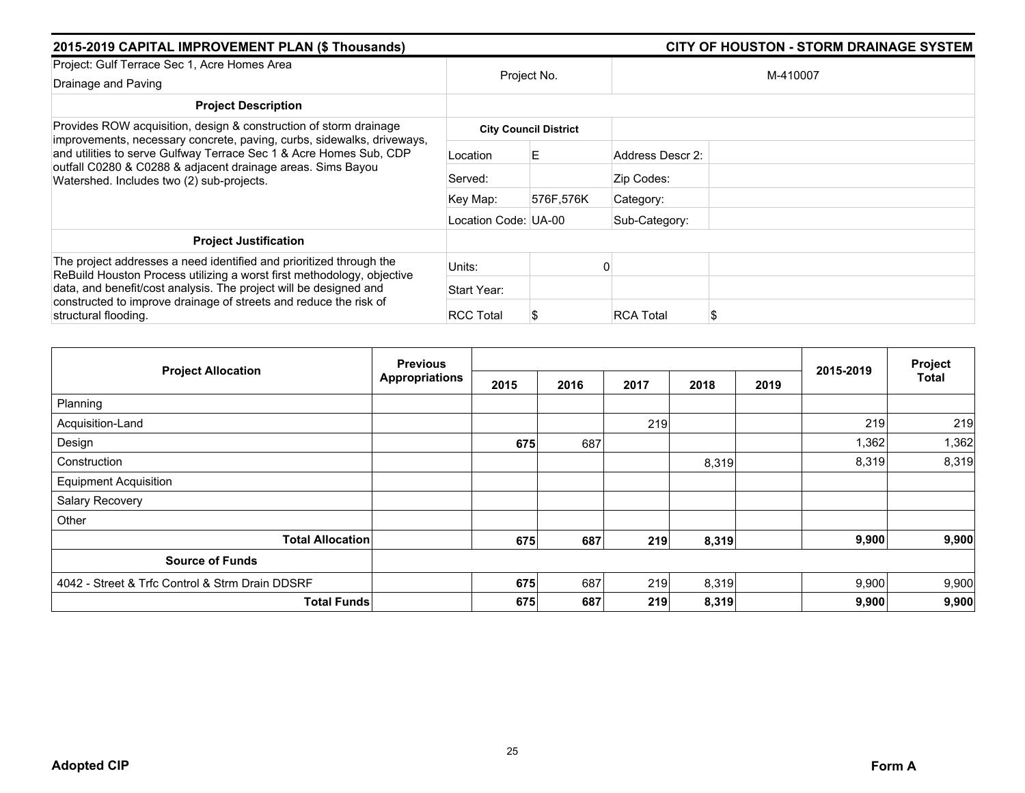| 2015-2019 CAPITAL IMPROVEMENT PLAN (\$ Thousands)                                                                                                                              |                      | <b>CITY OF HOUSTON - STORM DRAINAGE SYSTEM</b> |                  |          |  |
|--------------------------------------------------------------------------------------------------------------------------------------------------------------------------------|----------------------|------------------------------------------------|------------------|----------|--|
| Project: Gulf Terrace Sec 1, Acre Homes Area                                                                                                                                   |                      | Project No.                                    |                  | M-410007 |  |
| Drainage and Paving                                                                                                                                                            |                      |                                                |                  |          |  |
| <b>Project Description</b>                                                                                                                                                     |                      |                                                |                  |          |  |
| Provides ROW acquisition, design & construction of storm drainage<br>improvements, necessary concrete, paving, curbs, sidewalks, driveways,                                    |                      | <b>City Council District</b>                   |                  |          |  |
| and utilities to serve Gulfway Terrace Sec 1 & Acre Homes Sub, CDP<br>outfall C0280 & C0288 & adjacent drainage areas. Sims Bayou<br>Watershed. Includes two (2) sub-projects. | Location             | Е                                              | Address Descr 2: |          |  |
|                                                                                                                                                                                | Served:              |                                                | Zip Codes:       |          |  |
|                                                                                                                                                                                | Key Map:             | 576F,576K                                      | Category:        |          |  |
|                                                                                                                                                                                | Location Code: UA-00 |                                                | Sub-Category:    |          |  |
| <b>Project Justification</b>                                                                                                                                                   |                      |                                                |                  |          |  |
| The project addresses a need identified and prioritized through the<br>ReBuild Houston Process utilizing a worst first methodology, objective                                  | Units:               |                                                |                  |          |  |
| data, and benefit/cost analysis. The project will be designed and                                                                                                              | Start Year:          |                                                |                  |          |  |
| constructed to improve drainage of streets and reduce the risk of<br>structural flooding.                                                                                      | <b>RCC Total</b>     |                                                | <b>RCA Total</b> | S        |  |

| <b>Previous</b><br><b>Project Allocation</b>    |                       |      |      |      |       | 2015-2019 | Project |              |
|-------------------------------------------------|-----------------------|------|------|------|-------|-----------|---------|--------------|
|                                                 | <b>Appropriations</b> | 2015 | 2016 | 2017 | 2018  | 2019      |         | <b>Total</b> |
| Planning                                        |                       |      |      |      |       |           |         |              |
| Acquisition-Land                                |                       |      |      | 219  |       |           | 219     | 219          |
| Design                                          |                       | 675  | 687  |      |       |           | 1,362   | 1,362        |
| Construction                                    |                       |      |      |      | 8,319 |           | 8,319   | 8,319        |
| <b>Equipment Acquisition</b>                    |                       |      |      |      |       |           |         |              |
| Salary Recovery                                 |                       |      |      |      |       |           |         |              |
| Other                                           |                       |      |      |      |       |           |         |              |
| <b>Total Allocation</b>                         |                       | 675  | 687  | 219  | 8,319 |           | 9,900   | 9,900        |
| <b>Source of Funds</b>                          |                       |      |      |      |       |           |         |              |
| 4042 - Street & Trfc Control & Strm Drain DDSRF |                       | 675  | 687  | 219  | 8,319 |           | 9,900   | 9,900        |
| <b>Total Funds</b>                              |                       | 675  | 687  | 219  | 8,319 |           | 9,900   | 9,900        |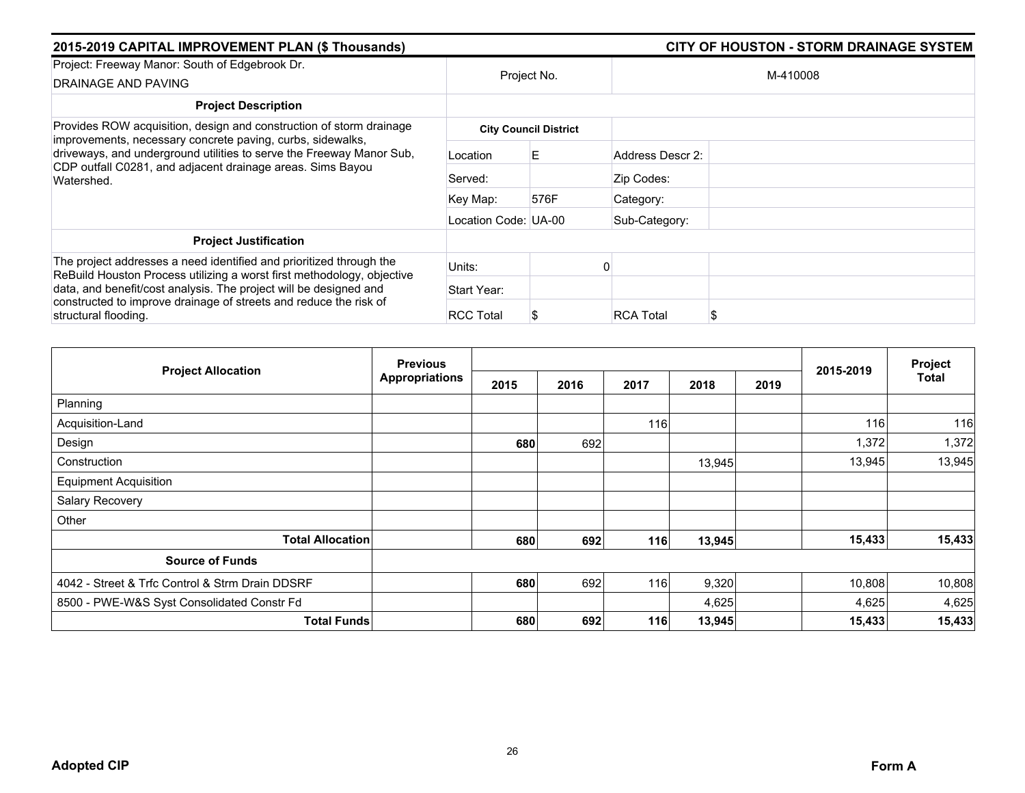| 2015-2019 CAPITAL IMPROVEMENT PLAN (\$ Thousands)                                                                                                                                                              |                      |                              |                  |          |  |  |
|----------------------------------------------------------------------------------------------------------------------------------------------------------------------------------------------------------------|----------------------|------------------------------|------------------|----------|--|--|
| Project: Freeway Manor: South of Edgebrook Dr.<br>DRAINAGE AND PAVING                                                                                                                                          |                      | Project No.                  |                  | M-410008 |  |  |
| <b>Project Description</b>                                                                                                                                                                                     |                      |                              |                  |          |  |  |
| Provides ROW acquisition, design and construction of storm drainage                                                                                                                                            |                      | <b>City Council District</b> |                  |          |  |  |
| improvements, necessary concrete paving, curbs, sidewalks,<br>driveways, and underground utilities to serve the Freeway Manor Sub,<br>CDP outfall C0281, and adjacent drainage areas. Sims Bayou<br>Watershed. | Location             | E.                           | Address Descr 2: |          |  |  |
|                                                                                                                                                                                                                | Served:              |                              | Zip Codes:       |          |  |  |
|                                                                                                                                                                                                                | Key Map:             | 576F                         | Category:        |          |  |  |
|                                                                                                                                                                                                                | Location Code: UA-00 |                              | Sub-Category:    |          |  |  |
| <b>Project Justification</b>                                                                                                                                                                                   |                      |                              |                  |          |  |  |
| The project addresses a need identified and prioritized through the<br>ReBuild Houston Process utilizing a worst first methodology, objective                                                                  | Units:               |                              |                  |          |  |  |
| data, and benefit/cost analysis. The project will be designed and                                                                                                                                              | Start Year:          |                              |                  |          |  |  |
| constructed to improve drainage of streets and reduce the risk of<br>structural flooding.                                                                                                                      | <b>RCC Total</b>     |                              | <b>RCA Total</b> | \$       |  |  |

| <b>Project Allocation</b>                       | <b>Previous</b>       |      |      |      |        |      |           | Project |
|-------------------------------------------------|-----------------------|------|------|------|--------|------|-----------|---------|
|                                                 | <b>Appropriations</b> | 2015 | 2016 | 2017 | 2018   | 2019 | 2015-2019 | Total   |
| Planning                                        |                       |      |      |      |        |      |           |         |
| Acquisition-Land                                |                       |      |      | 116  |        |      | 116       | 116     |
| Design                                          |                       | 680  | 692  |      |        |      | 1,372     | 1,372   |
| Construction                                    |                       |      |      |      | 13,945 |      | 13,945    | 13,945  |
| <b>Equipment Acquisition</b>                    |                       |      |      |      |        |      |           |         |
| Salary Recovery                                 |                       |      |      |      |        |      |           |         |
| Other                                           |                       |      |      |      |        |      |           |         |
| <b>Total Allocation</b>                         |                       | 680  | 692  | 116  | 13,945 |      | 15,433    | 15,433  |
| <b>Source of Funds</b>                          |                       |      |      |      |        |      |           |         |
| 4042 - Street & Trfc Control & Strm Drain DDSRF |                       | 680  | 692  | 116  | 9,320  |      | 10,808    | 10,808  |
| 8500 - PWE-W&S Syst Consolidated Constr Fd      |                       |      |      |      | 4,625  |      | 4,625     | 4,625   |
| <b>Total Funds</b>                              |                       | 680  | 692  | 116  | 13,945 |      | 15,433    | 15,433  |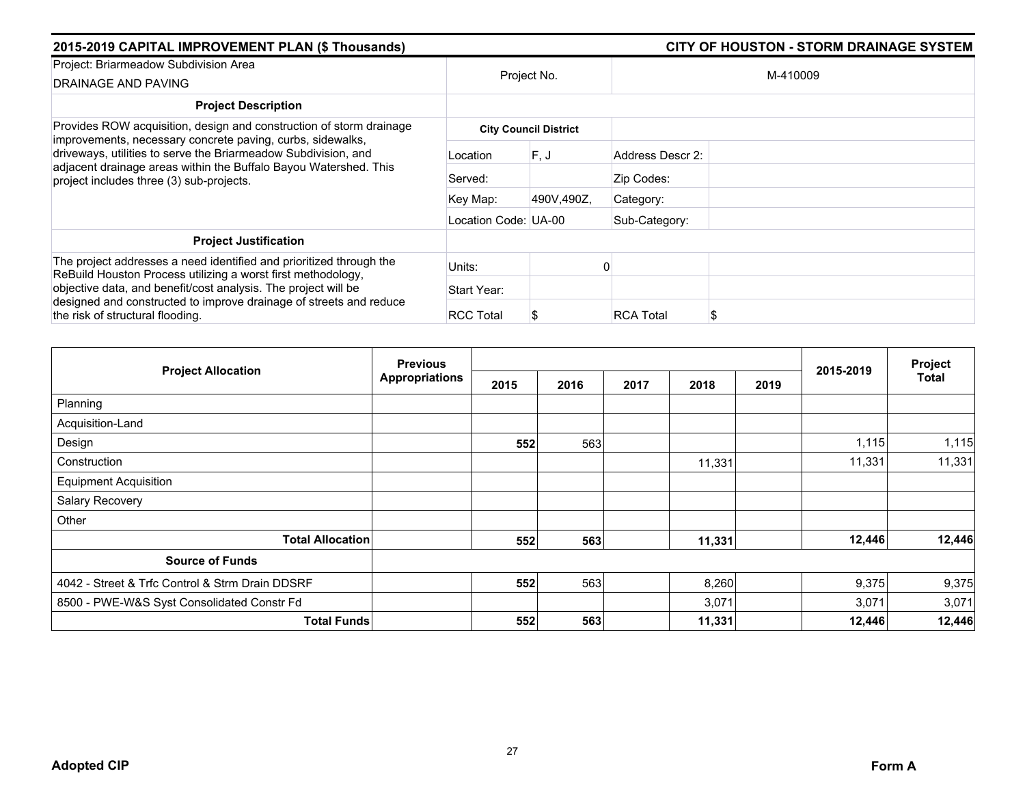| 2015-2019 CAPITAL IMPROVEMENT PLAN (\$ Thousands)                                                                                                                                                                                            |                      |                              | CITY OF HOUSTON - STORM DRAINAGE SYSTEM |  |  |  |  |
|----------------------------------------------------------------------------------------------------------------------------------------------------------------------------------------------------------------------------------------------|----------------------|------------------------------|-----------------------------------------|--|--|--|--|
| Project: Briarmeadow Subdivision Area<br>DRAINAGE AND PAVING                                                                                                                                                                                 |                      | Project No.                  | M-410009                                |  |  |  |  |
| <b>Project Description</b>                                                                                                                                                                                                                   |                      |                              |                                         |  |  |  |  |
| Provides ROW acquisition, design and construction of storm drainage                                                                                                                                                                          |                      | <b>City Council District</b> |                                         |  |  |  |  |
| improvements, necessary concrete paving, curbs, sidewalks,<br>driveways, utilities to serve the Briarmeadow Subdivision, and<br>adjacent drainage areas within the Buffalo Bayou Watershed. This<br>project includes three (3) sub-projects. | Location             | F.J                          | Address Descr 2:                        |  |  |  |  |
|                                                                                                                                                                                                                                              | Served:              |                              | Zip Codes:                              |  |  |  |  |
|                                                                                                                                                                                                                                              | Key Map:             | 490V,490Z,                   | Category:                               |  |  |  |  |
|                                                                                                                                                                                                                                              | Location Code: UA-00 |                              | Sub-Category:                           |  |  |  |  |
| <b>Project Justification</b>                                                                                                                                                                                                                 |                      |                              |                                         |  |  |  |  |
| The project addresses a need identified and prioritized through the<br>ReBuild Houston Process utilizing a worst first methodology,<br>objective data, and benefit/cost analysis. The project will be                                        | Units:               |                              |                                         |  |  |  |  |
|                                                                                                                                                                                                                                              | Start Year:          |                              |                                         |  |  |  |  |
| designed and constructed to improve drainage of streets and reduce<br>the risk of structural flooding.                                                                                                                                       | <b>RCC Total</b>     |                              | <b>RCA Total</b><br>S                   |  |  |  |  |

| <b>Project Allocation</b>                       | <b>Previous</b>       |      |      |      |        |      | Project   |        |
|-------------------------------------------------|-----------------------|------|------|------|--------|------|-----------|--------|
|                                                 | <b>Appropriations</b> | 2015 | 2016 | 2017 | 2018   | 2019 | 2015-2019 | Total  |
| Planning                                        |                       |      |      |      |        |      |           |        |
| Acquisition-Land                                |                       |      |      |      |        |      |           |        |
| Design                                          |                       | 552  | 563  |      |        |      | 1,115     | 1,115  |
| Construction                                    |                       |      |      |      | 11,331 |      | 11,331    | 11,331 |
| <b>Equipment Acquisition</b>                    |                       |      |      |      |        |      |           |        |
| Salary Recovery                                 |                       |      |      |      |        |      |           |        |
| Other                                           |                       |      |      |      |        |      |           |        |
| <b>Total Allocation</b>                         |                       | 552  | 563  |      | 11,331 |      | 12,446    | 12,446 |
| <b>Source of Funds</b>                          |                       |      |      |      |        |      |           |        |
| 4042 - Street & Trfc Control & Strm Drain DDSRF |                       | 552  | 563  |      | 8,260  |      | 9,375     | 9,375  |
| 8500 - PWE-W&S Syst Consolidated Constr Fd      |                       |      |      |      | 3,071  |      | 3,071     | 3,071  |
| <b>Total Funds</b>                              |                       | 552  | 563  |      | 11,331 |      | 12,446    | 12,446 |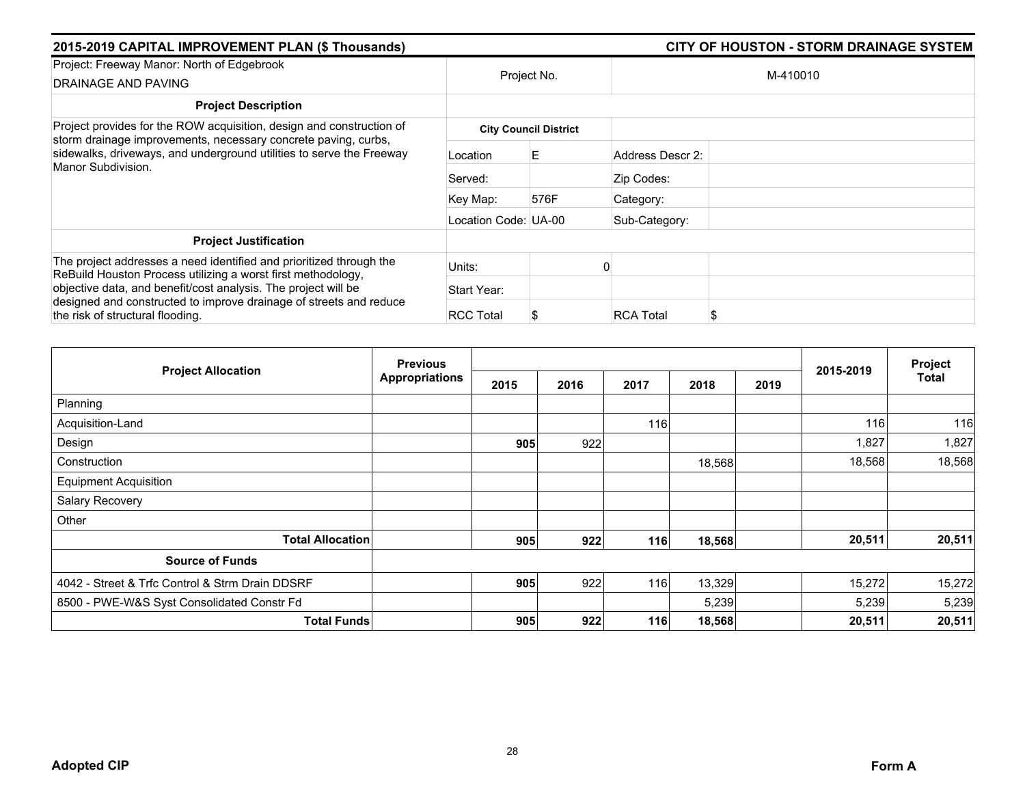| 2015-2019 CAPITAL IMPROVEMENT PLAN (\$ Thousands)                                                                                      |                      |                              |                  |          |  |  |  |
|----------------------------------------------------------------------------------------------------------------------------------------|----------------------|------------------------------|------------------|----------|--|--|--|
| Project: Freeway Manor: North of Edgebrook<br>DRAINAGE AND PAVING                                                                      | Project No.          |                              |                  | M-410010 |  |  |  |
| <b>Project Description</b>                                                                                                             |                      |                              |                  |          |  |  |  |
| Project provides for the ROW acquisition, design and construction of<br>storm drainage improvements, necessary concrete paving, curbs, |                      | <b>City Council District</b> |                  |          |  |  |  |
| sidewalks, driveways, and underground utilities to serve the Freeway<br>Manor Subdivision.                                             | Location             | Е                            | Address Descr 2: |          |  |  |  |
|                                                                                                                                        | Served:              |                              | Zip Codes:       |          |  |  |  |
|                                                                                                                                        | Key Map:             | 576F                         | Category:        |          |  |  |  |
|                                                                                                                                        | Location Code: UA-00 |                              | Sub-Category:    |          |  |  |  |
| <b>Project Justification</b>                                                                                                           |                      |                              |                  |          |  |  |  |
| The project addresses a need identified and prioritized through the<br>ReBuild Houston Process utilizing a worst first methodology,    | Units:               |                              |                  |          |  |  |  |
| objective data, and benefit/cost analysis. The project will be                                                                         | Start Year:          |                              |                  |          |  |  |  |
| designed and constructed to improve drainage of streets and reduce<br>the risk of structural flooding.                                 | <b>RCC Total</b>     |                              | <b>RCA Total</b> | S        |  |  |  |

| <b>Project Allocation</b>                       | <b>Previous</b>       |      |      |      |        | Project |           |        |
|-------------------------------------------------|-----------------------|------|------|------|--------|---------|-----------|--------|
|                                                 | <b>Appropriations</b> | 2015 | 2016 | 2017 | 2018   | 2019    | 2015-2019 | Total  |
| Planning                                        |                       |      |      |      |        |         |           |        |
| Acquisition-Land                                |                       |      |      | 116  |        |         | 116       | 116    |
| Design                                          |                       | 905  | 922  |      |        |         | 1,827     | 1,827  |
| Construction                                    |                       |      |      |      | 18,568 |         | 18,568    | 18,568 |
| <b>Equipment Acquisition</b>                    |                       |      |      |      |        |         |           |        |
| Salary Recovery                                 |                       |      |      |      |        |         |           |        |
| Other                                           |                       |      |      |      |        |         |           |        |
| <b>Total Allocation</b>                         |                       | 905  | 922  | 116  | 18,568 |         | 20,511    | 20,511 |
| <b>Source of Funds</b>                          |                       |      |      |      |        |         |           |        |
| 4042 - Street & Trfc Control & Strm Drain DDSRF |                       | 905  | 922  | 116  | 13,329 |         | 15,272    | 15,272 |
| 8500 - PWE-W&S Syst Consolidated Constr Fd      |                       |      |      |      | 5,239  |         | 5,239     | 5,239  |
| <b>Total Funds</b>                              |                       | 905  | 922  | 116  | 18,568 |         | 20,511    | 20,511 |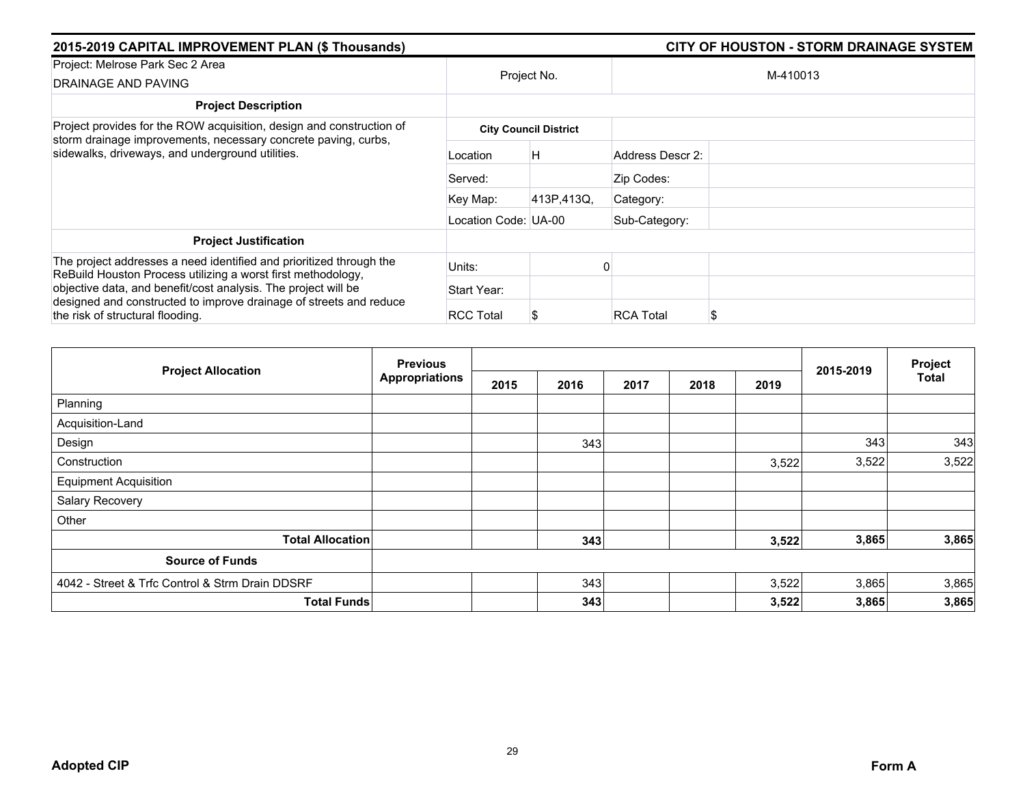| 2015-2019 CAPITAL IMPROVEMENT PLAN (\$ Thousands)                                                                                      |                      |                              | <b>CITY OF HOUSTON - STORM DRAINAGE SYSTEM</b> |  |  |  |  |
|----------------------------------------------------------------------------------------------------------------------------------------|----------------------|------------------------------|------------------------------------------------|--|--|--|--|
| Project: Melrose Park Sec 2 Area<br>DRAINAGE AND PAVING                                                                                |                      | Project No.                  | M-410013                                       |  |  |  |  |
| <b>Project Description</b>                                                                                                             |                      |                              |                                                |  |  |  |  |
| Project provides for the ROW acquisition, design and construction of<br>storm drainage improvements, necessary concrete paving, curbs, |                      | <b>City Council District</b> |                                                |  |  |  |  |
| sidewalks, driveways, and underground utilities.                                                                                       | Location             | н                            | Address Descr 2:                               |  |  |  |  |
|                                                                                                                                        | Served:              |                              | Zip Codes:                                     |  |  |  |  |
|                                                                                                                                        | Key Map:             | 413P,413Q,                   | Category:                                      |  |  |  |  |
|                                                                                                                                        | Location Code: UA-00 |                              | Sub-Category:                                  |  |  |  |  |
| <b>Project Justification</b>                                                                                                           |                      |                              |                                                |  |  |  |  |
| The project addresses a need identified and prioritized through the<br>ReBuild Houston Process utilizing a worst first methodology,    | Units:               |                              |                                                |  |  |  |  |
| objective data, and benefit/cost analysis. The project will be                                                                         | Start Year:          |                              |                                                |  |  |  |  |
| designed and constructed to improve drainage of streets and reduce<br>the risk of structural flooding.                                 | <b>RCC Total</b>     |                              | <b>RCA Total</b><br>\$                         |  |  |  |  |

| <b>Project Allocation</b>                       | <b>Previous</b>       |      |      |      |      |       |           | Project      |
|-------------------------------------------------|-----------------------|------|------|------|------|-------|-----------|--------------|
|                                                 | <b>Appropriations</b> | 2015 | 2016 | 2017 | 2018 | 2019  | 2015-2019 | <b>Total</b> |
| Planning                                        |                       |      |      |      |      |       |           |              |
| Acquisition-Land                                |                       |      |      |      |      |       |           |              |
| Design                                          |                       |      | 343  |      |      |       | 343       | 343          |
| Construction                                    |                       |      |      |      |      | 3,522 | 3,522     | 3,522        |
| <b>Equipment Acquisition</b>                    |                       |      |      |      |      |       |           |              |
| Salary Recovery                                 |                       |      |      |      |      |       |           |              |
| Other                                           |                       |      |      |      |      |       |           |              |
| <b>Total Allocation</b>                         |                       |      | 343  |      |      | 3,522 | 3,865     | 3,865        |
| <b>Source of Funds</b>                          |                       |      |      |      |      |       |           |              |
| 4042 - Street & Trfc Control & Strm Drain DDSRF |                       |      | 343  |      |      | 3,522 | 3,865     | 3,865        |
| <b>Total Funds</b>                              |                       |      | 343  |      |      | 3,522 | 3,865     | 3,865        |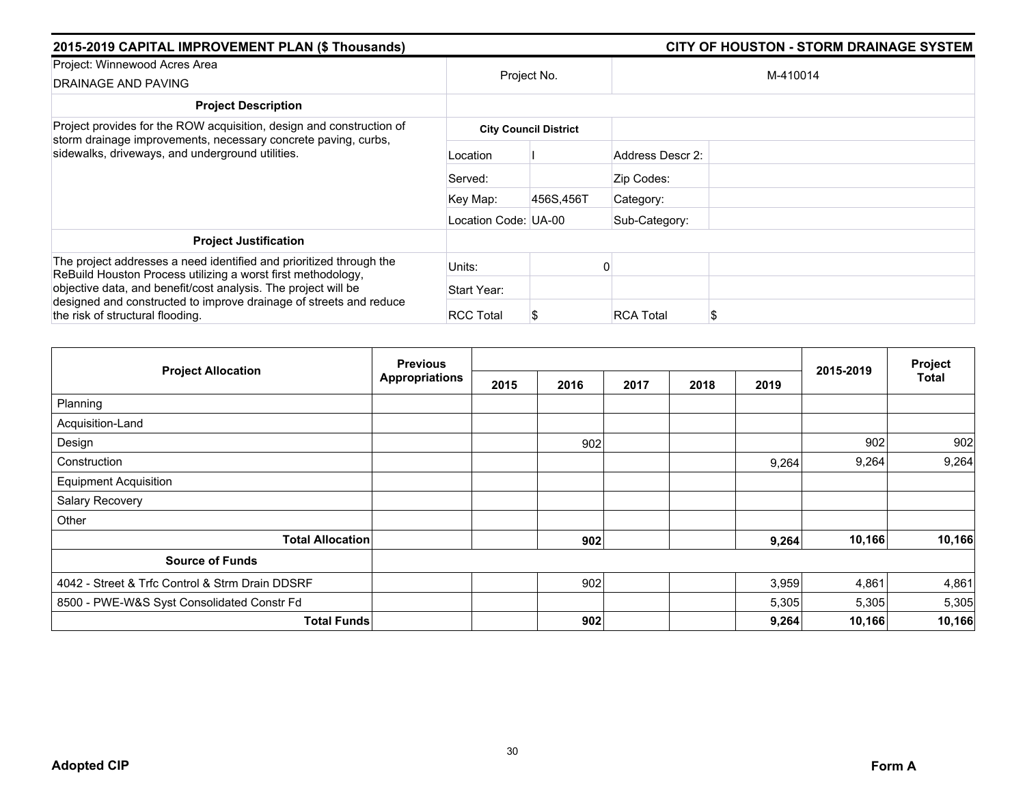| 2015-2019 CAPITAL IMPROVEMENT PLAN (\$ Thousands)                                                                                      |                      |                              | <b>CITY OF HOUSTON - STORM DRAINAGE SYSTEM</b> |  |  |  |  |
|----------------------------------------------------------------------------------------------------------------------------------------|----------------------|------------------------------|------------------------------------------------|--|--|--|--|
| Project: Winnewood Acres Area<br>DRAINAGE AND PAVING                                                                                   |                      | Project No.                  | M-410014                                       |  |  |  |  |
| <b>Project Description</b>                                                                                                             |                      |                              |                                                |  |  |  |  |
| Project provides for the ROW acquisition, design and construction of<br>storm drainage improvements, necessary concrete paving, curbs, |                      | <b>City Council District</b> |                                                |  |  |  |  |
| sidewalks, driveways, and underground utilities.                                                                                       | Location             |                              | Address Descr 2:                               |  |  |  |  |
|                                                                                                                                        | Served:              |                              | Zip Codes:                                     |  |  |  |  |
|                                                                                                                                        | Key Map:             | 456S,456T                    | Category:                                      |  |  |  |  |
|                                                                                                                                        | Location Code: UA-00 |                              | Sub-Category:                                  |  |  |  |  |
| <b>Project Justification</b>                                                                                                           |                      |                              |                                                |  |  |  |  |
| The project addresses a need identified and prioritized through the<br>ReBuild Houston Process utilizing a worst first methodology,    | Units:               |                              |                                                |  |  |  |  |
| objective data, and benefit/cost analysis. The project will be                                                                         | Start Year:          |                              |                                                |  |  |  |  |
| designed and constructed to improve drainage of streets and reduce<br>the risk of structural flooding.                                 | <b>RCC Total</b>     |                              | <b>RCA Total</b><br>\$                         |  |  |  |  |

| <b>Project Allocation</b>                       | <b>Previous</b>       |      |      |      |      |       |           | Project      |
|-------------------------------------------------|-----------------------|------|------|------|------|-------|-----------|--------------|
|                                                 | <b>Appropriations</b> | 2015 | 2016 | 2017 | 2018 | 2019  | 2015-2019 | <b>Total</b> |
| Planning                                        |                       |      |      |      |      |       |           |              |
| Acquisition-Land                                |                       |      |      |      |      |       |           |              |
| Design                                          |                       |      | 902  |      |      |       | 902       | 902          |
| Construction                                    |                       |      |      |      |      | 9,264 | 9,264     | 9,264        |
| <b>Equipment Acquisition</b>                    |                       |      |      |      |      |       |           |              |
| Salary Recovery                                 |                       |      |      |      |      |       |           |              |
| Other                                           |                       |      |      |      |      |       |           |              |
| <b>Total Allocation</b>                         |                       |      | 902  |      |      | 9,264 | 10,166    | 10,166       |
| <b>Source of Funds</b>                          |                       |      |      |      |      |       |           |              |
| 4042 - Street & Trfc Control & Strm Drain DDSRF |                       |      | 902  |      |      | 3,959 | 4,861     | 4,861        |
| 8500 - PWE-W&S Syst Consolidated Constr Fd      |                       |      |      |      |      | 5,305 | 5,305     | 5,305        |
| <b>Total Funds</b>                              |                       |      | 902  |      |      | 9,264 | 10,166    | 10,166       |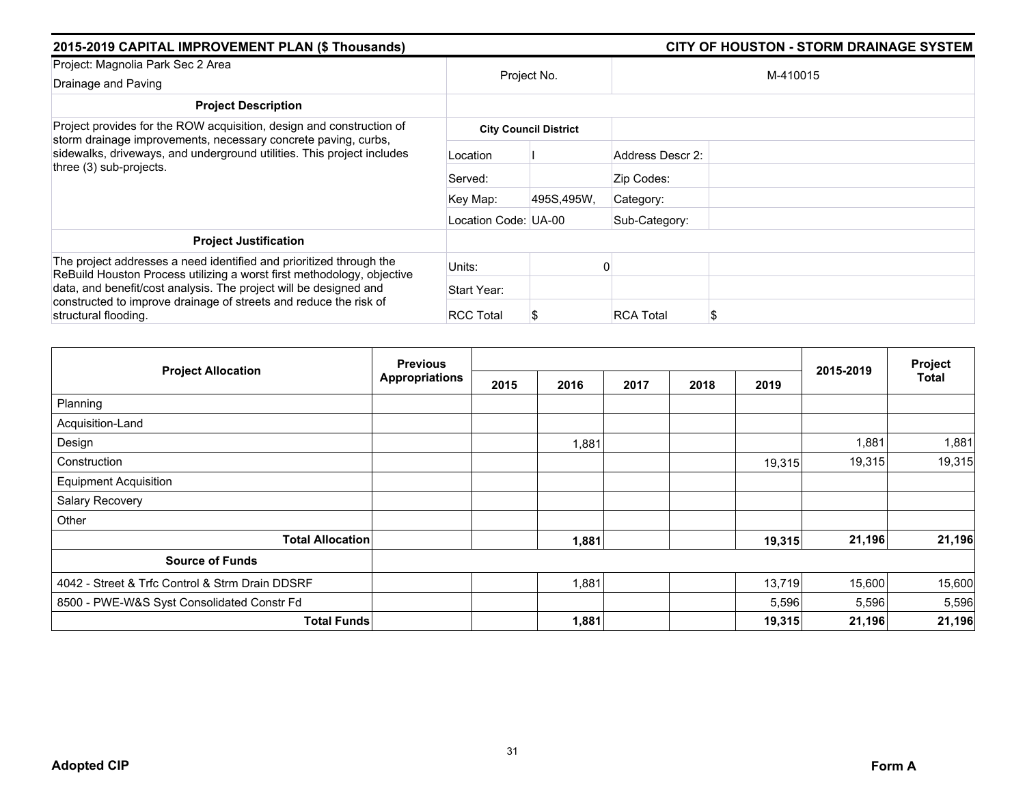| 2015-2019 CAPITAL IMPROVEMENT PLAN (\$ Thousands)                                                                                                                                                                  |                      |                              | <b>CITY OF HOUSTON - STORM DRAINAGE SYSTEM</b> |  |  |  |  |
|--------------------------------------------------------------------------------------------------------------------------------------------------------------------------------------------------------------------|----------------------|------------------------------|------------------------------------------------|--|--|--|--|
| Project: Magnolia Park Sec 2 Area                                                                                                                                                                                  |                      | Project No.                  | M-410015                                       |  |  |  |  |
| Drainage and Paving                                                                                                                                                                                                |                      |                              |                                                |  |  |  |  |
| <b>Project Description</b>                                                                                                                                                                                         |                      |                              |                                                |  |  |  |  |
| Project provides for the ROW acquisition, design and construction of<br>storm drainage improvements, necessary concrete paving, curbs,                                                                             |                      | <b>City Council District</b> |                                                |  |  |  |  |
| sidewalks, driveways, and underground utilities. This project includes<br>three (3) sub-projects.                                                                                                                  | Location             |                              | Address Descr 2:                               |  |  |  |  |
|                                                                                                                                                                                                                    | Served:              |                              | Zip Codes:                                     |  |  |  |  |
|                                                                                                                                                                                                                    | Key Map:             | 495S,495W,                   | Category:                                      |  |  |  |  |
|                                                                                                                                                                                                                    | Location Code: UA-00 |                              | Sub-Category:                                  |  |  |  |  |
| <b>Project Justification</b>                                                                                                                                                                                       |                      |                              |                                                |  |  |  |  |
| The project addresses a need identified and prioritized through the<br>ReBuild Houston Process utilizing a worst first methodology, objective<br>data, and benefit/cost analysis. The project will be designed and | Units:               |                              |                                                |  |  |  |  |
|                                                                                                                                                                                                                    | Start Year:          |                              |                                                |  |  |  |  |
| constructed to improve drainage of streets and reduce the risk of<br>structural flooding.                                                                                                                          | <b>RCC Total</b>     |                              | <b>RCA Total</b><br>\$                         |  |  |  |  |

| <b>Project Allocation</b>                       | <b>Previous</b> |      |       |      | Project |        |           |              |
|-------------------------------------------------|-----------------|------|-------|------|---------|--------|-----------|--------------|
|                                                 | Appropriations  | 2015 | 2016  | 2017 | 2018    | 2019   | 2015-2019 | <b>Total</b> |
| Planning                                        |                 |      |       |      |         |        |           |              |
| Acquisition-Land                                |                 |      |       |      |         |        |           |              |
| Design                                          |                 |      | 1,881 |      |         |        | 1,881     | 1,881        |
| Construction                                    |                 |      |       |      |         | 19,315 | 19,315    | 19,315       |
| <b>Equipment Acquisition</b>                    |                 |      |       |      |         |        |           |              |
| Salary Recovery                                 |                 |      |       |      |         |        |           |              |
| Other                                           |                 |      |       |      |         |        |           |              |
| <b>Total Allocation</b>                         |                 |      | 1,881 |      |         | 19,315 | 21,196    | 21,196       |
| <b>Source of Funds</b>                          |                 |      |       |      |         |        |           |              |
| 4042 - Street & Trfc Control & Strm Drain DDSRF |                 |      | 1,881 |      |         | 13,719 | 15,600    | 15,600       |
| 8500 - PWE-W&S Syst Consolidated Constr Fd      |                 |      |       |      |         | 5,596  | 5,596     | 5,596        |
| <b>Total Funds</b>                              |                 |      | 1,881 |      |         | 19,315 | 21,196    | 21,196       |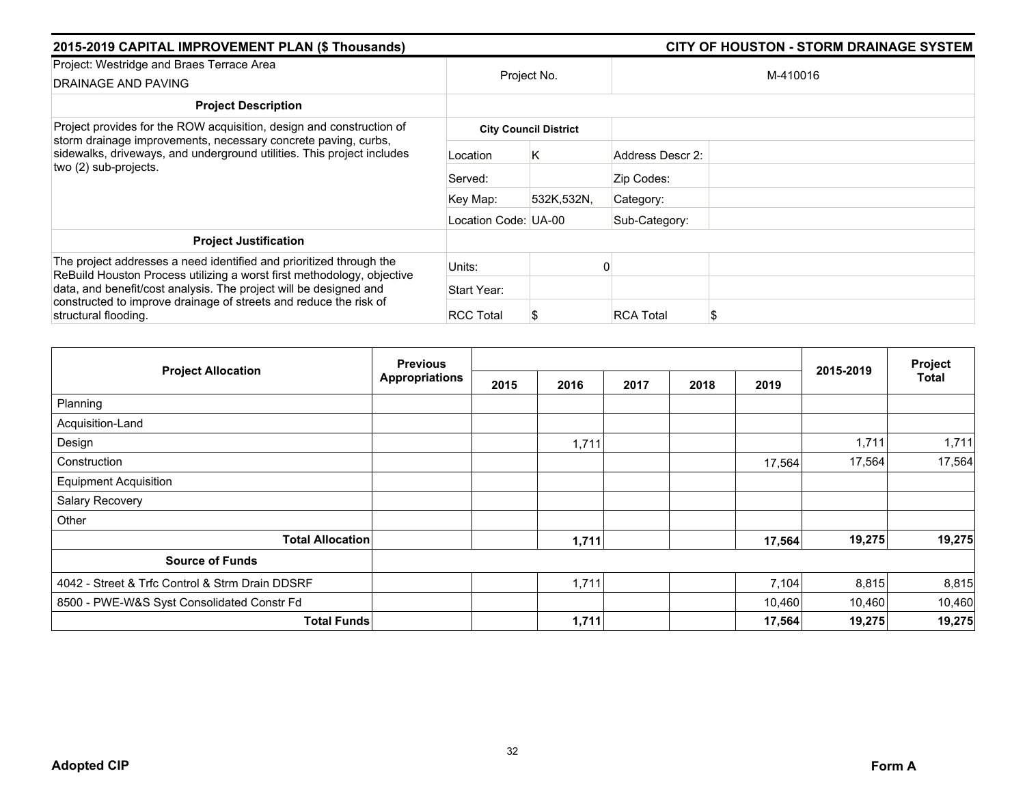| 2015-2019 CAPITAL IMPROVEMENT PLAN (\$ Thousands)                                                                                                                 |                      |                              |                       |          |  |  |
|-------------------------------------------------------------------------------------------------------------------------------------------------------------------|----------------------|------------------------------|-----------------------|----------|--|--|
| Project: Westridge and Braes Terrace Area<br>DRAINAGE AND PAVING                                                                                                  | Project No.          |                              |                       | M-410016 |  |  |
| <b>Project Description</b>                                                                                                                                        |                      |                              |                       |          |  |  |
| Project provides for the ROW acquisition, design and construction of                                                                                              |                      | <b>City Council District</b> |                       |          |  |  |
| storm drainage improvements, necessary concrete paving, curbs,<br>sidewalks, driveways, and underground utilities. This project includes<br>two (2) sub-projects. | Location             | Κ                            | Address Descr 2:      |          |  |  |
|                                                                                                                                                                   | Served:              |                              | Zip Codes:            |          |  |  |
|                                                                                                                                                                   | Key Map:             | 532K.532N.                   | Category:             |          |  |  |
|                                                                                                                                                                   | Location Code: UA-00 |                              | Sub-Category:         |          |  |  |
| <b>Project Justification</b>                                                                                                                                      |                      |                              |                       |          |  |  |
| The project addresses a need identified and prioritized through the<br>ReBuild Houston Process utilizing a worst first methodology, objective                     | Units:               |                              |                       |          |  |  |
| data, and benefit/cost analysis. The project will be designed and                                                                                                 | Start Year:          |                              |                       |          |  |  |
| constructed to improve drainage of streets and reduce the risk of<br>structural flooding.                                                                         | <b>RCC Total</b>     |                              | <b>RCA Total</b><br>S |          |  |  |

| <b>Project Allocation</b>                       | <b>Previous</b> |      |       |      | Project |        |           |              |
|-------------------------------------------------|-----------------|------|-------|------|---------|--------|-----------|--------------|
|                                                 | Appropriations  | 2015 | 2016  | 2017 | 2018    | 2019   | 2015-2019 | <b>Total</b> |
| Planning                                        |                 |      |       |      |         |        |           |              |
| Acquisition-Land                                |                 |      |       |      |         |        |           |              |
| Design                                          |                 |      | 1,711 |      |         |        | 1,711     | 1,711        |
| Construction                                    |                 |      |       |      |         | 17,564 | 17,564    | 17,564       |
| <b>Equipment Acquisition</b>                    |                 |      |       |      |         |        |           |              |
| Salary Recovery                                 |                 |      |       |      |         |        |           |              |
| Other                                           |                 |      |       |      |         |        |           |              |
| <b>Total Allocation</b>                         |                 |      | 1,711 |      |         | 17,564 | 19,275    | 19,275       |
| <b>Source of Funds</b>                          |                 |      |       |      |         |        |           |              |
| 4042 - Street & Trfc Control & Strm Drain DDSRF |                 |      | 1,711 |      |         | 7,104  | 8,815     | 8,815        |
| 8500 - PWE-W&S Syst Consolidated Constr Fd      |                 |      |       |      |         | 10,460 | 10,460    | 10,460       |
| <b>Total Funds</b>                              |                 |      | 1,711 |      |         | 17,564 | 19,275    | 19,275       |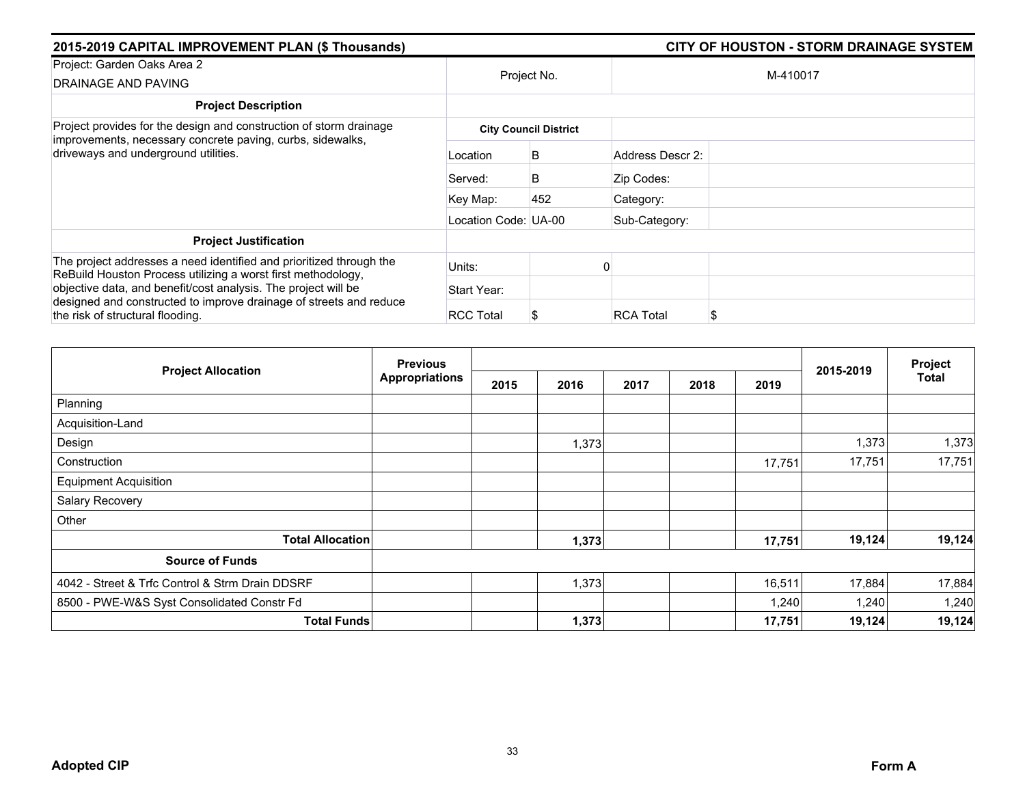| 2015-2019 CAPITAL IMPROVEMENT PLAN (\$ Thousands)                                                                                                                        |                      |                              | <b>CITY OF HOUSTON - STORM DRAINAGE SYSTEM</b> |          |  |  |  |
|--------------------------------------------------------------------------------------------------------------------------------------------------------------------------|----------------------|------------------------------|------------------------------------------------|----------|--|--|--|
| Project: Garden Oaks Area 2<br>DRAINAGE AND PAVING                                                                                                                       |                      | Project No.                  |                                                | M-410017 |  |  |  |
| <b>Project Description</b>                                                                                                                                               |                      |                              |                                                |          |  |  |  |
| Project provides for the design and construction of storm drainage<br>improvements, necessary concrete paving, curbs, sidewalks,                                         |                      | <b>City Council District</b> |                                                |          |  |  |  |
| driveways and underground utilities.                                                                                                                                     | Location             | B                            | Address Descr 2:                               |          |  |  |  |
|                                                                                                                                                                          | Served:              | B                            | Zip Codes:                                     |          |  |  |  |
|                                                                                                                                                                          | Key Map:             | 452                          | Category:                                      |          |  |  |  |
|                                                                                                                                                                          | Location Code: UA-00 |                              | Sub-Category:                                  |          |  |  |  |
| <b>Project Justification</b>                                                                                                                                             |                      |                              |                                                |          |  |  |  |
| The project addresses a need identified and prioritized through the<br>ReBuild Houston Process utilizing a worst first methodology,                                      | Units:               |                              |                                                |          |  |  |  |
| objective data, and benefit/cost analysis. The project will be<br>designed and constructed to improve drainage of streets and reduce<br>the risk of structural flooding. | Start Year:          |                              |                                                |          |  |  |  |
|                                                                                                                                                                          | <b>RCC Total</b>     |                              | <b>RCA Total</b>                               | Æ        |  |  |  |

| <b>Project Allocation</b>                       | <b>Previous</b>       |      |       | 2015-2019 | Project |        |        |        |
|-------------------------------------------------|-----------------------|------|-------|-----------|---------|--------|--------|--------|
|                                                 | <b>Appropriations</b> | 2015 | 2016  | 2017      | 2018    | 2019   |        | Total  |
| Planning                                        |                       |      |       |           |         |        |        |        |
| Acquisition-Land                                |                       |      |       |           |         |        |        |        |
| Design                                          |                       |      | 1,373 |           |         |        | 1,373  | 1,373  |
| Construction                                    |                       |      |       |           |         | 17,751 | 17,751 | 17,751 |
| <b>Equipment Acquisition</b>                    |                       |      |       |           |         |        |        |        |
| Salary Recovery                                 |                       |      |       |           |         |        |        |        |
| Other                                           |                       |      |       |           |         |        |        |        |
| <b>Total Allocation</b>                         |                       |      | 1,373 |           |         | 17,751 | 19,124 | 19,124 |
| <b>Source of Funds</b>                          |                       |      |       |           |         |        |        |        |
| 4042 - Street & Trfc Control & Strm Drain DDSRF |                       |      | 1,373 |           |         | 16,511 | 17,884 | 17,884 |
| 8500 - PWE-W&S Syst Consolidated Constr Fd      |                       |      |       |           |         | 1,240  | 1,240  | 1,240  |
| <b>Total Funds</b>                              |                       |      | 1,373 |           |         | 17,751 | 19,124 | 19,124 |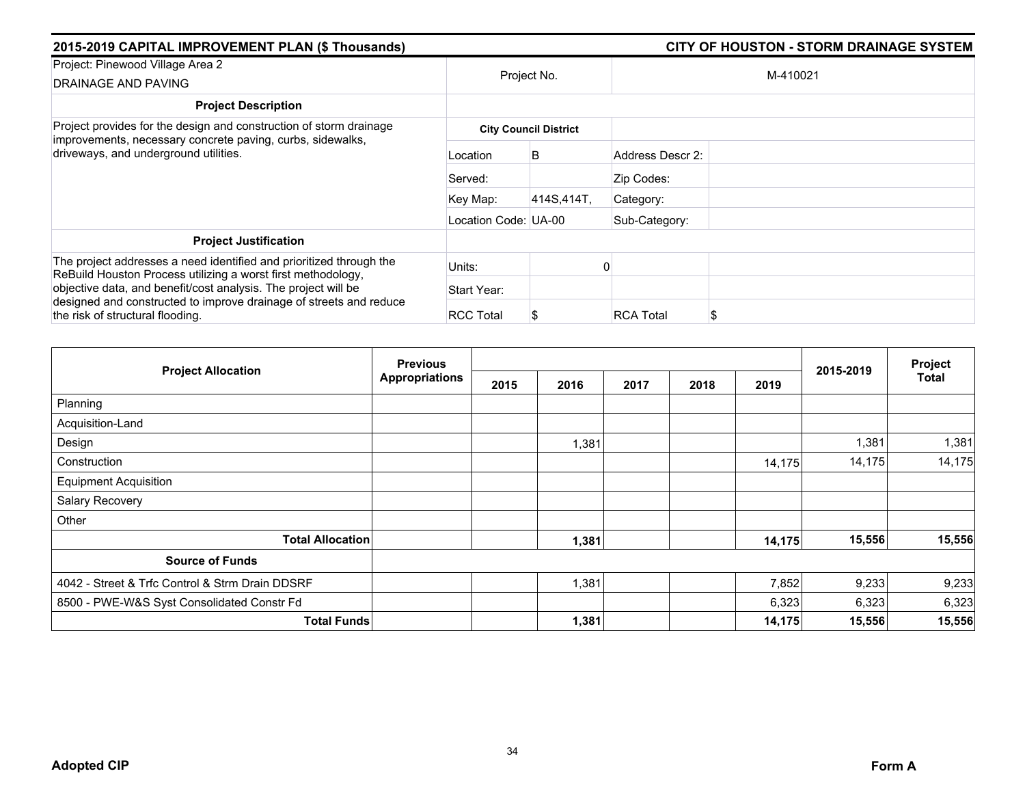| 2015-2019 CAPITAL IMPROVEMENT PLAN (\$ Thousands)                                                                                   | <b>CITY OF HOUSTON - STORM DRAINAGE SYSTEM</b> |                              |                        |  |  |
|-------------------------------------------------------------------------------------------------------------------------------------|------------------------------------------------|------------------------------|------------------------|--|--|
| Project: Pinewood Village Area 2<br>DRAINAGE AND PAVING                                                                             |                                                | Project No.                  | M-410021               |  |  |
| <b>Project Description</b>                                                                                                          |                                                |                              |                        |  |  |
| Project provides for the design and construction of storm drainage                                                                  |                                                | <b>City Council District</b> |                        |  |  |
| improvements, necessary concrete paving, curbs, sidewalks,<br>driveways, and underground utilities.                                 | Location                                       | B                            | Address Descr 2:       |  |  |
|                                                                                                                                     | Served:                                        |                              | Zip Codes:             |  |  |
|                                                                                                                                     | Key Map:                                       | 414S, 414T,                  | Category:              |  |  |
|                                                                                                                                     | Location Code: UA-00                           |                              | Sub-Category:          |  |  |
| <b>Project Justification</b>                                                                                                        |                                                |                              |                        |  |  |
| The project addresses a need identified and prioritized through the<br>ReBuild Houston Process utilizing a worst first methodology, | Units:                                         |                              |                        |  |  |
| objective data, and benefit/cost analysis. The project will be                                                                      | Start Year:                                    |                              |                        |  |  |
| designed and constructed to improve drainage of streets and reduce<br>the risk of structural flooding.                              | <b>RCC Total</b>                               |                              | <b>RCA Total</b><br>\$ |  |  |

| <b>Project Allocation</b>                       | <b>Previous</b> |      |       |      |      |        |           | Project      |
|-------------------------------------------------|-----------------|------|-------|------|------|--------|-----------|--------------|
|                                                 | Appropriations  | 2015 | 2016  | 2017 | 2018 | 2019   | 2015-2019 | <b>Total</b> |
| Planning                                        |                 |      |       |      |      |        |           |              |
| Acquisition-Land                                |                 |      |       |      |      |        |           |              |
| Design                                          |                 |      | 1,381 |      |      |        | 1,381     | 1,381        |
| Construction                                    |                 |      |       |      |      | 14,175 | 14,175    | 14,175       |
| <b>Equipment Acquisition</b>                    |                 |      |       |      |      |        |           |              |
| Salary Recovery                                 |                 |      |       |      |      |        |           |              |
| Other                                           |                 |      |       |      |      |        |           |              |
| <b>Total Allocation</b>                         |                 |      | 1,381 |      |      | 14,175 | 15,556    | 15,556       |
| <b>Source of Funds</b>                          |                 |      |       |      |      |        |           |              |
| 4042 - Street & Trfc Control & Strm Drain DDSRF |                 |      | 1,381 |      |      | 7,852  | 9,233     | 9,233        |
| 8500 - PWE-W&S Syst Consolidated Constr Fd      |                 |      |       |      |      | 6,323  | 6,323     | 6,323        |
| <b>Total Funds</b>                              |                 |      | 1,381 |      |      | 14,175 | 15,556    | 15,556       |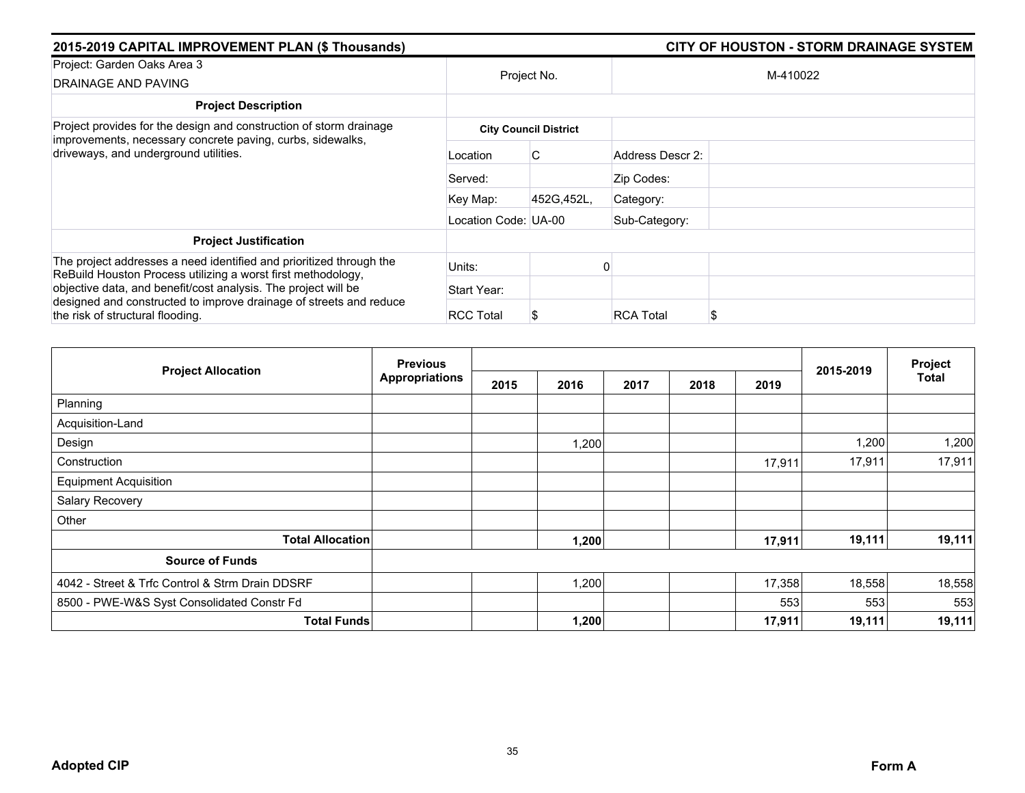| 2015-2019 CAPITAL IMPROVEMENT PLAN (\$ Thousands)                                                                                   | <b>CITY OF HOUSTON - STORM DRAINAGE SYSTEM</b> |                              |                        |  |
|-------------------------------------------------------------------------------------------------------------------------------------|------------------------------------------------|------------------------------|------------------------|--|
| Project: Garden Oaks Area 3<br>DRAINAGE AND PAVING                                                                                  |                                                | Project No.                  | M-410022               |  |
| <b>Project Description</b>                                                                                                          |                                                |                              |                        |  |
| Project provides for the design and construction of storm drainage<br>improvements, necessary concrete paving, curbs, sidewalks,    |                                                | <b>City Council District</b> |                        |  |
| driveways, and underground utilities.                                                                                               | Location                                       | C.                           | Address Descr 2:       |  |
|                                                                                                                                     | Served:                                        |                              | Zip Codes:             |  |
|                                                                                                                                     | Key Map:                                       | 452G, 452L,                  | Category:              |  |
|                                                                                                                                     | Location Code: UA-00                           |                              | Sub-Category:          |  |
| <b>Project Justification</b>                                                                                                        |                                                |                              |                        |  |
| The project addresses a need identified and prioritized through the<br>ReBuild Houston Process utilizing a worst first methodology, | Units:                                         |                              |                        |  |
| objective data, and benefit/cost analysis. The project will be                                                                      | Start Year:                                    |                              |                        |  |
| designed and constructed to improve drainage of streets and reduce<br>the risk of structural flooding.                              | <b>RCC Total</b>                               |                              | <b>RCA Total</b><br>\$ |  |

| <b>Project Allocation</b>                       | <b>Previous</b>       |      |       |      |      |        |           | Project<br><b>Total</b> |
|-------------------------------------------------|-----------------------|------|-------|------|------|--------|-----------|-------------------------|
|                                                 | <b>Appropriations</b> | 2015 | 2016  | 2017 | 2018 | 2019   | 2015-2019 |                         |
| Planning                                        |                       |      |       |      |      |        |           |                         |
| Acquisition-Land                                |                       |      |       |      |      |        |           |                         |
| Design                                          |                       |      | 1,200 |      |      |        | 1,200     | 1,200                   |
| Construction                                    |                       |      |       |      |      | 17,911 | 17,911    | 17,911                  |
| <b>Equipment Acquisition</b>                    |                       |      |       |      |      |        |           |                         |
| Salary Recovery                                 |                       |      |       |      |      |        |           |                         |
| Other                                           |                       |      |       |      |      |        |           |                         |
| <b>Total Allocation</b>                         |                       |      | 1,200 |      |      | 17,911 | 19,111    | 19,111                  |
| <b>Source of Funds</b>                          |                       |      |       |      |      |        |           |                         |
| 4042 - Street & Trfc Control & Strm Drain DDSRF |                       |      | 1,200 |      |      | 17,358 | 18,558    | 18,558                  |
| 8500 - PWE-W&S Syst Consolidated Constr Fd      |                       |      |       |      |      | 553    | 553       | 553                     |
| <b>Total Funds</b>                              |                       |      | 1,200 |      |      | 17,911 | 19,111    | 19,111                  |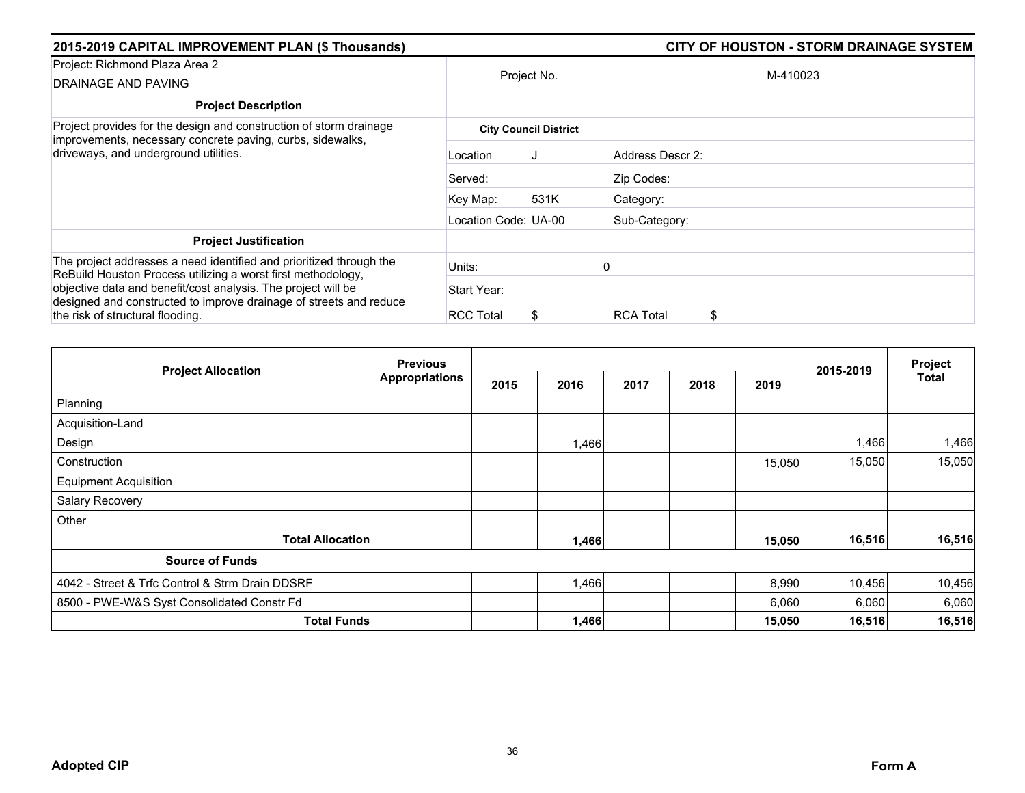| 2015-2019 CAPITAL IMPROVEMENT PLAN (\$ Thousands)                                                                                                                       | <b>CITY OF HOUSTON - STORM DRAINAGE SYSTEM</b> |                              |                        |  |  |
|-------------------------------------------------------------------------------------------------------------------------------------------------------------------------|------------------------------------------------|------------------------------|------------------------|--|--|
| Project: Richmond Plaza Area 2<br>DRAINAGE AND PAVING                                                                                                                   | Project No.                                    |                              | M-410023               |  |  |
| <b>Project Description</b>                                                                                                                                              |                                                |                              |                        |  |  |
| Project provides for the design and construction of storm drainage<br>improvements, necessary concrete paving, curbs, sidewalks,                                        |                                                | <b>City Council District</b> |                        |  |  |
| driveways, and underground utilities.                                                                                                                                   | Location                                       |                              | Address Descr 2:       |  |  |
|                                                                                                                                                                         | Served:                                        |                              | Zip Codes:             |  |  |
|                                                                                                                                                                         | Key Map:                                       | 531K                         | Category:              |  |  |
|                                                                                                                                                                         | Location Code: UA-00                           |                              | Sub-Category:          |  |  |
| <b>Project Justification</b>                                                                                                                                            |                                                |                              |                        |  |  |
| The project addresses a need identified and prioritized through the<br>ReBuild Houston Process utilizing a worst first methodology,                                     | Units:                                         |                              |                        |  |  |
| objective data and benefit/cost analysis. The project will be<br>designed and constructed to improve drainage of streets and reduce<br>the risk of structural flooding. | Start Year:                                    |                              |                        |  |  |
|                                                                                                                                                                         | <b>RCC Total</b>                               |                              | <b>RCA Total</b><br>\$ |  |  |

| <b>Project Allocation</b>                       | <b>Previous</b>       |      |       |      | Project |        |           |              |
|-------------------------------------------------|-----------------------|------|-------|------|---------|--------|-----------|--------------|
|                                                 | <b>Appropriations</b> | 2015 | 2016  | 2017 | 2018    | 2019   | 2015-2019 | <b>Total</b> |
| Planning                                        |                       |      |       |      |         |        |           |              |
| Acquisition-Land                                |                       |      |       |      |         |        |           |              |
| Design                                          |                       |      | 1,466 |      |         |        | 1,466     | 1,466        |
| Construction                                    |                       |      |       |      |         | 15,050 | 15,050    | 15,050       |
| <b>Equipment Acquisition</b>                    |                       |      |       |      |         |        |           |              |
| Salary Recovery                                 |                       |      |       |      |         |        |           |              |
| Other                                           |                       |      |       |      |         |        |           |              |
| <b>Total Allocation</b>                         |                       |      | 1,466 |      |         | 15,050 | 16,516    | 16,516       |
| <b>Source of Funds</b>                          |                       |      |       |      |         |        |           |              |
| 4042 - Street & Trfc Control & Strm Drain DDSRF |                       |      | 1,466 |      |         | 8,990  | 10,456    | 10,456       |
| 8500 - PWE-W&S Syst Consolidated Constr Fd      |                       |      |       |      |         | 6,060  | 6,060     | 6,060        |
| <b>Total Funds</b>                              |                       |      | 1,466 |      |         | 15,050 | 16,516    | 16,516       |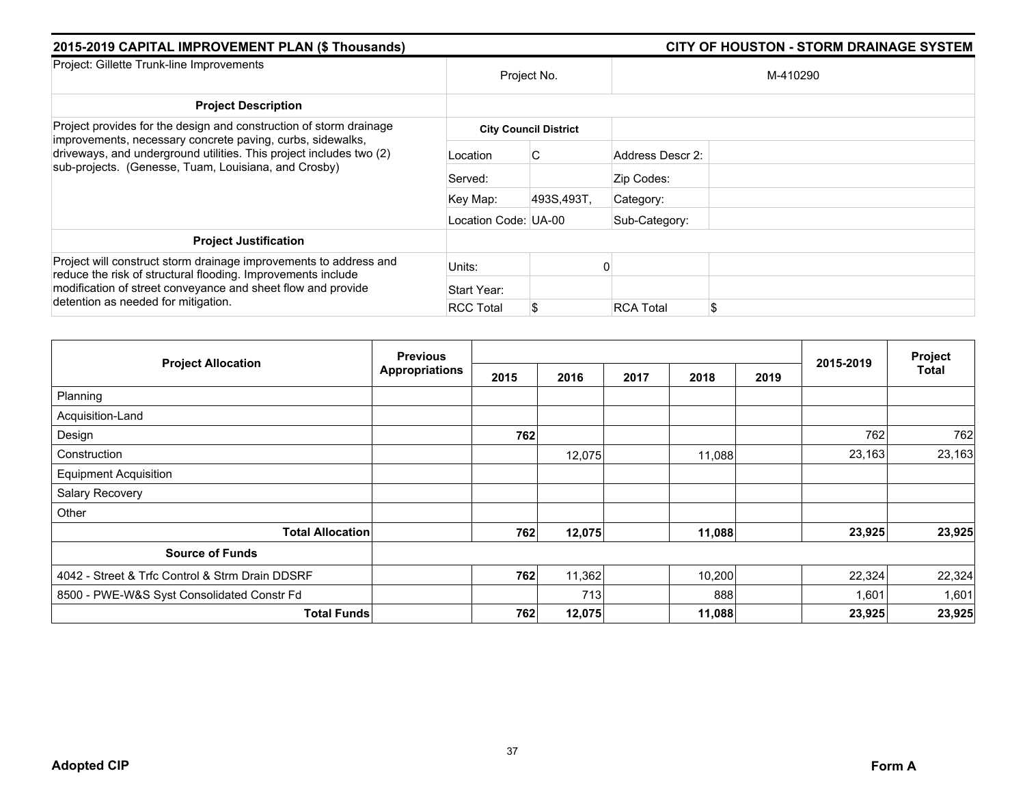| 2015-2019 CAPITAL IMPROVEMENT PLAN (\$ Thousands)                                                                                                                                                                                        |                      |                              | <b>CITY OF HOUSTON - STORM DRAINAGE SYSTEM</b> |          |  |  |  |  |  |
|------------------------------------------------------------------------------------------------------------------------------------------------------------------------------------------------------------------------------------------|----------------------|------------------------------|------------------------------------------------|----------|--|--|--|--|--|
| Project: Gillette Trunk-line Improvements                                                                                                                                                                                                |                      | Project No.                  |                                                | M-410290 |  |  |  |  |  |
| <b>Project Description</b>                                                                                                                                                                                                               |                      |                              |                                                |          |  |  |  |  |  |
| Project provides for the design and construction of storm drainage                                                                                                                                                                       |                      | <b>City Council District</b> |                                                |          |  |  |  |  |  |
| improvements, necessary concrete paving, curbs, sidewalks,<br>driveways, and underground utilities. This project includes two (2)<br>sub-projects. (Genesse, Tuam, Louisiana, and Crosby)                                                | Location             | C.                           | Address Descr 2:                               |          |  |  |  |  |  |
|                                                                                                                                                                                                                                          | Served:              |                              | Zip Codes:                                     |          |  |  |  |  |  |
|                                                                                                                                                                                                                                          | Key Map:             | 493S,493T,                   | Category:                                      |          |  |  |  |  |  |
|                                                                                                                                                                                                                                          | Location Code: UA-00 |                              | Sub-Category:                                  |          |  |  |  |  |  |
| <b>Project Justification</b>                                                                                                                                                                                                             |                      |                              |                                                |          |  |  |  |  |  |
| Project will construct storm drainage improvements to address and<br>reduce the risk of structural flooding. Improvements include<br>modification of street conveyance and sheet flow and provide<br>detention as needed for mitigation. | Units:               |                              |                                                |          |  |  |  |  |  |
|                                                                                                                                                                                                                                          | Start Year:          |                              |                                                |          |  |  |  |  |  |
|                                                                                                                                                                                                                                          | <b>RCC Total</b>     |                              | <b>RCA Total</b>                               | \$       |  |  |  |  |  |

|                                                 | <b>Previous</b>       |      |        |      | Project |      |           |        |
|-------------------------------------------------|-----------------------|------|--------|------|---------|------|-----------|--------|
| <b>Project Allocation</b>                       | <b>Appropriations</b> | 2015 | 2016   | 2017 | 2018    | 2019 | 2015-2019 | Total  |
| Planning                                        |                       |      |        |      |         |      |           |        |
| Acquisition-Land                                |                       |      |        |      |         |      |           |        |
| Design                                          |                       | 762  |        |      |         |      | 762       | 762    |
| Construction                                    |                       |      | 12,075 |      | 11,088  |      | 23,163    | 23,163 |
| <b>Equipment Acquisition</b>                    |                       |      |        |      |         |      |           |        |
| Salary Recovery                                 |                       |      |        |      |         |      |           |        |
| Other                                           |                       |      |        |      |         |      |           |        |
| <b>Total Allocation</b>                         |                       | 762  | 12,075 |      | 11,088  |      | 23,925    | 23,925 |
| <b>Source of Funds</b>                          |                       |      |        |      |         |      |           |        |
| 4042 - Street & Trfc Control & Strm Drain DDSRF |                       | 762  | 11,362 |      | 10,200  |      | 22,324    | 22,324 |
| 8500 - PWE-W&S Syst Consolidated Constr Fd      |                       |      | 713    |      | 888     |      | 1,601     | 1,601  |
| <b>Total Funds</b>                              |                       | 762  | 12,075 |      | 11,088  |      | 23,925    | 23,925 |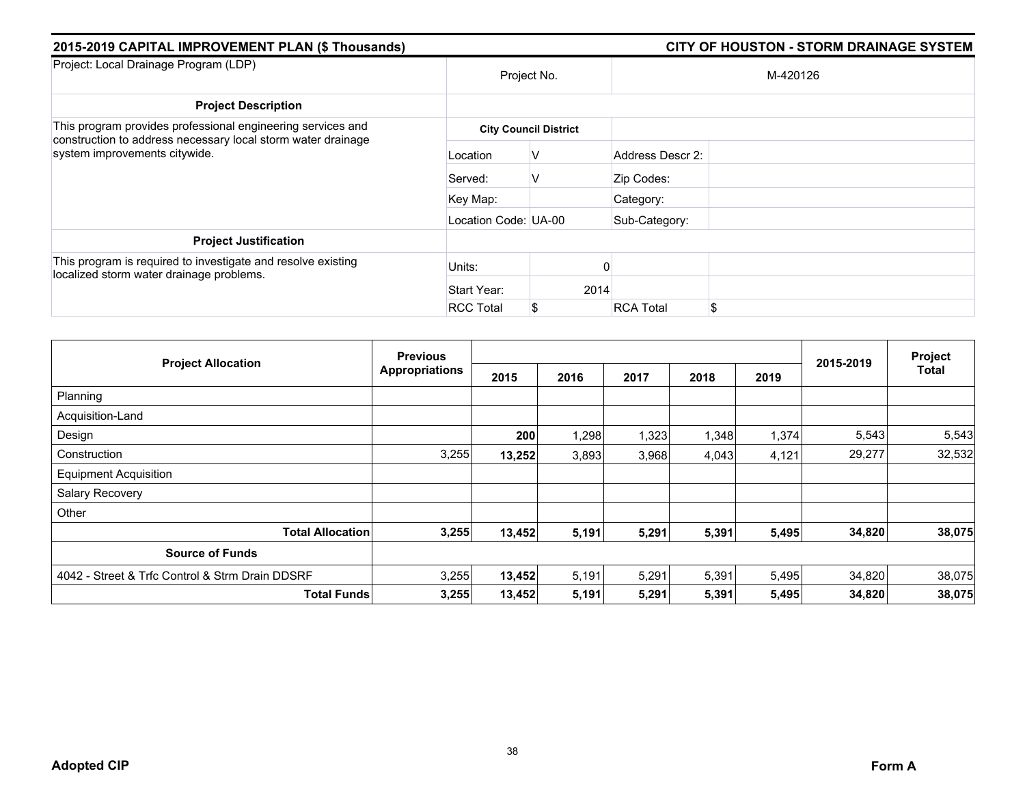| 2015-2019 CAPITAL IMPROVEMENT PLAN (\$ Thousands)                                                                           |                      |                              |                  | <b>CITY OF HOUSTON - STORM DRAINAGE SYSTEM</b> |
|-----------------------------------------------------------------------------------------------------------------------------|----------------------|------------------------------|------------------|------------------------------------------------|
| Project: Local Drainage Program (LDP)                                                                                       |                      | Project No.                  |                  | M-420126                                       |
| <b>Project Description</b>                                                                                                  |                      |                              |                  |                                                |
| This program provides professional engineering services and<br>construction to address necessary local storm water drainage |                      | <b>City Council District</b> |                  |                                                |
| system improvements citywide.                                                                                               | Location             | V                            | Address Descr 2: |                                                |
|                                                                                                                             | Served:              | v                            | Zip Codes:       |                                                |
|                                                                                                                             | Key Map:             |                              | Category:        |                                                |
|                                                                                                                             | Location Code: UA-00 |                              | Sub-Category:    |                                                |
| <b>Project Justification</b>                                                                                                |                      |                              |                  |                                                |
| This program is required to investigate and resolve existing<br>localized storm water drainage problems.                    | Units:               |                              |                  |                                                |
|                                                                                                                             | Start Year:          | 2014                         |                  |                                                |
|                                                                                                                             | <b>RCC Total</b>     |                              | <b>RCA Total</b> | \$                                             |

|                                                 | <b>Previous</b>       |        |       |       |       | Project |           |              |
|-------------------------------------------------|-----------------------|--------|-------|-------|-------|---------|-----------|--------------|
| <b>Project Allocation</b>                       | <b>Appropriations</b> | 2015   | 2016  | 2017  | 2018  | 2019    | 2015-2019 | <b>Total</b> |
| Planning                                        |                       |        |       |       |       |         |           |              |
| Acquisition-Land                                |                       |        |       |       |       |         |           |              |
| Design                                          |                       | 200    | 1,298 | 1,323 | 1,348 | 1,374   | 5,543     | 5,543        |
| Construction                                    | 3,255                 | 13,252 | 3,893 | 3,968 | 4,043 | 4,121   | 29,277    | 32,532       |
| <b>Equipment Acquisition</b>                    |                       |        |       |       |       |         |           |              |
| Salary Recovery                                 |                       |        |       |       |       |         |           |              |
| Other                                           |                       |        |       |       |       |         |           |              |
| <b>Total Allocation</b>                         | 3,255                 | 13,452 | 5,191 | 5,291 | 5,391 | 5,495   | 34,820    | 38,075       |
| <b>Source of Funds</b>                          |                       |        |       |       |       |         |           |              |
| 4042 - Street & Trfc Control & Strm Drain DDSRF | 3,255                 | 13,452 | 5,191 | 5,291 | 5,391 | 5,495   | 34,820    | 38,075       |
| <b>Total Funds</b>                              | 3,255                 | 13,452 | 5,191 | 5,291 | 5,391 | 5,495   | 34,820    | 38,075       |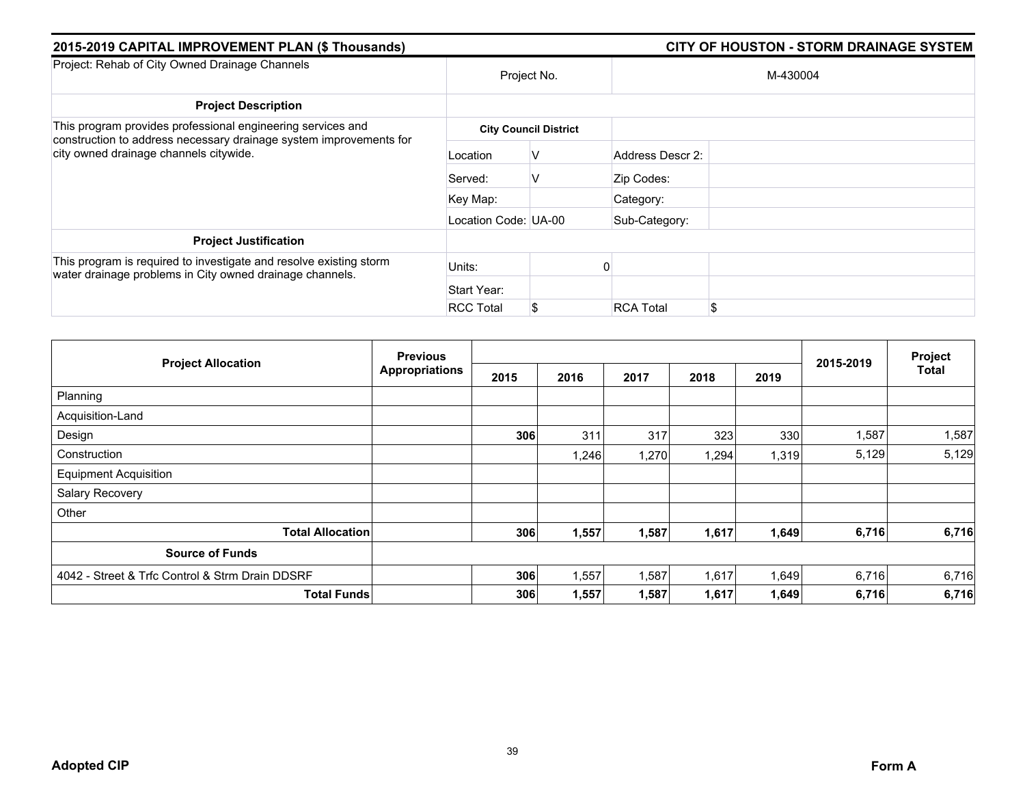| 2015-2019 CAPITAL IMPROVEMENT PLAN (\$ Thousands)                                                                                 |                      |                              | <b>CITY OF HOUSTON - STORM DRAINAGE SYSTEM</b> |          |  |  |  |
|-----------------------------------------------------------------------------------------------------------------------------------|----------------------|------------------------------|------------------------------------------------|----------|--|--|--|
| Project: Rehab of City Owned Drainage Channels                                                                                    |                      | Project No.                  |                                                | M-430004 |  |  |  |
| <b>Project Description</b>                                                                                                        |                      |                              |                                                |          |  |  |  |
| This program provides professional engineering services and<br>construction to address necessary drainage system improvements for |                      | <b>City Council District</b> |                                                |          |  |  |  |
| city owned drainage channels citywide.                                                                                            | Location             | V                            | Address Descr 2:                               |          |  |  |  |
|                                                                                                                                   | Served:              | V                            | Zip Codes:                                     |          |  |  |  |
|                                                                                                                                   | Key Map:             |                              | Category:                                      |          |  |  |  |
|                                                                                                                                   | Location Code: UA-00 |                              | Sub-Category:                                  |          |  |  |  |
| <b>Project Justification</b>                                                                                                      |                      |                              |                                                |          |  |  |  |
| This program is required to investigate and resolve existing storm<br>water drainage problems in City owned drainage channels.    | Units:               |                              |                                                |          |  |  |  |
|                                                                                                                                   | Start Year:          |                              |                                                |          |  |  |  |
|                                                                                                                                   | <b>RCC Total</b>     | S                            | <b>RCA Total</b>                               | \$       |  |  |  |

| <b>Project Allocation</b>                       | <b>Previous</b>       |      |       |       |       | Project |           |              |
|-------------------------------------------------|-----------------------|------|-------|-------|-------|---------|-----------|--------------|
|                                                 | <b>Appropriations</b> | 2015 | 2016  | 2017  | 2018  | 2019    | 2015-2019 | <b>Total</b> |
| Planning                                        |                       |      |       |       |       |         |           |              |
| Acquisition-Land                                |                       |      |       |       |       |         |           |              |
| Design                                          |                       | 306  | 311   | 317   | 323   | 330     | 1,587     | 1,587        |
| Construction                                    |                       |      | 1,246 | 1,270 | 1,294 | 1,319   | 5,129     | 5,129        |
| <b>Equipment Acquisition</b>                    |                       |      |       |       |       |         |           |              |
| Salary Recovery                                 |                       |      |       |       |       |         |           |              |
| Other                                           |                       |      |       |       |       |         |           |              |
| <b>Total Allocation</b>                         |                       | 306  | 1,557 | 1,587 | 1,617 | 1,649   | 6,716     | 6,716        |
| <b>Source of Funds</b>                          |                       |      |       |       |       |         |           |              |
| 4042 - Street & Trfc Control & Strm Drain DDSRF |                       | 306  | 1,557 | 1,587 | 1,617 | 1,649   | 6,716     | 6,716        |
| <b>Total Funds</b>                              |                       | 306  | 1,557 | 1,587 | 1,617 | 1,649   | 6,716     | 6,716        |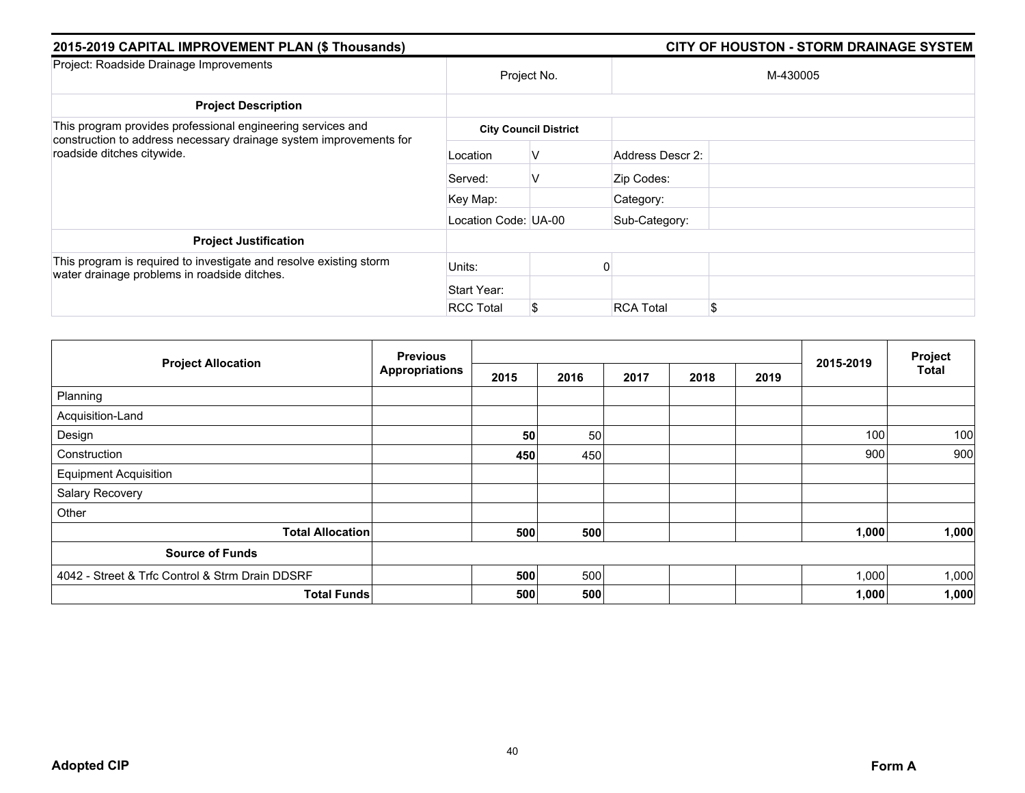| 2015-2019 CAPITAL IMPROVEMENT PLAN (\$ Thousands)                                                                  |                      |                              | <b>CITY OF HOUSTON - STORM DRAINAGE SYSTEM</b> |          |  |  |  |
|--------------------------------------------------------------------------------------------------------------------|----------------------|------------------------------|------------------------------------------------|----------|--|--|--|
| Project: Roadside Drainage Improvements                                                                            |                      | Project No.                  |                                                | M-430005 |  |  |  |
| <b>Project Description</b>                                                                                         |                      |                              |                                                |          |  |  |  |
| This program provides professional engineering services and                                                        |                      | <b>City Council District</b> |                                                |          |  |  |  |
| construction to address necessary drainage system improvements for<br>roadside ditches citywide.                   | Location             | V                            | Address Descr 2:                               |          |  |  |  |
|                                                                                                                    | Served:              | V                            | Zip Codes:                                     |          |  |  |  |
|                                                                                                                    | Key Map:             |                              | Category:                                      |          |  |  |  |
|                                                                                                                    | Location Code: UA-00 |                              | Sub-Category:                                  |          |  |  |  |
| <b>Project Justification</b>                                                                                       |                      |                              |                                                |          |  |  |  |
| This program is required to investigate and resolve existing storm<br>water drainage problems in roadside ditches. | Units:               |                              |                                                |          |  |  |  |
|                                                                                                                    | Start Year:          |                              |                                                |          |  |  |  |
|                                                                                                                    | <b>RCC Total</b>     | S.                           | <b>RCA Total</b>                               | \$       |  |  |  |

|                                                 | <b>Previous</b>       |      |      |      |      |      |           | Project      |
|-------------------------------------------------|-----------------------|------|------|------|------|------|-----------|--------------|
| <b>Project Allocation</b>                       | <b>Appropriations</b> | 2015 | 2016 | 2017 | 2018 | 2019 | 2015-2019 | <b>Total</b> |
| Planning                                        |                       |      |      |      |      |      |           |              |
| Acquisition-Land                                |                       |      |      |      |      |      |           |              |
| Design                                          |                       | 50   | 50   |      |      |      | 100       | 100          |
| Construction                                    |                       | 450  | 450  |      |      |      | 900       | 900          |
| <b>Equipment Acquisition</b>                    |                       |      |      |      |      |      |           |              |
| Salary Recovery                                 |                       |      |      |      |      |      |           |              |
| Other                                           |                       |      |      |      |      |      |           |              |
| <b>Total Allocation</b>                         |                       | 500  | 500  |      |      |      | 1,000     | 1,000        |
| <b>Source of Funds</b>                          |                       |      |      |      |      |      |           |              |
| 4042 - Street & Trfc Control & Strm Drain DDSRF |                       | 500  | 500  |      |      |      | 1,000     | 1,000        |
| <b>Total Funds</b>                              |                       | 500  | 500  |      |      |      | 1,000     | 1,000        |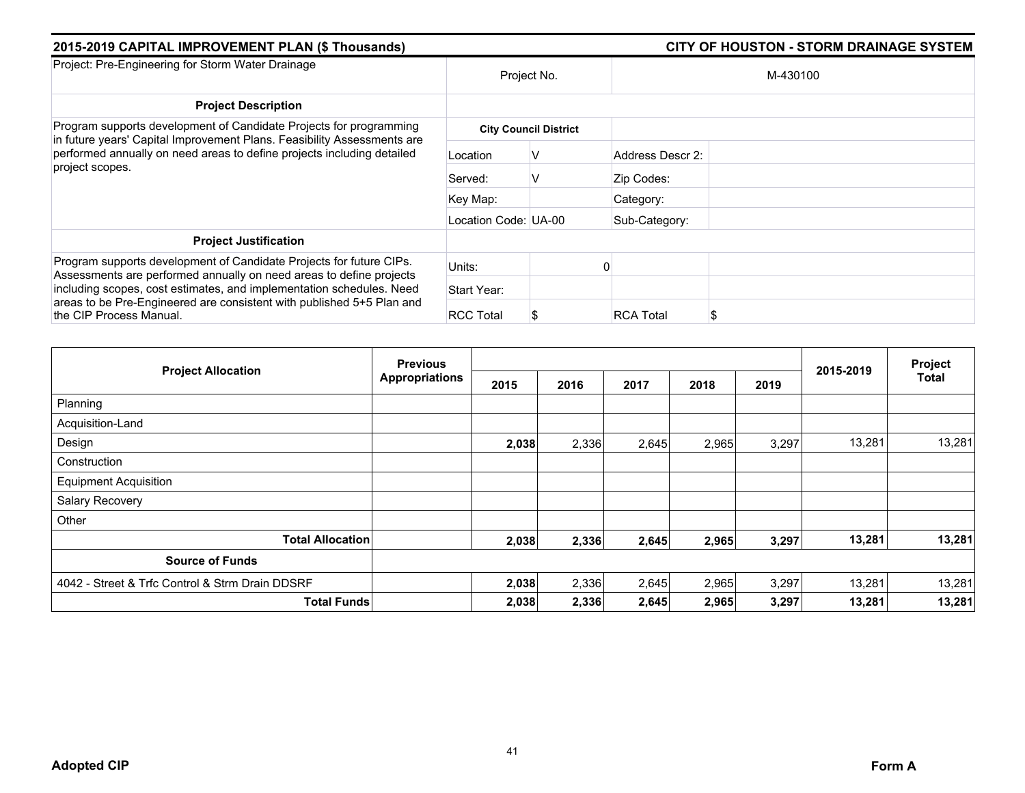| 2015-2019 CAPITAL IMPROVEMENT PLAN (\$ Thousands)                                                                                             |                      |                              |                  |          |  |
|-----------------------------------------------------------------------------------------------------------------------------------------------|----------------------|------------------------------|------------------|----------|--|
| Project: Pre-Engineering for Storm Water Drainage                                                                                             |                      | Project No.                  |                  | M-430100 |  |
| <b>Project Description</b>                                                                                                                    |                      |                              |                  |          |  |
| Program supports development of Candidate Projects for programming<br>in future years' Capital Improvement Plans. Feasibility Assessments are |                      | <b>City Council District</b> |                  |          |  |
| performed annually on need areas to define projects including detailed<br>project scopes.                                                     | Location             | v                            | Address Descr 2: |          |  |
|                                                                                                                                               | Served:              | v                            | Zip Codes:       |          |  |
|                                                                                                                                               | Key Map:             |                              | Category:        |          |  |
|                                                                                                                                               | Location Code: UA-00 |                              | Sub-Category:    |          |  |
| <b>Project Justification</b>                                                                                                                  |                      |                              |                  |          |  |
| Program supports development of Candidate Projects for future CIPs.<br>Assessments are performed annually on need areas to define projects    | Units:               |                              |                  |          |  |
| including scopes, cost estimates, and implementation schedules. Need                                                                          | Start Year:          |                              |                  |          |  |
| areas to be Pre-Engineered are consistent with published 5+5 Plan and<br>the CIP Process Manual.                                              | <b>RCC Total</b>     |                              | <b>RCA Total</b> |          |  |

| <b>Project Allocation</b>                       | <b>Previous</b>       |       |       | 2015-2019 | Project |       |        |        |
|-------------------------------------------------|-----------------------|-------|-------|-----------|---------|-------|--------|--------|
|                                                 | <b>Appropriations</b> | 2015  | 2016  | 2017      | 2018    | 2019  |        | Total  |
| Planning                                        |                       |       |       |           |         |       |        |        |
| Acquisition-Land                                |                       |       |       |           |         |       |        |        |
| Design                                          |                       | 2,038 | 2,336 | 2,645     | 2,965   | 3,297 | 13,281 | 13,281 |
| Construction                                    |                       |       |       |           |         |       |        |        |
| <b>Equipment Acquisition</b>                    |                       |       |       |           |         |       |        |        |
| Salary Recovery                                 |                       |       |       |           |         |       |        |        |
| Other                                           |                       |       |       |           |         |       |        |        |
| <b>Total Allocation</b>                         |                       | 2,038 | 2,336 | 2,645     | 2,965   | 3,297 | 13,281 | 13,281 |
| <b>Source of Funds</b>                          |                       |       |       |           |         |       |        |        |
| 4042 - Street & Trfc Control & Strm Drain DDSRF |                       | 2,038 | 2,336 | 2,645     | 2,965   | 3,297 | 13,281 | 13,281 |
| <b>Total Funds</b>                              |                       | 2,038 | 2,336 | 2,645     | 2,965   | 3,297 | 13,281 | 13,281 |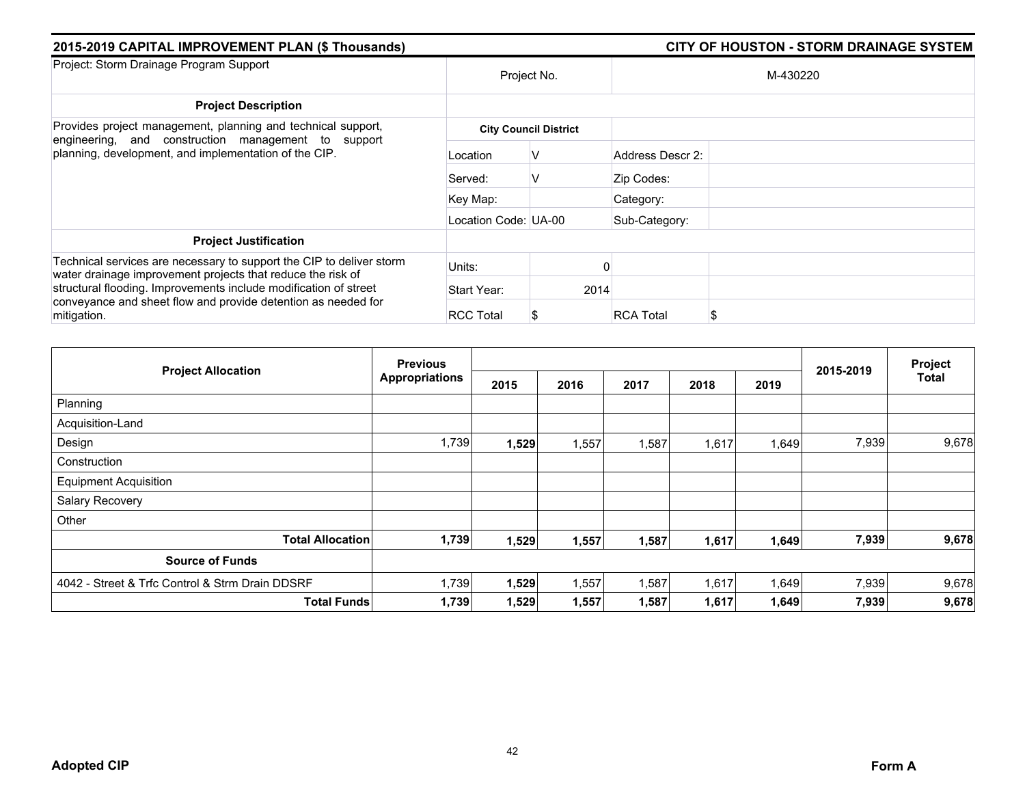| 2015-2019 CAPITAL IMPROVEMENT PLAN (\$ Thousands)                                                                                                |                      | <b>CITY OF HOUSTON - STORM DRAINAGE SYSTEM</b> |
|--------------------------------------------------------------------------------------------------------------------------------------------------|----------------------|------------------------------------------------|
| Project: Storm Drainage Program Support                                                                                                          |                      | Project No.<br>M-430220                        |
| <b>Project Description</b>                                                                                                                       |                      |                                                |
| Provides project management, planning and technical support,                                                                                     |                      | <b>City Council District</b>                   |
| engineering, and construction management to support<br>planning, development, and implementation of the CIP.                                     | Location             | Address Descr 2:<br>V                          |
|                                                                                                                                                  | Served:              | V<br>Zip Codes:                                |
|                                                                                                                                                  | Key Map:             | Category:                                      |
|                                                                                                                                                  | Location Code: UA-00 | Sub-Category:                                  |
| <b>Project Justification</b>                                                                                                                     |                      |                                                |
| Technical services are necessary to support the CIP to deliver storm<br>water drainage improvement projects that reduce the risk of              | Units:               |                                                |
| structural flooding. Improvements include modification of street<br>conveyance and sheet flow and provide detention as needed for<br>mitigation. | Start Year:          | 2014                                           |
|                                                                                                                                                  | <b>RCC Total</b>     | <b>RCA Total</b><br>S                          |

| <b>Project Allocation</b>                       | <b>Previous</b>       |       |       | 2015-2019 | Project |       |       |              |
|-------------------------------------------------|-----------------------|-------|-------|-----------|---------|-------|-------|--------------|
|                                                 | <b>Appropriations</b> | 2015  | 2016  | 2017      | 2018    | 2019  |       | <b>Total</b> |
| Planning                                        |                       |       |       |           |         |       |       |              |
| Acquisition-Land                                |                       |       |       |           |         |       |       |              |
| Design                                          | 1,739                 | 1,529 | 1,557 | 1,587     | 1,617   | 1,649 | 7,939 | 9,678        |
| Construction                                    |                       |       |       |           |         |       |       |              |
| <b>Equipment Acquisition</b>                    |                       |       |       |           |         |       |       |              |
| Salary Recovery                                 |                       |       |       |           |         |       |       |              |
| Other                                           |                       |       |       |           |         |       |       |              |
| <b>Total Allocation</b>                         | 1,739                 | 1,529 | 1,557 | 1,587     | 1,617   | 1,649 | 7,939 | 9,678        |
| <b>Source of Funds</b>                          |                       |       |       |           |         |       |       |              |
| 4042 - Street & Trfc Control & Strm Drain DDSRF | 1,739                 | 1,529 | 1,557 | 1,587     | 1,617   | 1,649 | 7,939 | 9,678        |
| <b>Total Funds</b>                              | 1,739                 | 1,529 | 1,557 | 1,587     | 1,617   | 1,649 | 7,939 | 9,678        |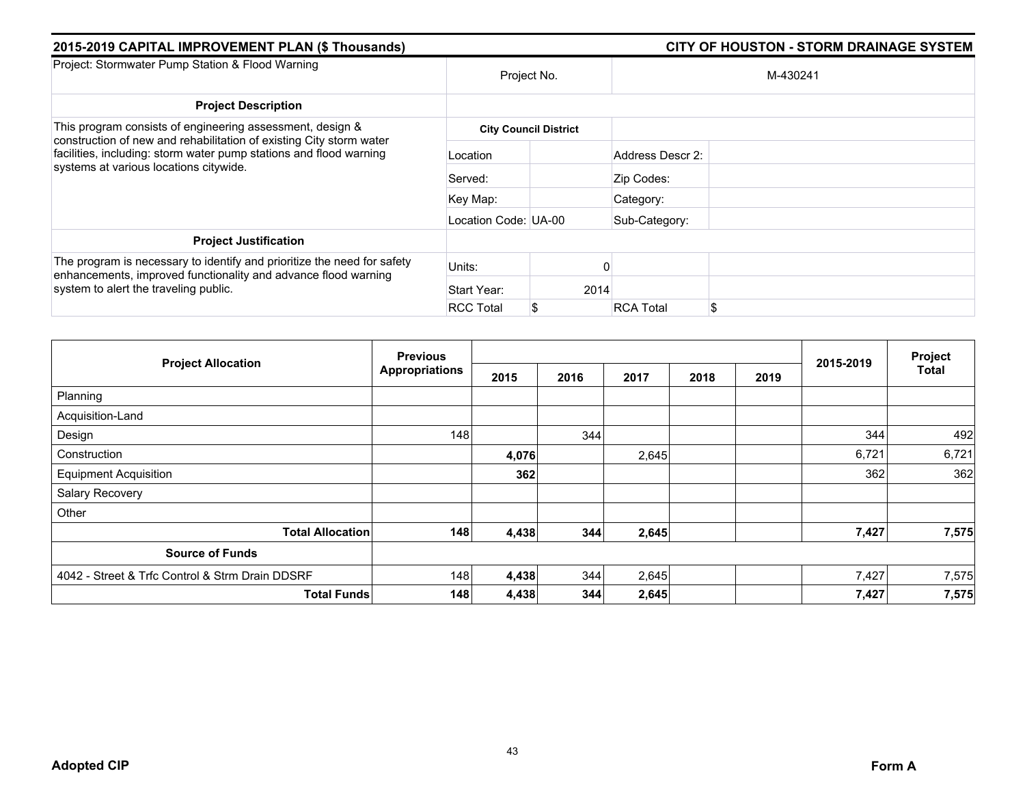| 2015-2019 CAPITAL IMPROVEMENT PLAN (\$ Thousands)                                                                                                                                   |                      | <b>CITY OF HOUSTON - STORM DRAINAGE SYSTEM</b> |
|-------------------------------------------------------------------------------------------------------------------------------------------------------------------------------------|----------------------|------------------------------------------------|
| Project: Stormwater Pump Station & Flood Warning                                                                                                                                    |                      | Project No.<br>M-430241                        |
| <b>Project Description</b>                                                                                                                                                          |                      |                                                |
| This program consists of engineering assessment, design &                                                                                                                           |                      | <b>City Council District</b>                   |
| construction of new and rehabilitation of existing City storm water<br>facilities, including: storm water pump stations and flood warning<br>systems at various locations citywide. | Location             | Address Descr 2:                               |
|                                                                                                                                                                                     | Served:              | Zip Codes:                                     |
|                                                                                                                                                                                     | Key Map:             | Category:                                      |
|                                                                                                                                                                                     | Location Code: UA-00 | Sub-Category:                                  |
| <b>Project Justification</b>                                                                                                                                                        |                      |                                                |
| The program is necessary to identify and prioritize the need for safety<br>enhancements, improved functionality and advance flood warning<br>system to alert the traveling public.  | Units:               |                                                |
|                                                                                                                                                                                     | Start Year:          | 2014                                           |
|                                                                                                                                                                                     | <b>RCC Total</b>     | \$<br><b>RCA Total</b>                         |

| <b>Project Allocation</b>                       | <b>Previous</b>       |       |      |       | Project |      |           |              |
|-------------------------------------------------|-----------------------|-------|------|-------|---------|------|-----------|--------------|
|                                                 | <b>Appropriations</b> | 2015  | 2016 | 2017  | 2018    | 2019 | 2015-2019 | <b>Total</b> |
| Planning                                        |                       |       |      |       |         |      |           |              |
| Acquisition-Land                                |                       |       |      |       |         |      |           |              |
| Design                                          | 148                   |       | 344  |       |         |      | 344       | 492          |
| Construction                                    |                       | 4,076 |      | 2,645 |         |      | 6,721     | 6,721        |
| <b>Equipment Acquisition</b>                    |                       | 362   |      |       |         |      | 362       | 362          |
| Salary Recovery                                 |                       |       |      |       |         |      |           |              |
| Other                                           |                       |       |      |       |         |      |           |              |
| <b>Total Allocation</b>                         | 148                   | 4,438 | 344  | 2,645 |         |      | 7,427     | 7,575        |
| <b>Source of Funds</b>                          |                       |       |      |       |         |      |           |              |
| 4042 - Street & Trfc Control & Strm Drain DDSRF | 148                   | 4,438 | 344  | 2,645 |         |      | 7,427     | 7,575        |
| <b>Total Funds</b>                              | 148                   | 4,438 | 344  | 2,645 |         |      | 7,427     | 7,575        |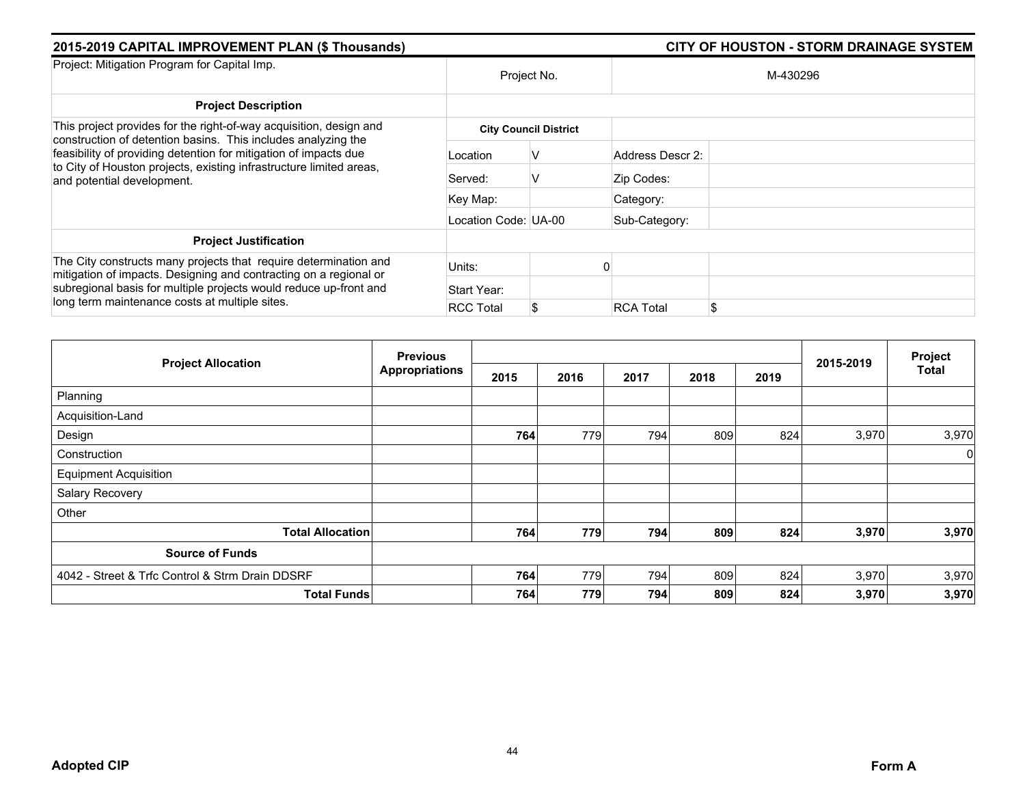| 2015-2019 CAPITAL IMPROVEMENT PLAN (\$ Thousands)                                                                                                                                                                                                                                                            |                              | <b>CITY OF HOUSTON - STORM DRAINAGE SYSTEM</b> |                  |    |  |  |  |  |  |
|--------------------------------------------------------------------------------------------------------------------------------------------------------------------------------------------------------------------------------------------------------------------------------------------------------------|------------------------------|------------------------------------------------|------------------|----|--|--|--|--|--|
| Project: Mitigation Program for Capital Imp.                                                                                                                                                                                                                                                                 | Project No.                  |                                                | M-430296         |    |  |  |  |  |  |
| <b>Project Description</b>                                                                                                                                                                                                                                                                                   |                              |                                                |                  |    |  |  |  |  |  |
| This project provides for the right-of-way acquisition, design and<br>construction of detention basins. This includes analyzing the<br>feasibility of providing detention for mitigation of impacts due<br>to City of Houston projects, existing infrastructure limited areas,<br>and potential development. | <b>City Council District</b> |                                                |                  |    |  |  |  |  |  |
|                                                                                                                                                                                                                                                                                                              | Location                     | v                                              | Address Descr 2: |    |  |  |  |  |  |
|                                                                                                                                                                                                                                                                                                              | Served:                      | V                                              | Zip Codes:       |    |  |  |  |  |  |
|                                                                                                                                                                                                                                                                                                              | Key Map:                     |                                                | Category:        |    |  |  |  |  |  |
|                                                                                                                                                                                                                                                                                                              | Location Code: UA-00         |                                                | Sub-Category:    |    |  |  |  |  |  |
| <b>Project Justification</b>                                                                                                                                                                                                                                                                                 |                              |                                                |                  |    |  |  |  |  |  |
| The City constructs many projects that require determination and<br>mitigation of impacts. Designing and contracting on a regional or<br>subregional basis for multiple projects would reduce up-front and<br>long term maintenance costs at multiple sites.                                                 | Units:                       |                                                |                  |    |  |  |  |  |  |
|                                                                                                                                                                                                                                                                                                              | Start Year:                  |                                                |                  |    |  |  |  |  |  |
|                                                                                                                                                                                                                                                                                                              | <b>RCC Total</b>             | S.                                             | <b>RCA Total</b> | \$ |  |  |  |  |  |

| <b>Project Allocation</b>                       | <b>Previous</b><br><b>Appropriations</b> |      |      |      |      |      |           | Project        |
|-------------------------------------------------|------------------------------------------|------|------|------|------|------|-----------|----------------|
|                                                 |                                          | 2015 | 2016 | 2017 | 2018 | 2019 | 2015-2019 | <b>Total</b>   |
| Planning                                        |                                          |      |      |      |      |      |           |                |
| Acquisition-Land                                |                                          |      |      |      |      |      |           |                |
| Design                                          |                                          | 764  | 779  | 794  | 809  | 824  | 3,970     | 3,970          |
| Construction                                    |                                          |      |      |      |      |      |           | $\overline{0}$ |
| <b>Equipment Acquisition</b>                    |                                          |      |      |      |      |      |           |                |
| Salary Recovery                                 |                                          |      |      |      |      |      |           |                |
| Other                                           |                                          |      |      |      |      |      |           |                |
| <b>Total Allocation</b>                         |                                          | 764  | 779  | 794  | 809  | 824  | 3,970     | 3,970          |
| <b>Source of Funds</b>                          |                                          |      |      |      |      |      |           |                |
| 4042 - Street & Trfc Control & Strm Drain DDSRF |                                          | 764  | 779  | 794  | 809  | 824  | 3,970     | 3,970          |
| <b>Total Funds</b>                              |                                          | 764  | 779  | 794  | 809  | 824  | 3,970     | 3,970          |